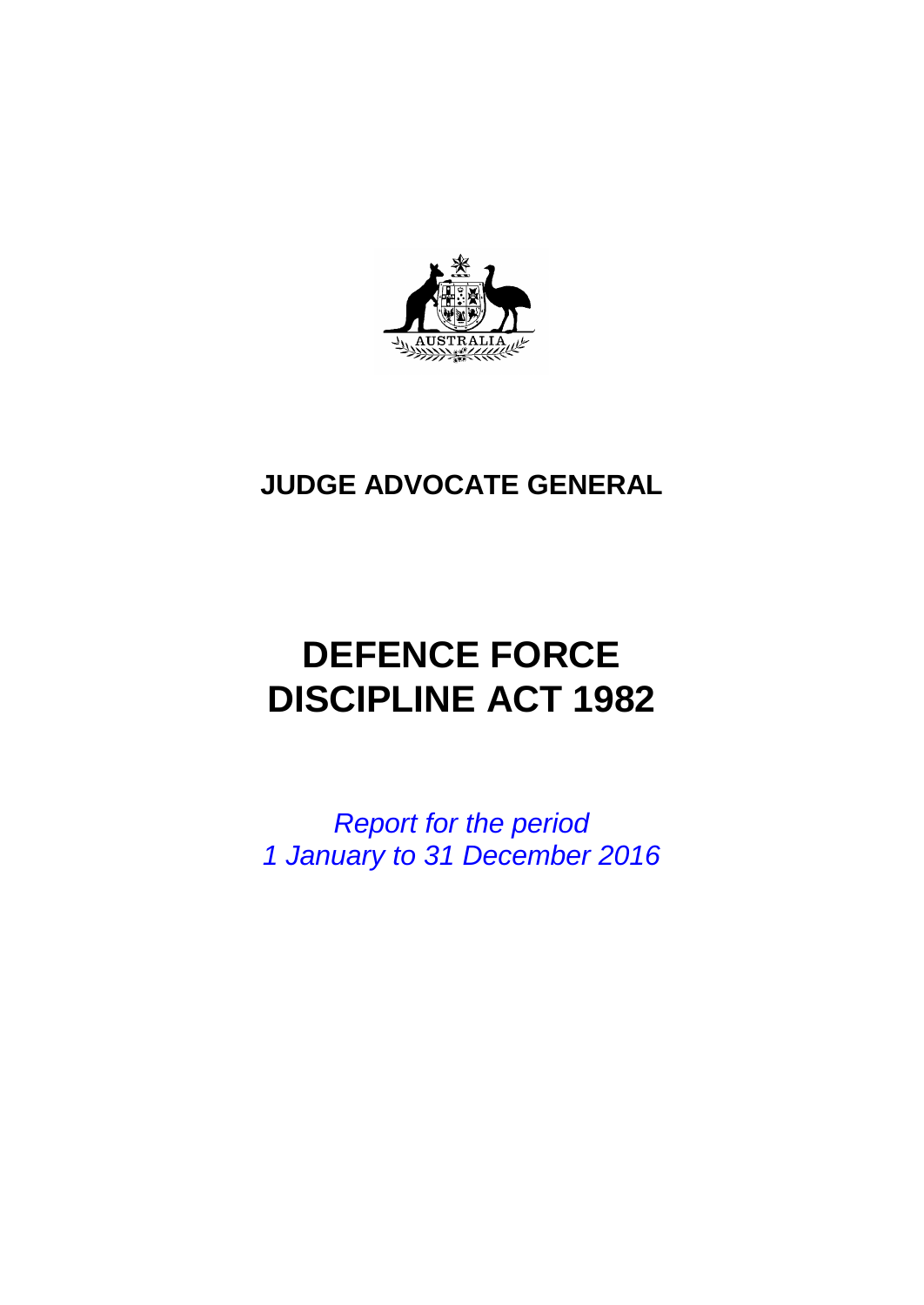

## **JUDGE ADVOCATE GENERAL**

# **DEFENCE FORCE DISCIPLINE ACT 1982**

*Report for the period 1 January to 31 December 2016*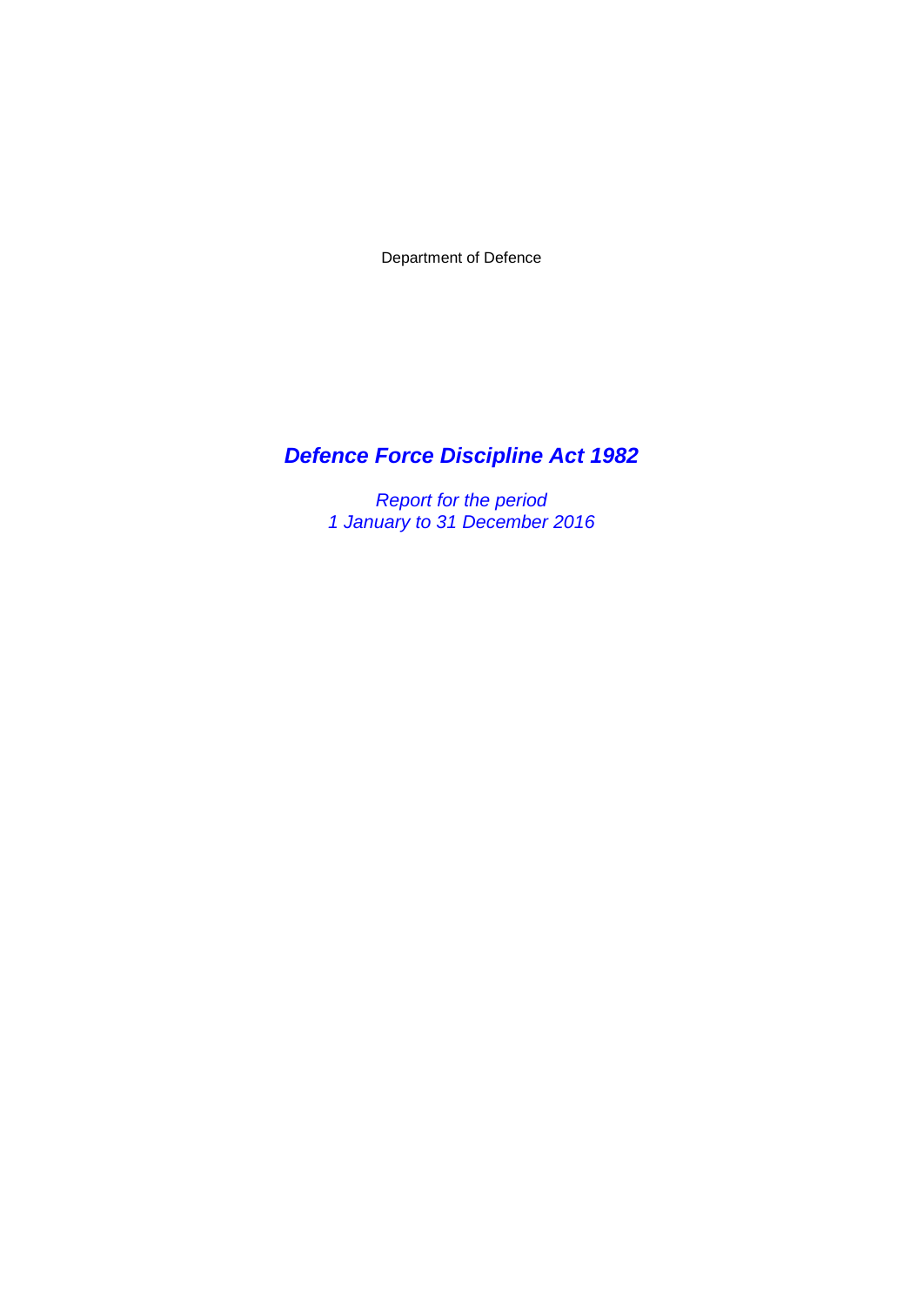Department of Defence

## *Defence Force Discipline Act 1982*

*Report for the period 1 January to 31 December 2016*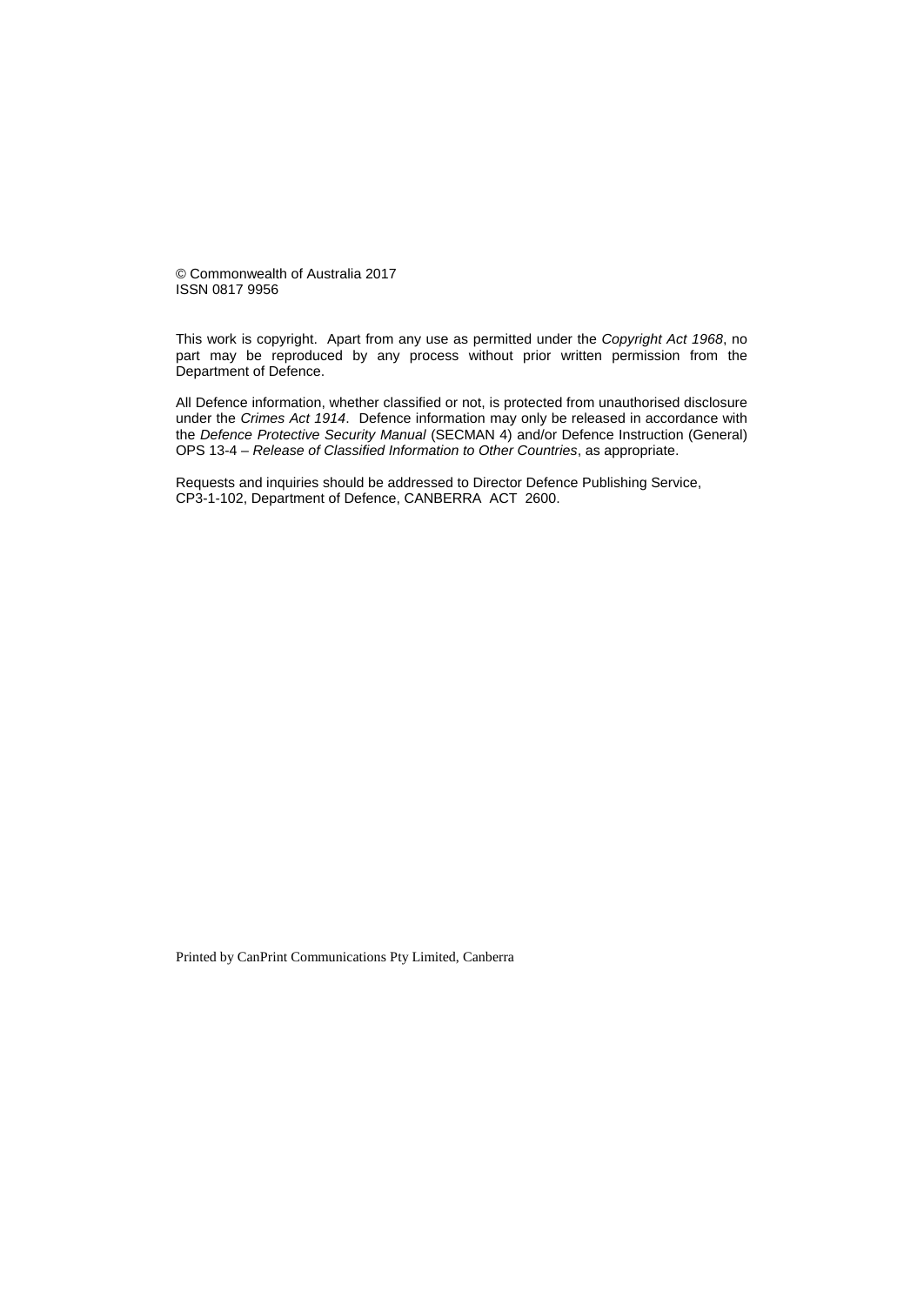© Commonwealth of Australia 2017 ISSN 0817 9956

This work is copyright. Apart from any use as permitted under the *Copyright Act 1968*, no part may be reproduced by any process without prior written permission from the Department of Defence.

All Defence information, whether classified or not, is protected from unauthorised disclosure under the *Crimes Act 1914*. Defence information may only be released in accordance with the *Defence Protective Security Manual* (SECMAN 4) and/or Defence Instruction (General) OPS 13-4 – *Release of Classified Information to Other Countries*, as appropriate.

Requests and inquiries should be addressed to Director Defence Publishing Service, CP3-1-102, Department of Defence, CANBERRA ACT 2600.

Printed by CanPrint Communications Pty Limited, Canberra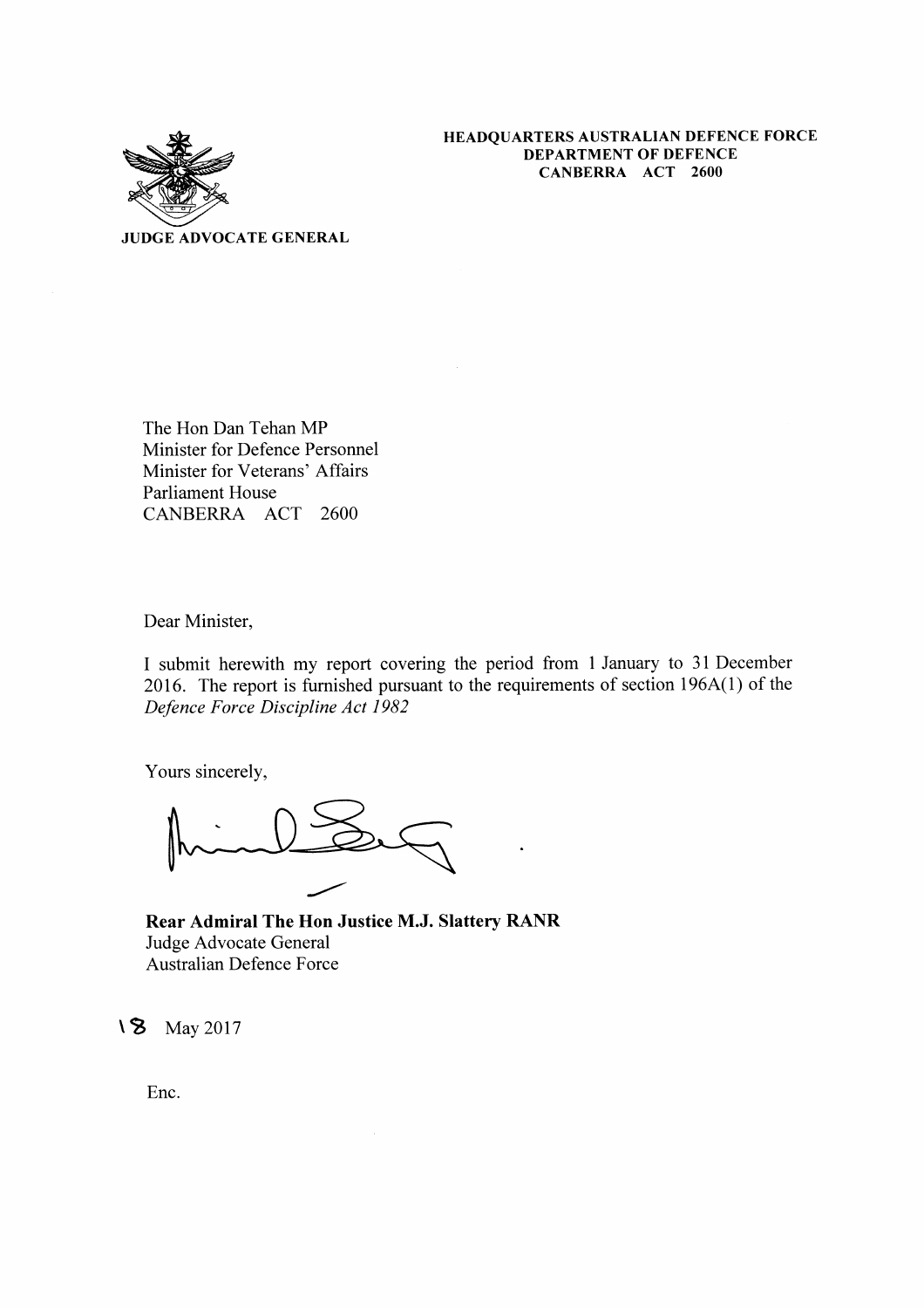

HEADQUARTERS AUSTRALIAN DEFENCE FORCE **DEPARTMENT OF DEFENCE** CANBERRA ACT 2600

**JUDGE ADVOCATE GENERAL** 

The Hon Dan Tehan MP Minister for Defence Personnel Minister for Veterans' Affairs **Parliament House** CANBERRA ACT 2600

Dear Minister,

I submit herewith my report covering the period from 1 January to 31 December 2016. The report is furnished pursuant to the requirements of section 196A(1) of the Defence Force Discipline Act 1982

Yours sincerely,

Rear Admiral The Hon Justice M.J. Slattery RANR Judge Advocate General Australian Defence Force

18 May 2017

Enc.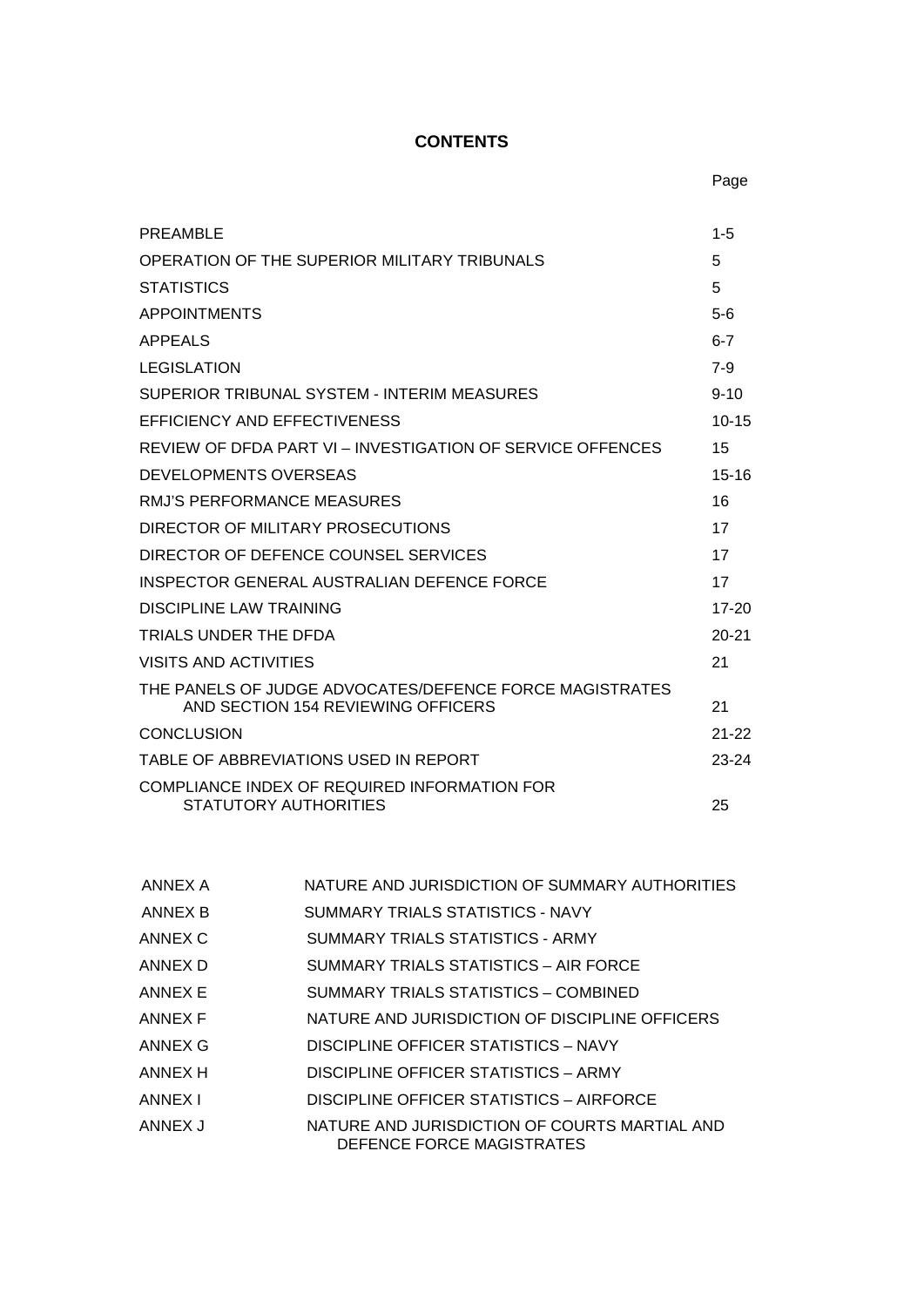## **CONTENTS**

| PREAMBLE                                                                                      | $1 - 5$   |
|-----------------------------------------------------------------------------------------------|-----------|
| OPERATION OF THE SUPERIOR MILITARY TRIBUNALS                                                  | 5         |
| <b>STATISTICS</b>                                                                             | 5         |
| <b>APPOINTMENTS</b>                                                                           | $5 - 6$   |
| <b>APPEALS</b>                                                                                | $6 - 7$   |
| <b>LEGISLATION</b>                                                                            | $7-9$     |
| SUPERIOR TRIBUNAL SYSTEM - INTERIM MEASURES                                                   | $9 - 10$  |
| EFFICIENCY AND EFFECTIVENESS                                                                  | $10 - 15$ |
| REVIEW OF DEDA PART VI - INVESTIGATION OF SERVICE OFFENCES                                    | 15        |
| DEVELOPMENTS OVERSEAS                                                                         | $15 - 16$ |
| RMJ'S PERFORMANCE MEASURES                                                                    | 16        |
| DIRECTOR OF MILITARY PROSECUTIONS                                                             | 17        |
| DIRECTOR OF DEFENCE COUNSEL SERVICES                                                          | 17        |
| INSPECTOR GENERAL AUSTRALIAN DEFENCE FORCE                                                    | 17        |
| DISCIPLINE LAW TRAINING                                                                       | $17 - 20$ |
| TRIALS UNDER THE DFDA                                                                         | $20 - 21$ |
| VISITS AND ACTIVITIES                                                                         | 21        |
| THE PANELS OF JUDGE ADVOCATES/DEFENCE FORCE MAGISTRATES<br>AND SECTION 154 REVIEWING OFFICERS | 21        |
| CONCLUSION                                                                                    | $21 - 22$ |
| TABLE OF ABBREVIATIONS USED IN REPORT                                                         | 23-24     |
| COMPLIANCE INDEX OF REQUIRED INFORMATION FOR<br>STATUTORY AUTHORITIES                         | 25        |

| ANNEX A | NATURE AND JURISDICTION OF SUMMARY AUTHORITIES                             |
|---------|----------------------------------------------------------------------------|
| ANNEX B | SUMMARY TRIALS STATISTICS - NAVY                                           |
| ANNEX C | SUMMARY TRIALS STATISTICS - ARMY                                           |
| ANNEX D | SUMMARY TRIALS STATISTICS - AIR FORCE                                      |
| ANNEX E | SUMMARY TRIALS STATISTICS - COMBINED                                       |
| ANNEX F | NATURE AND JURISDICTION OF DISCIPLINE OFFICERS                             |
| ANNEX G | DISCIPLINE OFFICER STATISTICS - NAVY                                       |
| ANNEX H | DISCIPLINE OFFICER STATISTICS - ARMY                                       |
| ANNEX I | DISCIPLINE OFFICER STATISTICS - AIRFORCE                                   |
| ANNEX J | NATURE AND JURISDICTION OF COURTS MARTIAL AND<br>DEFENCE FORCE MAGISTRATES |
|         |                                                                            |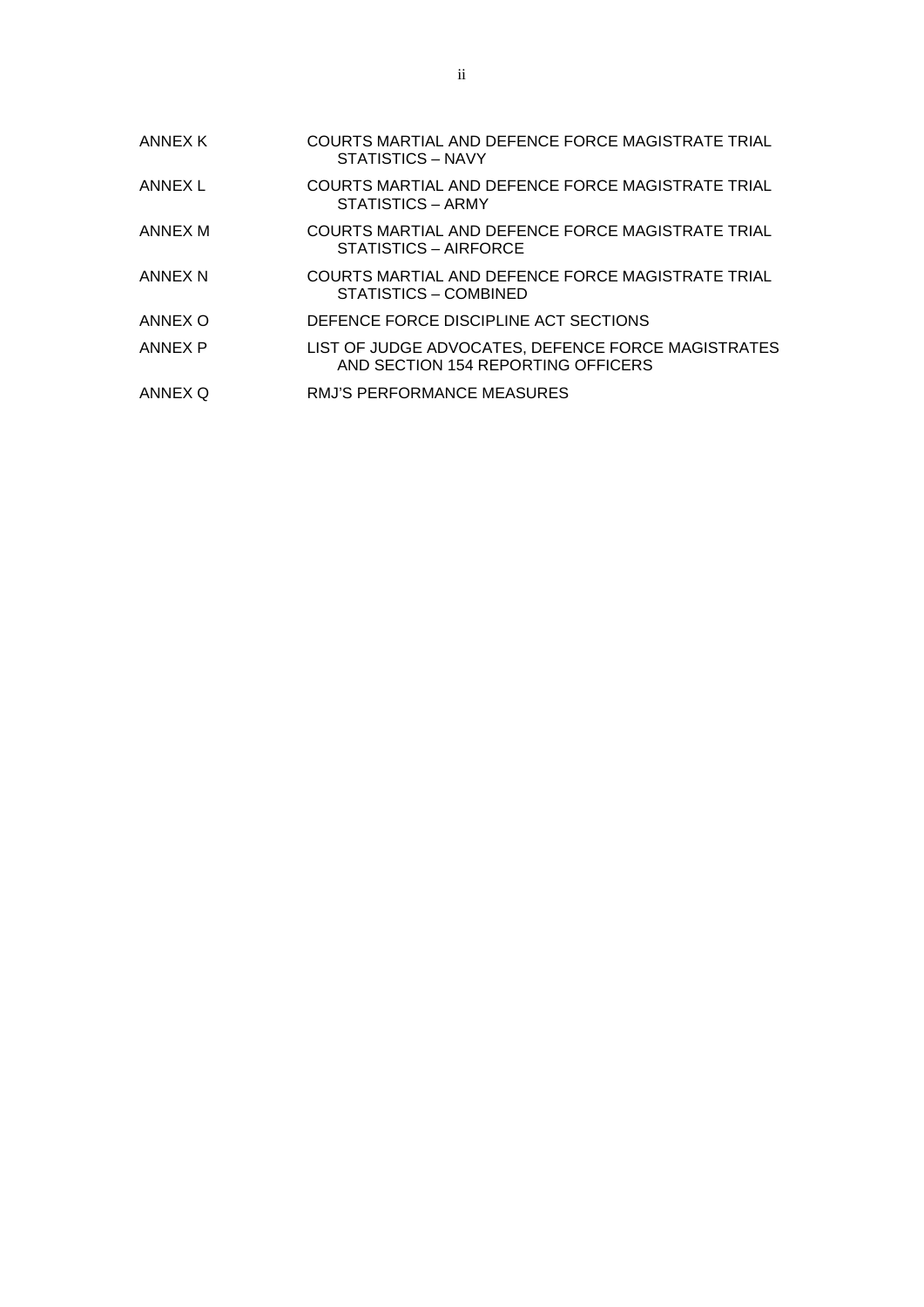| ANNEX K | <b>COURTS MARTIAL AND DEFENCE FORCE MAGISTRATE TRIAL</b><br>STATISTICS - NAVY            |
|---------|------------------------------------------------------------------------------------------|
| ANNEX L | COURTS MARTIAL AND DEFENCE FORCE MAGISTRATE TRIAL<br>STATISTICS - ARMY                   |
| ANNEX M | COURTS MARTIAL AND DEFENCE FORCE MAGISTRATE TRIAL<br>STATISTICS - AIRFORCE               |
| ANNEX N | COURTS MARTIAL AND DEFENCE FORCE MAGISTRATE TRIAL<br>STATISTICS - COMBINED               |
| ANNEX O | DEFENCE FORCE DISCIPLINE ACT SECTIONS                                                    |
| ANNEX P | LIST OF JUDGE ADVOCATES, DEFENCE FORCE MAGISTRATES<br>AND SECTION 154 REPORTING OFFICERS |
| ANNEX Q | RMJ'S PERFORMANCE MEASURES                                                               |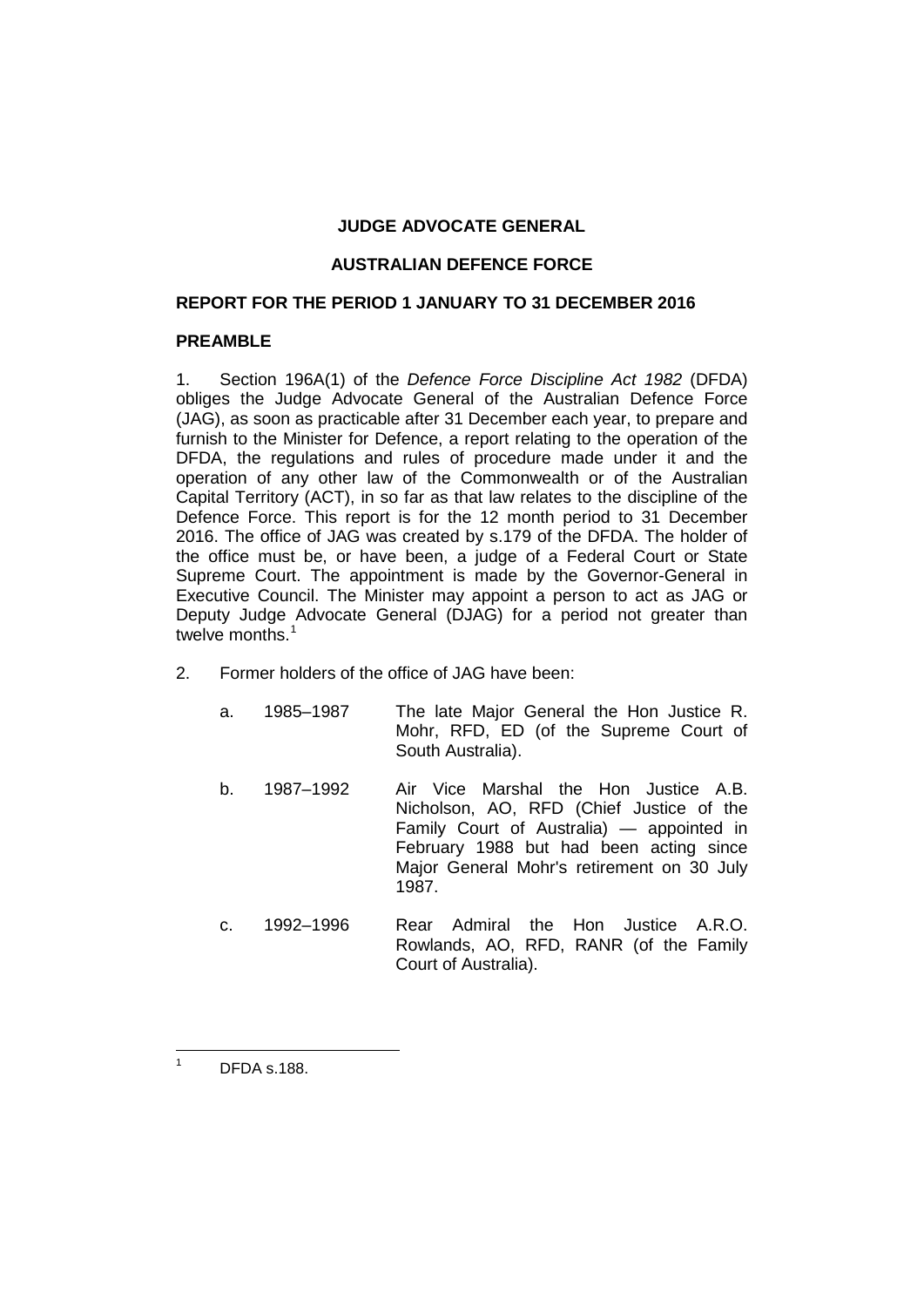#### **JUDGE ADVOCATE GENERAL**

#### **AUSTRALIAN DEFENCE FORCE**

#### **REPORT FOR THE PERIOD 1 JANUARY TO 31 DECEMBER 2016**

#### **PREAMBLE**

1. Section 196A(1) of the *Defence Force Discipline Act 1982* (DFDA) obliges the Judge Advocate General of the Australian Defence Force (JAG), as soon as practicable after 31 December each year, to prepare and furnish to the Minister for Defence, a report relating to the operation of the DFDA, the regulations and rules of procedure made under it and the operation of any other law of the Commonwealth or of the Australian Capital Territory (ACT), in so far as that law relates to the discipline of the Defence Force. This report is for the 12 month period to 31 December 2016. The office of JAG was created by s.179 of the DFDA. The holder of the office must be, or have been, a judge of a Federal Court or State Supreme Court. The appointment is made by the Governor-General in Executive Council. The Minister may appoint a person to act as JAG or Deputy Judge Advocate General (DJAG) for a period not greater than twelve months.<sup>[1](#page-6-0)</sup>

- 2. Former holders of the office of JAG have been:
	- a. 1985–1987 The late Major General the Hon Justice R. Mohr, RFD, ED (of the Supreme Court of South Australia).
	- b. 1987–1992 Air Vice Marshal the Hon Justice A.B. Nicholson, AO, RFD (Chief Justice of the Family Court of Australia) — appointed in February 1988 but had been acting since Major General Mohr's retirement on 30 July 1987.
	- c. 1992–1996 Rear Admiral the Hon Justice A.R.O. Rowlands, AO, RFD, RANR (of the Family Court of Australia).

<span id="page-6-0"></span> $1^1$  DFDA s.188.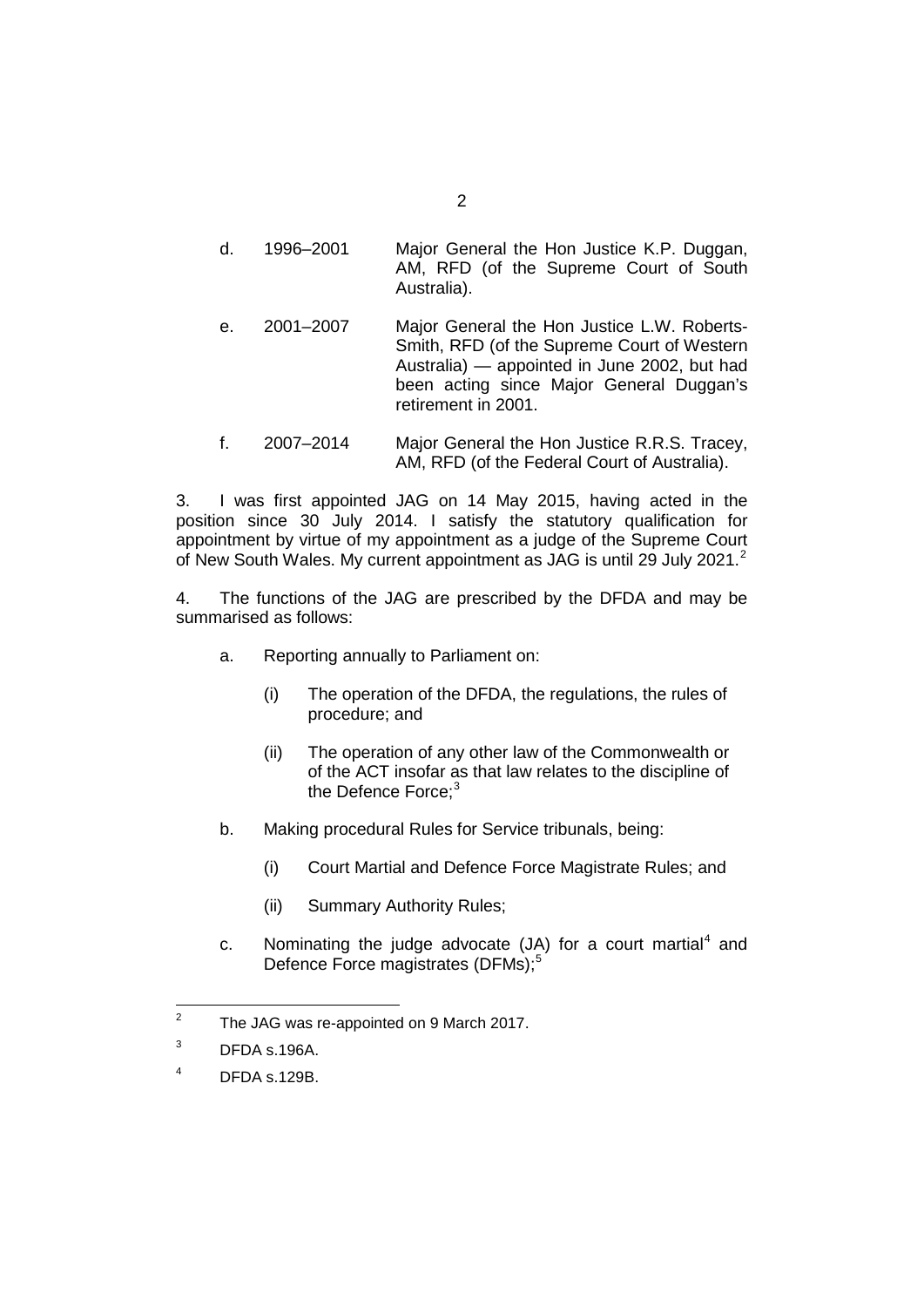- d. 1996–2001 Major General the Hon Justice K.P. Duggan, AM, RFD (of the Supreme Court of South Australia).
- e. 2001–2007 Major General the Hon Justice L.W. Roberts-Smith, RFD (of the Supreme Court of Western Australia) — appointed in June 2002, but had been acting since Major General Duggan's retirement in 2001.
- f. 2007–2014 Major General the Hon Justice R.R.S. Tracey, AM, RFD (of the Federal Court of Australia).

3. I was first appointed JAG on 14 May 2015, having acted in the position since 30 July 2014. I satisfy the statutory qualification for appointment by virtue of my appointment as a judge of the Supreme Court of New South Wales. My current appointment as JAG is until [2](#page-7-0)9 July 2021.<sup>2</sup>

4. The functions of the JAG are prescribed by the DFDA and may be summarised as follows:

- a. Reporting annually to Parliament on:
	- (i) The operation of the DFDA, the regulations, the rules of procedure; and
	- (ii) The operation of any other law of the Commonwealth or of the ACT insofar as that law relates to the discipline of the Defence Force:<sup>[3](#page-7-1)</sup>
- b. Making procedural Rules for Service tribunals, being:
	- (i) Court Martial and Defence Force Magistrate Rules; and
	- (ii) Summary Authority Rules;
- c. Nominating the judge advocate  $(JA)$  for a court martial<sup>[4](#page-7-2)</sup> and Defence Force magistrates (DFMs);<sup>[5](#page-7-3)</sup>

<span id="page-7-3"></span><span id="page-7-0"></span><sup>&</sup>lt;sup>2</sup> The JAG was re-appointed on 9 March 2017.

<span id="page-7-1"></span> $3$  DFDA s.196A.

<span id="page-7-2"></span> $4$  DFDA s.129B.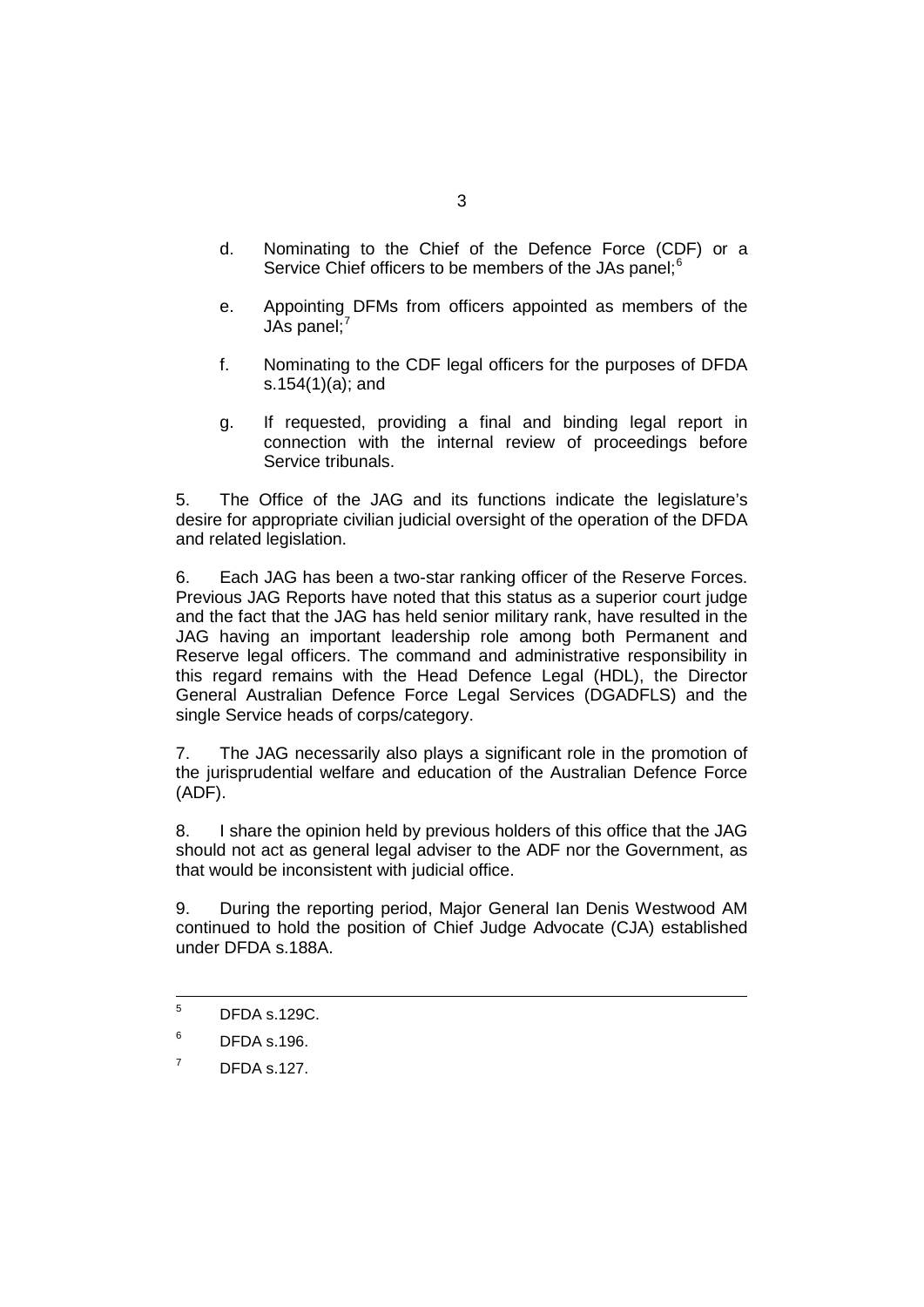- d. Nominating to the Chief of the Defence Force (CDF) or a Service Chief officers to be members of the JAs panel;<sup>[6](#page-8-0)</sup>
- e. Appointing DFMs from officers appointed as members of the JAs panel; $<sup>7</sup>$  $<sup>7</sup>$  $<sup>7</sup>$ </sup>
- f. Nominating to the CDF legal officers for the purposes of DFDA s.154(1)(a); and
- g. If requested, providing a final and binding legal report in connection with the internal review of proceedings before Service tribunals.

5. The Office of the JAG and its functions indicate the legislature's desire for appropriate civilian judicial oversight of the operation of the DFDA and related legislation.

6. Each JAG has been a two-star ranking officer of the Reserve Forces. Previous JAG Reports have noted that this status as a superior court judge and the fact that the JAG has held senior military rank, have resulted in the JAG having an important leadership role among both Permanent and Reserve legal officers. The command and administrative responsibility in this regard remains with the Head Defence Legal (HDL), the Director General Australian Defence Force Legal Services (DGADFLS) and the single Service heads of corps/category.

7. The JAG necessarily also plays a significant role in the promotion of the jurisprudential welfare and education of the Australian Defence Force (ADF).

8. I share the opinion held by previous holders of this office that the JAG should not act as general legal adviser to the ADF nor the Government, as that would be inconsistent with judicial office.

9. During the reporting period, Major General Ian Denis Westwood AM continued to hold the position of Chief Judge Advocate (CJA) established under DFDA s.188A.

 $5$  DFDA s.129C.

<span id="page-8-0"></span> $6$  DFDA s.196.

<span id="page-8-1"></span> $<sup>7</sup>$  DFDA s.127.</sup>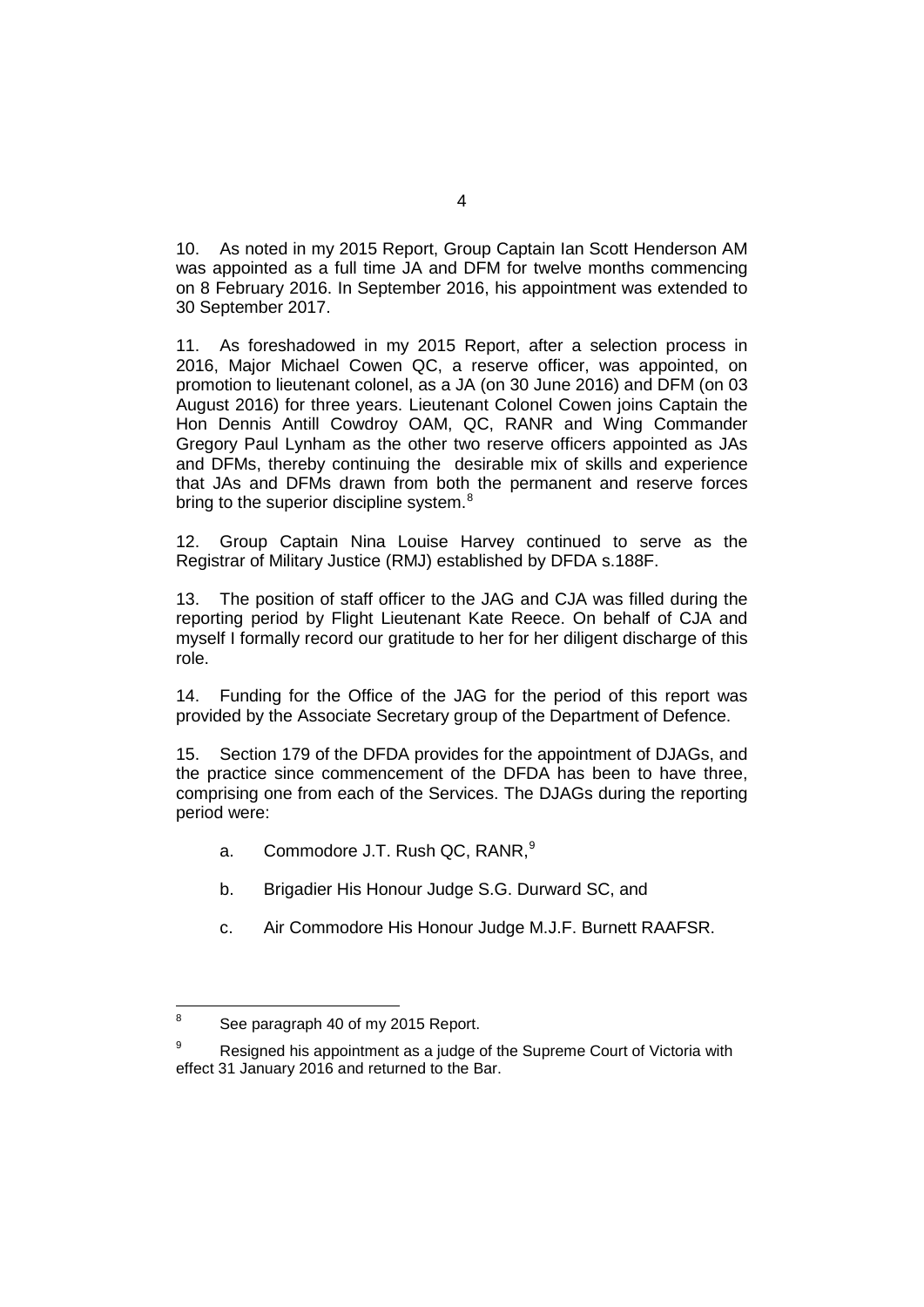10. As noted in my 2015 Report, Group Captain Ian Scott Henderson AM was appointed as a full time JA and DFM for twelve months commencing on 8 February 2016. In September 2016, his appointment was extended to 30 September 2017.

11. As foreshadowed in my 2015 Report, after a selection process in 2016, Major Michael Cowen QC, a reserve officer, was appointed, on promotion to lieutenant colonel, as a JA (on 30 June 2016) and DFM (on 03 August 2016) for three years. Lieutenant Colonel Cowen joins Captain the Hon Dennis Antill Cowdroy OAM, QC, RANR and Wing Commander Gregory Paul Lynham as the other two reserve officers appointed as JAs and DFMs, thereby continuing the desirable mix of skills and experience that JAs and DFMs drawn from both the permanent and reserve forces bring to the superior discipline system. $^8$  $^8$ 

12. Group Captain Nina Louise Harvey continued to serve as the Registrar of Military Justice (RMJ) established by DFDA s.188F.

13. The position of staff officer to the JAG and CJA was filled during the reporting period by Flight Lieutenant Kate Reece. On behalf of CJA and myself I formally record our gratitude to her for her diligent discharge of this role.

14. Funding for the Office of the JAG for the period of this report was provided by the Associate Secretary group of the Department of Defence.

15. Section 179 of the DFDA provides for the appointment of DJAGs, and the practice since commencement of the DFDA has been to have three, comprising one from each of the Services. The DJAGs during the reporting period were:

- a. Commodore J.T. Rush QC, RANR,<sup>[9](#page-9-1)</sup>
- b. Brigadier His Honour Judge S.G. Durward SC, and
- c. Air Commodore His Honour Judge M.J.F. Burnett RAAFSR.

<span id="page-9-0"></span><sup>&</sup>lt;sup>8</sup> See paragraph 40 of my 2015 Report.

<span id="page-9-1"></span> $9^9$  Resigned his appointment as a judge of the Supreme Court of Victoria with effect 31 January 2016 and returned to the Bar.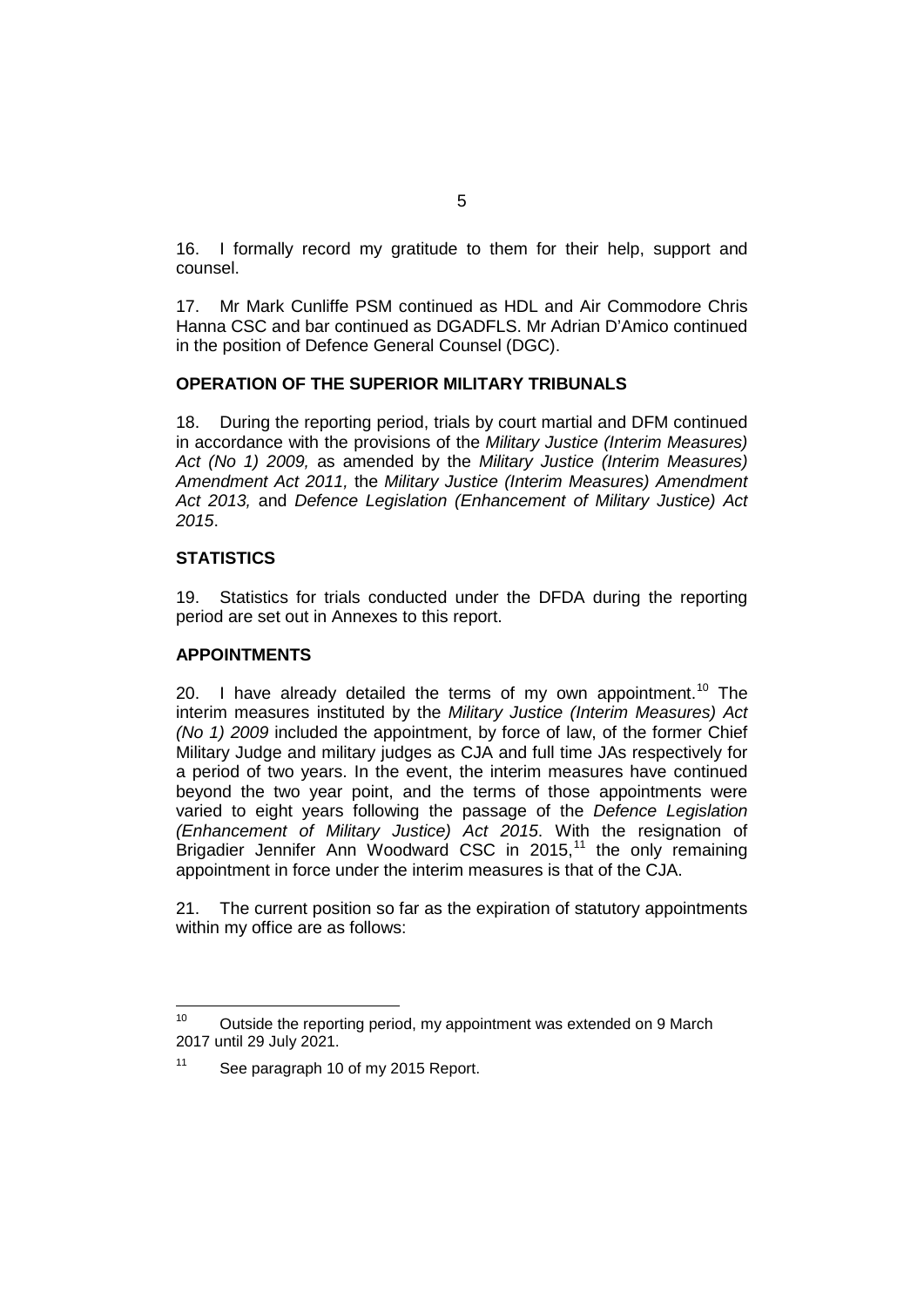16. I formally record my gratitude to them for their help, support and counsel.

17. Mr Mark Cunliffe PSM continued as HDL and Air Commodore Chris Hanna CSC and bar continued as DGADFLS. Mr Adrian D'Amico continued in the position of Defence General Counsel (DGC).

#### **OPERATION OF THE SUPERIOR MILITARY TRIBUNALS**

18. During the reporting period, trials by court martial and DFM continued in accordance with the provisions of the *Military Justice (Interim Measures) Act (No 1) 2009,* as amended by the *Military Justice (Interim Measures) Amendment Act 2011,* the *Military Justice (Interim Measures) Amendment Act 2013,* and *Defence Legislation (Enhancement of Military Justice) Act 2015*.

#### **STATISTICS**

19. Statistics for trials conducted under the DFDA during the reporting period are set out in Annexes to this report.

#### **APPOINTMENTS**

20. I have already detailed the terms of my own appointment.<sup>[10](#page-10-0)</sup> The interim measures instituted by the *Military Justice (Interim Measures) Act (No 1) 2009* included the appointment, by force of law, of the former Chief Military Judge and military judges as CJA and full time JAs respectively for a period of two years. In the event, the interim measures have continued beyond the two year point, and the terms of those appointments were varied to eight years following the passage of the *Defence Legislation (Enhancement of Military Justice) Act 2015*. With the resignation of Brigadier Jennifer Ann Woodward CSC in 2015,<sup>[11](#page-10-1)</sup> the only remaining appointment in force under the interim measures is that of the CJA.

21. The current position so far as the expiration of statutory appointments within my office are as follows:

<span id="page-10-0"></span><sup>&</sup>lt;sup>10</sup> Outside the reporting period, my appointment was extended on 9 March 2017 until 29 July 2021.

<span id="page-10-1"></span><sup>&</sup>lt;sup>11</sup> See paragraph 10 of my 2015 Report.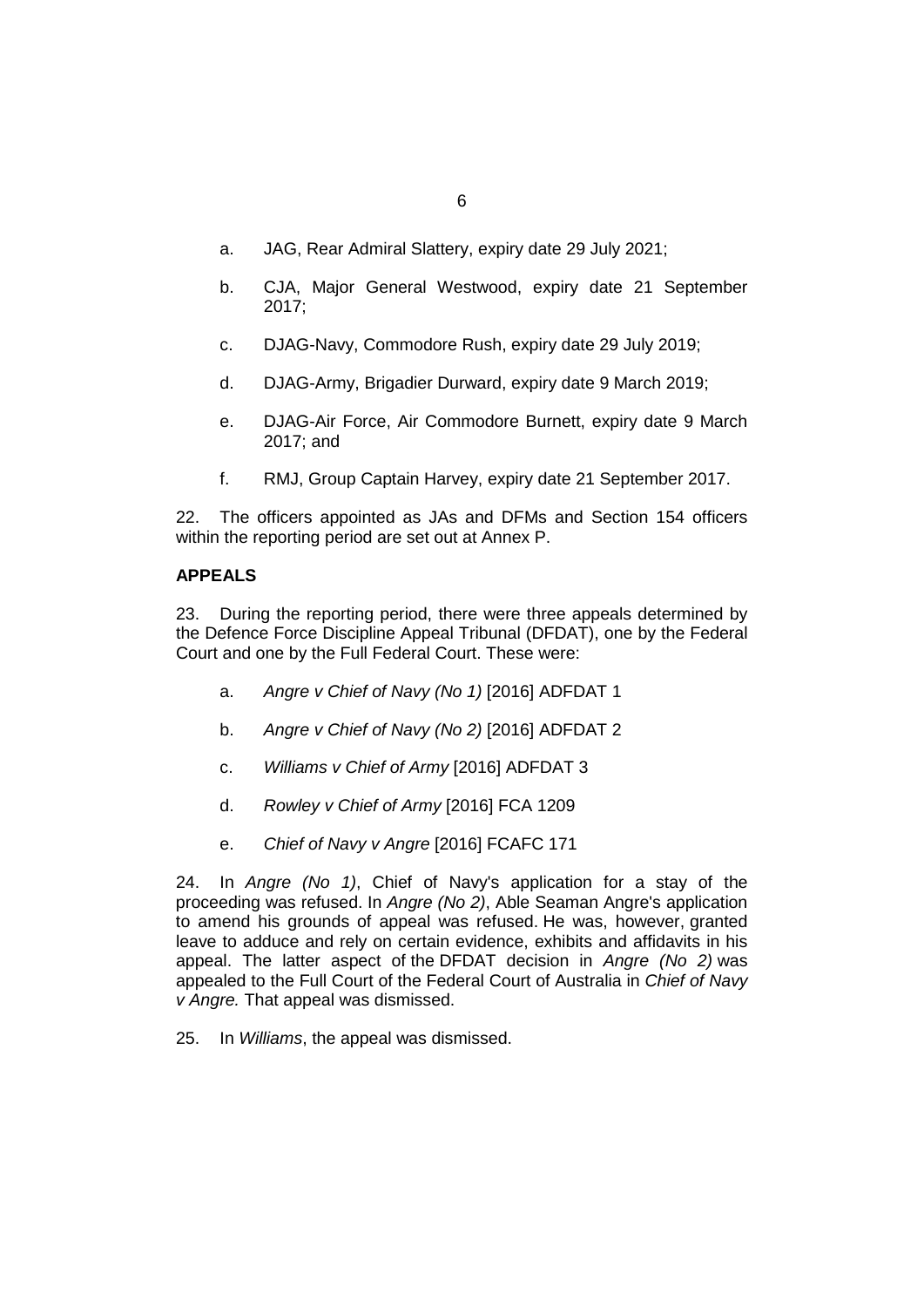- a. JAG, Rear Admiral Slattery, expiry date 29 July 2021;
- b. CJA, Major General Westwood, expiry date 21 September 2017;
- c. DJAG-Navy, Commodore Rush, expiry date 29 July 2019;
- d. DJAG-Army, Brigadier Durward, expiry date 9 March 2019;
- e. DJAG-Air Force, Air Commodore Burnett, expiry date 9 March 2017; and
- f. RMJ, Group Captain Harvey, expiry date 21 September 2017.

22. The officers appointed as JAs and DFMs and Section 154 officers within the reporting period are set out at Annex P.

## **APPEALS**

23. During the reporting period, there were three appeals determined by the Defence Force Discipline Appeal Tribunal (DFDAT), one by the Federal Court and one by the Full Federal Court. These were:

- a. *Angre v Chief of Navy (No 1)* [2016] ADFDAT 1
- b. *Angre v Chief of Navy (No 2)* [2016] ADFDAT 2
- c. *Williams v Chief of Army* [2016] ADFDAT 3
- d. *Rowley v Chief of Army* [2016] FCA 1209
- e. *Chief of Navy v Angre* [2016] FCAFC 171

24. In *Angre (No 1)*, Chief of Navy's application for a stay of the proceeding was refused. In *Angre (No 2)*, Able Seaman Angre's application to amend his grounds of appeal was refused. He was, however, granted leave to adduce and rely on certain evidence, exhibits and affidavits in his appeal. The latter aspect of the DFDAT decision in *Angre (No 2)* was appealed to the Full Court of the Federal Court of Australia in *Chief of Navy v Angre.* That appeal was dismissed.

25. In *Williams*, the appeal was dismissed.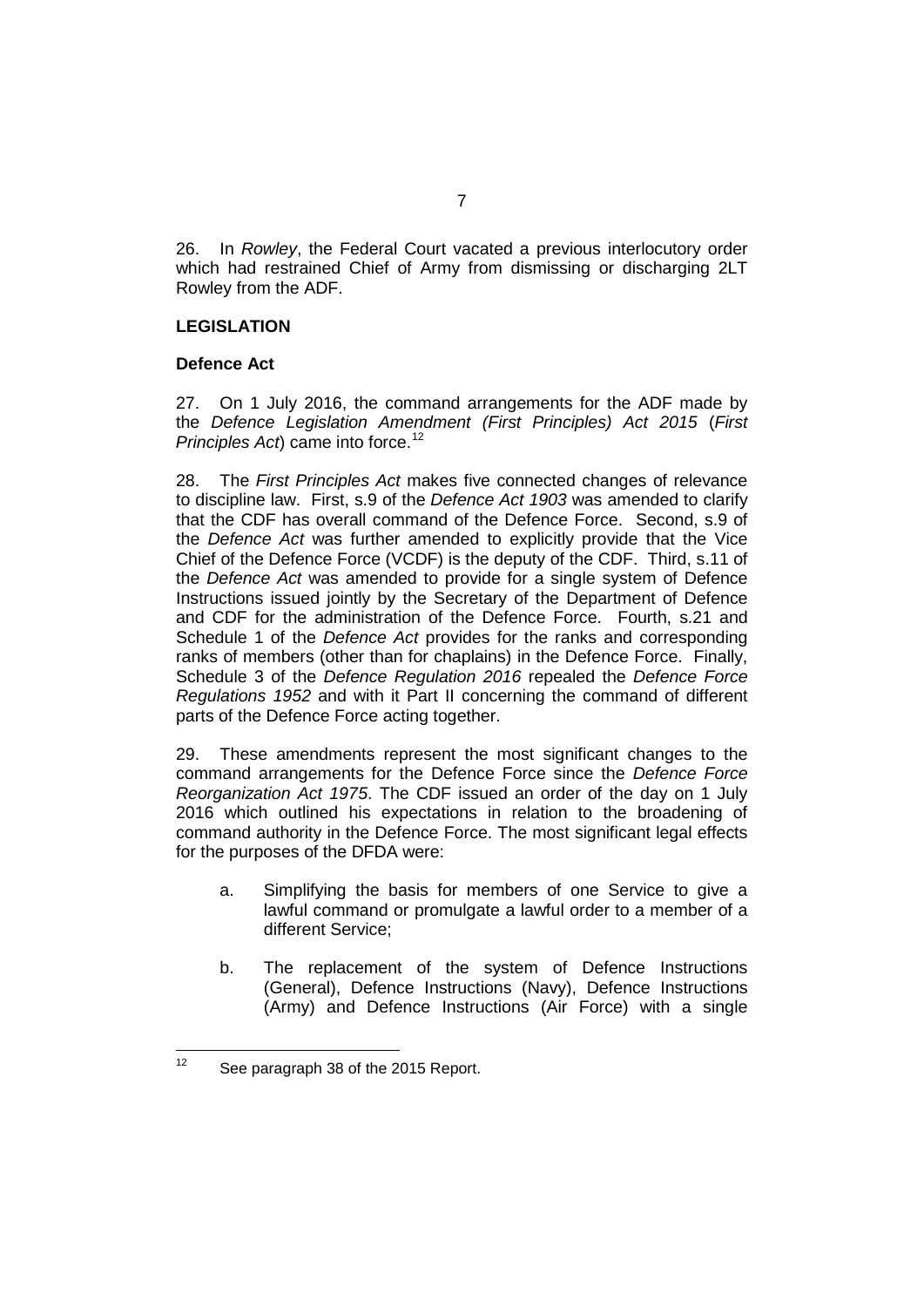26. In *Rowley*, the Federal Court vacated a previous interlocutory order which had restrained Chief of Army from dismissing or discharging 2LT Rowley from the ADF.

#### **LEGISLATION**

#### **Defence Act**

27. On 1 July 2016, the command arrangements for the ADF made by the *Defence Legislation Amendment (First Principles) Act 2015* (*First Principles Act*) came into force.<sup>[12](#page-12-0)</sup>

28. The *First Principles Act* makes five connected changes of relevance to discipline law. First, s.9 of the *Defence Act 1903* was amended to clarify that the CDF has overall command of the Defence Force. Second, s.9 of the *Defence Act* was further amended to explicitly provide that the Vice Chief of the Defence Force (VCDF) is the deputy of the CDF. Third, s.11 of the *Defence Act* was amended to provide for a single system of Defence Instructions issued jointly by the Secretary of the Department of Defence and CDF for the administration of the Defence Force. Fourth, s.21 and Schedule 1 of the *Defence Act* provides for the ranks and corresponding ranks of members (other than for chaplains) in the Defence Force. Finally, Schedule 3 of the *Defence Regulation 2016* repealed the *Defence Force Regulations 1952* and with it Part II concerning the command of different parts of the Defence Force acting together.

29. These amendments represent the most significant changes to the command arrangements for the Defence Force since the *Defence Force Reorganization Act 1975*. The CDF issued an order of the day on 1 July 2016 which outlined his expectations in relation to the broadening of command authority in the Defence Force. The most significant legal effects for the purposes of the DFDA were:

- a. Simplifying the basis for members of one Service to give a lawful command or promulgate a lawful order to a member of a different Service;
- b. The replacement of the system of Defence Instructions (General), Defence Instructions (Navy), Defence Instructions (Army) and Defence Instructions (Air Force) with a single

<span id="page-12-0"></span><sup>&</sup>lt;sup>12</sup> See paragraph 38 of the 2015 Report.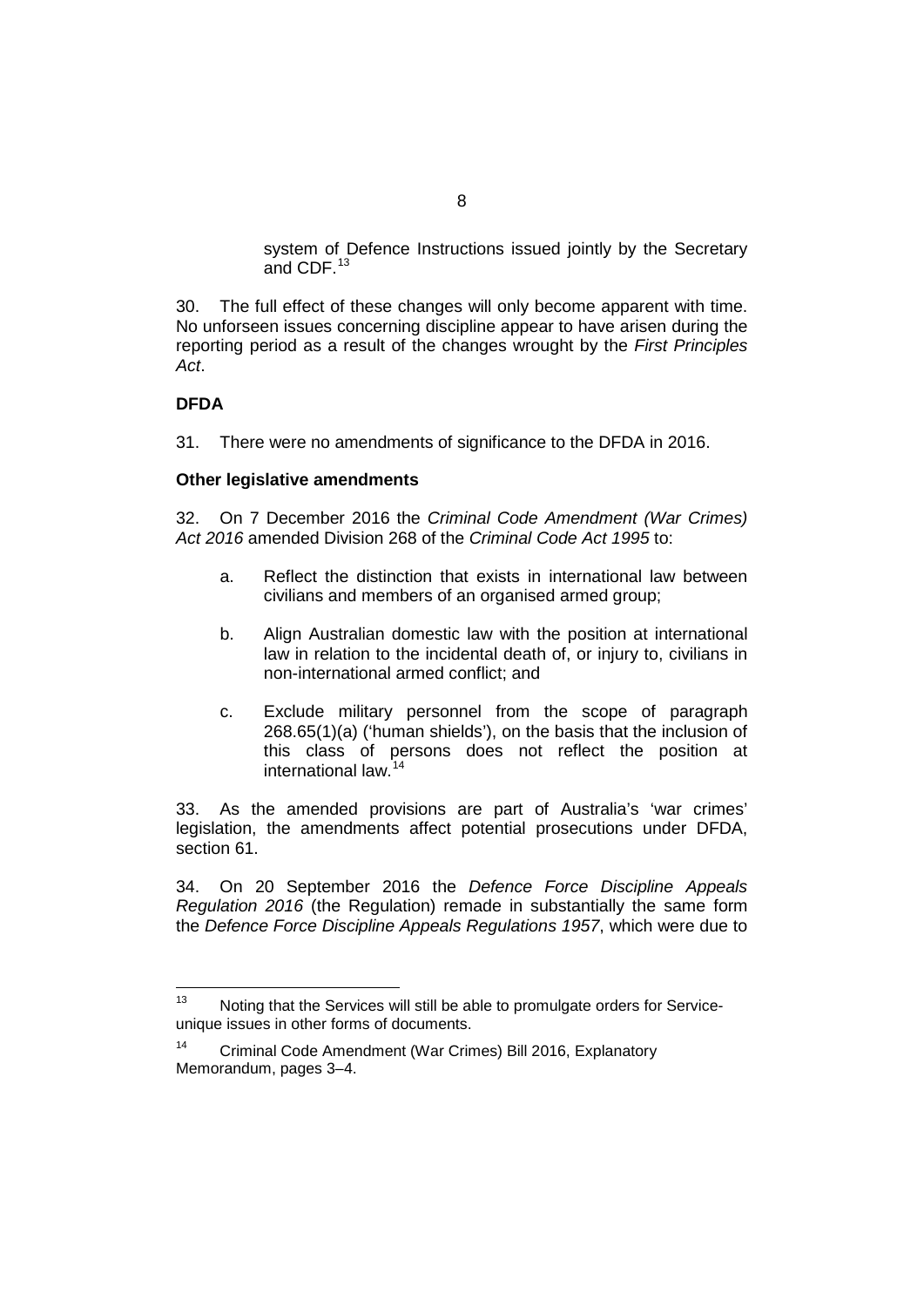system of Defence Instructions issued jointly by the Secretary and CDF.<sup>[13](#page-13-0)</sup>

30. The full effect of these changes will only become apparent with time. No unforseen issues concerning discipline appear to have arisen during the reporting period as a result of the changes wrought by the *First Principles Act*.

#### **DFDA**

31. There were no amendments of significance to the DFDA in 2016.

#### **Other legislative amendments**

32. On 7 December 2016 the *Criminal Code Amendment (War Crimes) Act 2016* amended Division 268 of the *Criminal Code Act 1995* to:

- a. Reflect the distinction that exists in international law between civilians and members of an organised armed group;
- b. Align Australian domestic law with the position at international law in relation to the incidental death of, or injury to, civilians in non-international armed conflict; and
- c. Exclude military personnel from the scope of paragraph 268.65(1)(a) ('human shields'), on the basis that the inclusion of this class of persons does not reflect the position at international law.[14](#page-13-1)

33. As the amended provisions are part of Australia's 'war crimes' legislation, the amendments affect potential prosecutions under DFDA, section 61.

34. On 20 September 2016 the *Defence Force Discipline Appeals Regulation 2016* (the Regulation) remade in substantially the same form the *Defence Force Discipline Appeals Regulations 1957*, which were due to

<span id="page-13-0"></span> $13$  Noting that the Services will still be able to promulgate orders for Serviceunique issues in other forms of documents.

<span id="page-13-1"></span><sup>14</sup> Criminal Code Amendment (War Crimes) Bill 2016, Explanatory Memorandum, pages 3–4.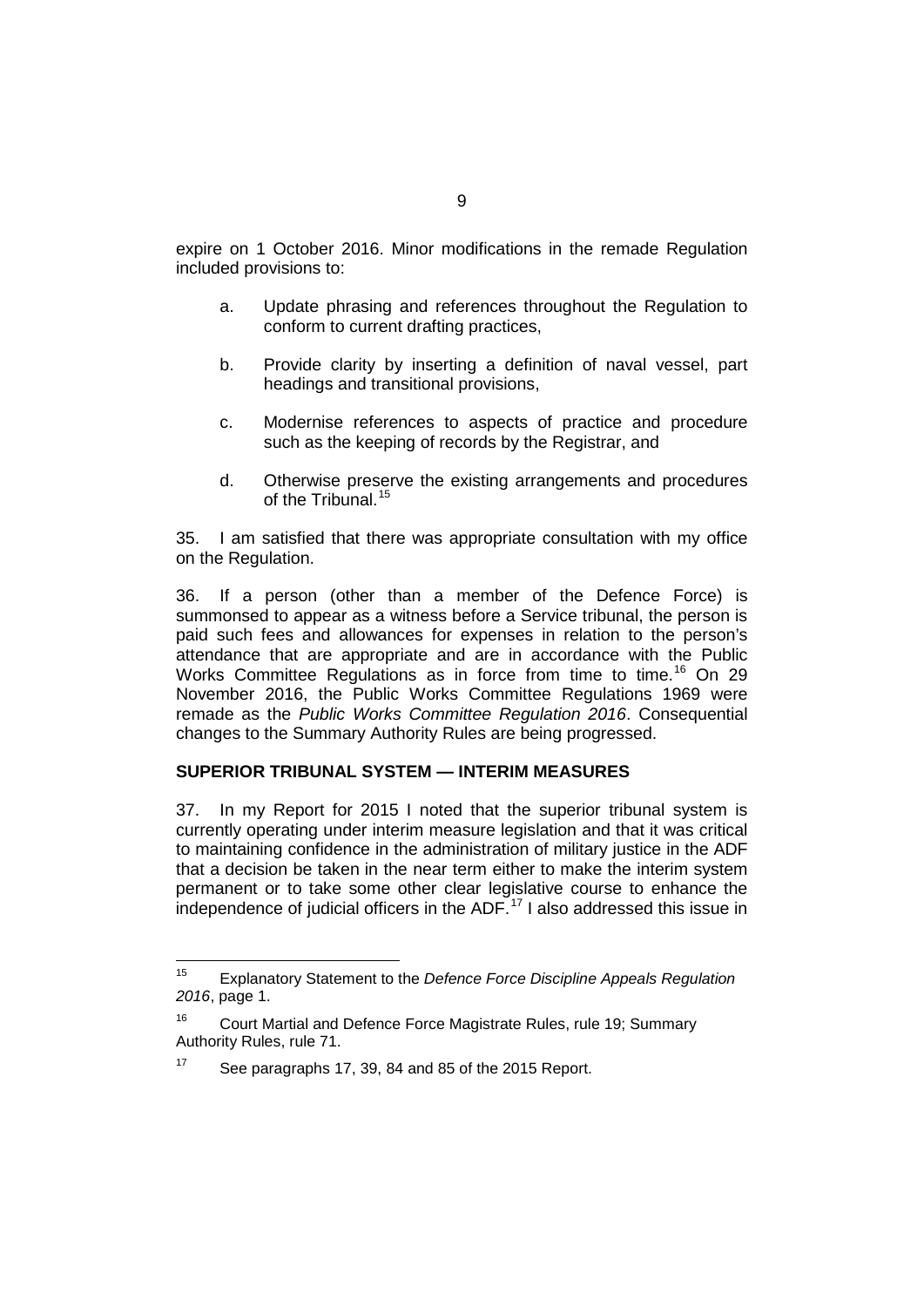expire on 1 October 2016. Minor modifications in the remade Regulation included provisions to:

- a. Update phrasing and references throughout the Regulation to conform to current drafting practices,
- b. Provide clarity by inserting a definition of naval vessel, part headings and transitional provisions,
- c. Modernise references to aspects of practice and procedure such as the keeping of records by the Registrar, and
- d. Otherwise preserve the existing arrangements and procedures of the Tribunal.<sup>[15](#page-14-0)</sup>

35. I am satisfied that there was appropriate consultation with my office on the Regulation.

36. If a person (other than a member of the Defence Force) is summonsed to appear as a witness before a Service tribunal, the person is paid such fees and allowances for expenses in relation to the person's attendance that are appropriate and are in accordance with the Public Works Committee Regulations as in force from time to time.<sup>[16](#page-14-1)</sup> On 29 November 2016, the Public Works Committee Regulations 1969 were remade as the *Public Works Committee Regulation 2016*. Consequential changes to the Summary Authority Rules are being progressed.

## **SUPERIOR TRIBUNAL SYSTEM — INTERIM MEASURES**

37. In my Report for 2015 I noted that the superior tribunal system is currently operating under interim measure legislation and that it was critical to maintaining confidence in the administration of military justice in the ADF that a decision be taken in the near term either to make the interim system permanent or to take some other clear legislative course to enhance the independence of judicial officers in the ADF. [17](#page-14-2) I also addressed this issue in

<span id="page-14-0"></span><sup>15</sup> Explanatory Statement to the *Defence Force Discipline Appeals Regulation 2016*, page 1.

<span id="page-14-1"></span><sup>&</sup>lt;sup>16</sup> Court Martial and Defence Force Magistrate Rules, rule 19; Summary Authority Rules, rule 71.

<span id="page-14-2"></span>See paragraphs 17, 39, 84 and 85 of the 2015 Report.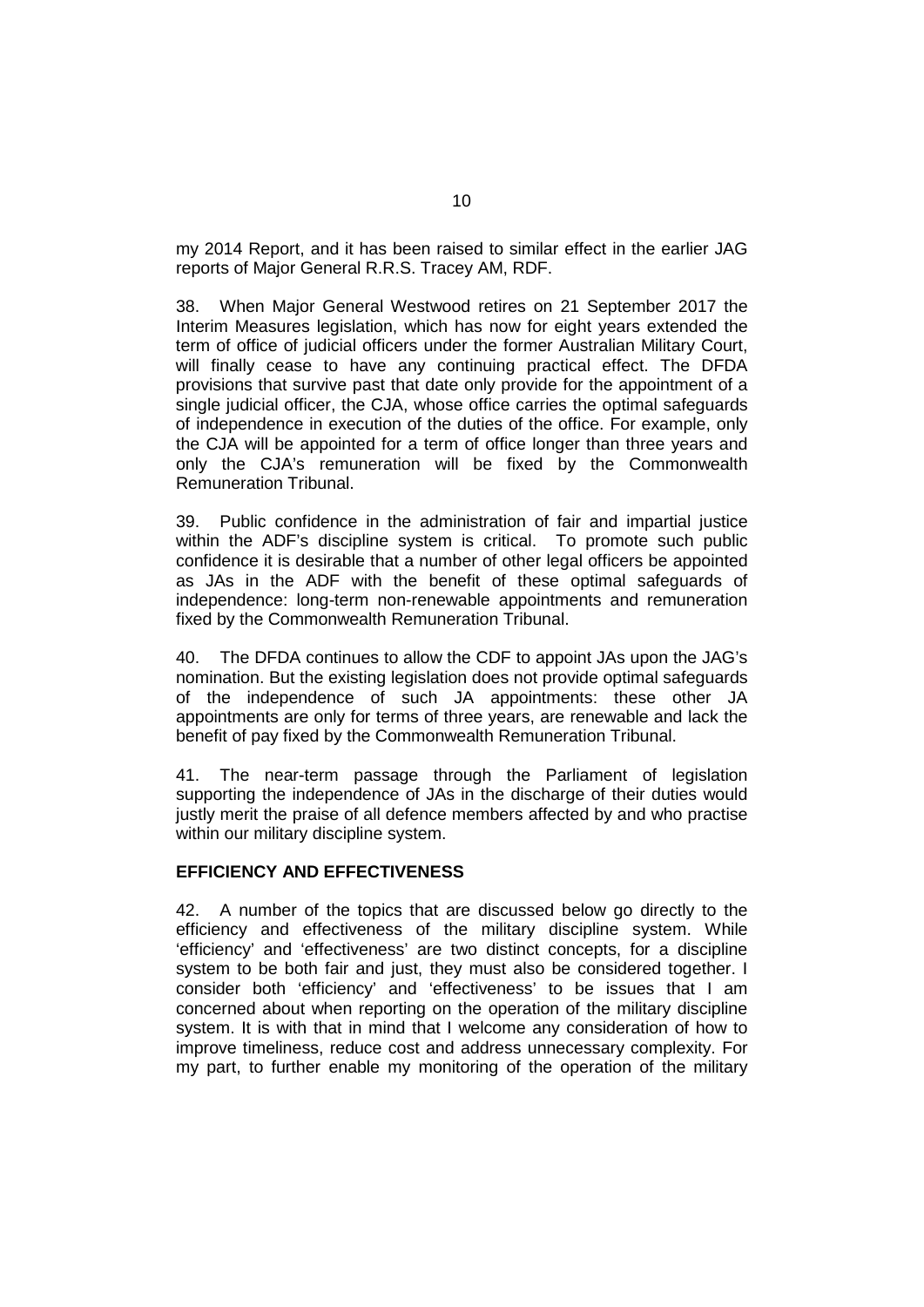my 2014 Report, and it has been raised to similar effect in the earlier JAG reports of Major General R.R.S. Tracey AM, RDF.

38. When Major General Westwood retires on 21 September 2017 the Interim Measures legislation, which has now for eight years extended the term of office of judicial officers under the former Australian Military Court, will finally cease to have any continuing practical effect. The DFDA provisions that survive past that date only provide for the appointment of a single judicial officer, the CJA, whose office carries the optimal safeguards of independence in execution of the duties of the office. For example, only the CJA will be appointed for a term of office longer than three years and only the CJA's remuneration will be fixed by the Commonwealth Remuneration Tribunal.

39. Public confidence in the administration of fair and impartial justice within the ADF's discipline system is critical. To promote such public confidence it is desirable that a number of other legal officers be appointed as JAs in the ADF with the benefit of these optimal safeguards of independence: long-term non-renewable appointments and remuneration fixed by the Commonwealth Remuneration Tribunal.

40. The DFDA continues to allow the CDF to appoint JAs upon the JAG's nomination. But the existing legislation does not provide optimal safeguards of the independence of such JA appointments: these other JA appointments are only for terms of three years, are renewable and lack the benefit of pay fixed by the Commonwealth Remuneration Tribunal.

41. The near-term passage through the Parliament of legislation supporting the independence of JAs in the discharge of their duties would justly merit the praise of all defence members affected by and who practise within our military discipline system.

#### **EFFICIENCY AND EFFECTIVENESS**

42. A number of the topics that are discussed below go directly to the efficiency and effectiveness of the military discipline system. While 'efficiency' and 'effectiveness' are two distinct concepts, for a discipline system to be both fair and just, they must also be considered together. I consider both 'efficiency' and 'effectiveness' to be issues that I am concerned about when reporting on the operation of the military discipline system. It is with that in mind that I welcome any consideration of how to improve timeliness, reduce cost and address unnecessary complexity. For my part, to further enable my monitoring of the operation of the military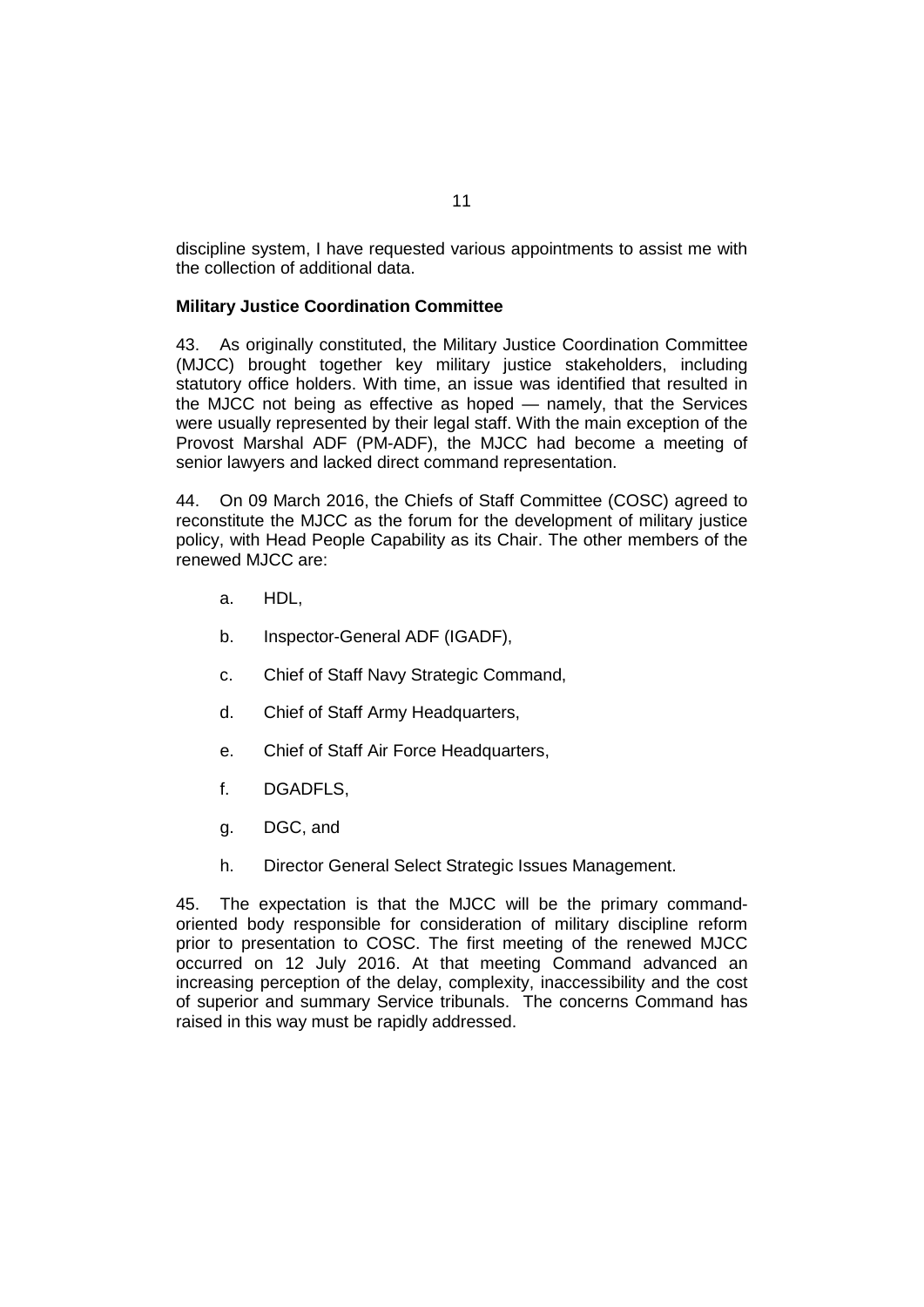discipline system, I have requested various appointments to assist me with the collection of additional data.

#### **Military Justice Coordination Committee**

43. As originally constituted, the Military Justice Coordination Committee (MJCC) brought together key military justice stakeholders, including statutory office holders. With time, an issue was identified that resulted in the MJCC not being as effective as hoped — namely, that the Services were usually represented by their legal staff. With the main exception of the Provost Marshal ADF (PM-ADF), the MJCC had become a meeting of senior lawyers and lacked direct command representation.

44. On 09 March 2016, the Chiefs of Staff Committee (COSC) agreed to reconstitute the MJCC as the forum for the development of military justice policy, with Head People Capability as its Chair. The other members of the renewed MJCC are:

- a. HDL,
- b. Inspector-General ADF (IGADF),
- c. Chief of Staff Navy Strategic Command,
- d. Chief of Staff Army Headquarters,
- e. Chief of Staff Air Force Headquarters,
- f. DGADFLS,
- g. DGC, and
- h. Director General Select Strategic Issues Management.

45. The expectation is that the MJCC will be the primary commandoriented body responsible for consideration of military discipline reform prior to presentation to COSC. The first meeting of the renewed MJCC occurred on 12 July 2016. At that meeting Command advanced an increasing perception of the delay, complexity, inaccessibility and the cost of superior and summary Service tribunals. The concerns Command has raised in this way must be rapidly addressed.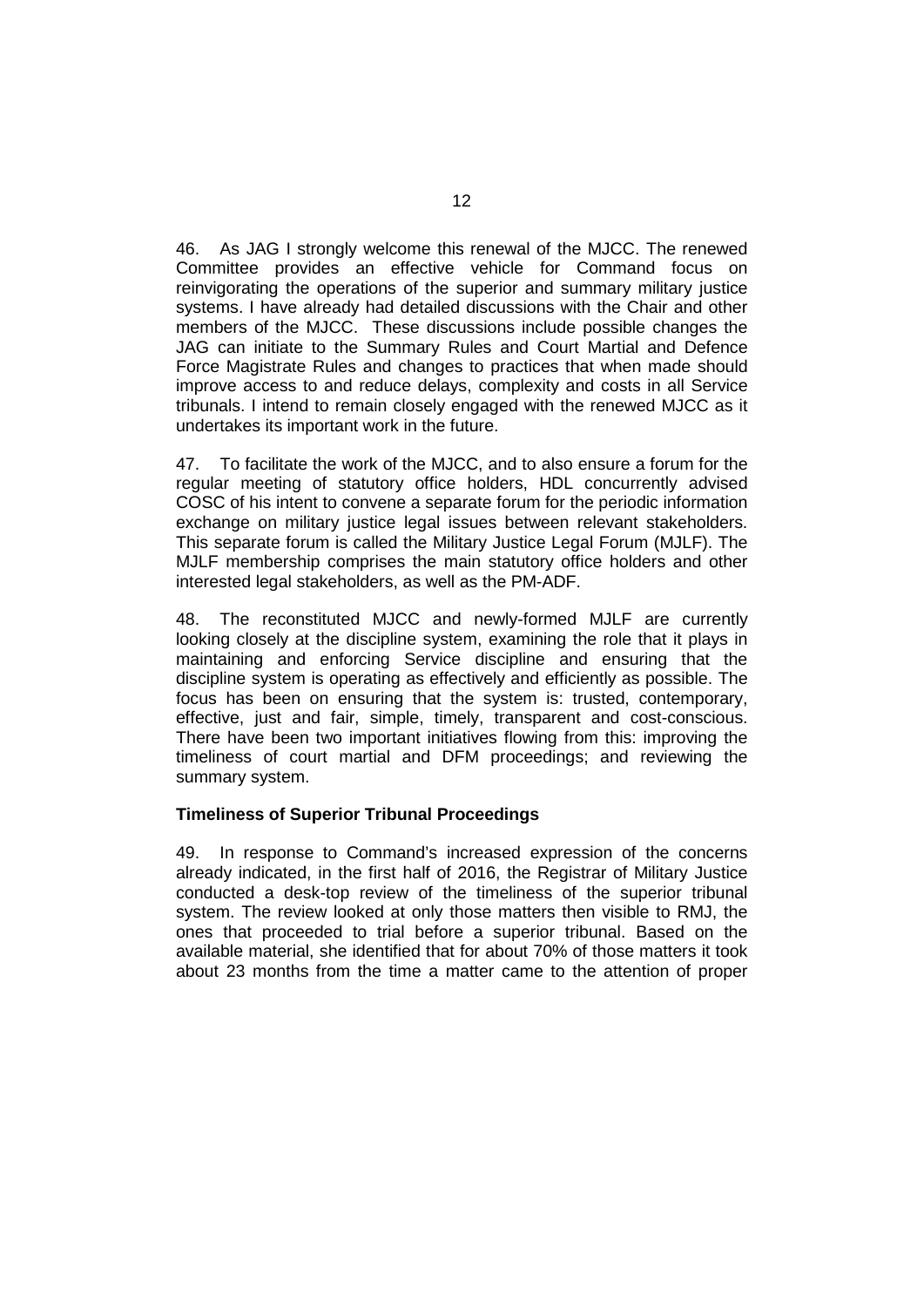46. As JAG I strongly welcome this renewal of the MJCC. The renewed Committee provides an effective vehicle for Command focus on reinvigorating the operations of the superior and summary military justice systems. I have already had detailed discussions with the Chair and other members of the MJCC. These discussions include possible changes the JAG can initiate to the Summary Rules and Court Martial and Defence Force Magistrate Rules and changes to practices that when made should improve access to and reduce delays, complexity and costs in all Service tribunals. I intend to remain closely engaged with the renewed MJCC as it undertakes its important work in the future.

47. To facilitate the work of the MJCC, and to also ensure a forum for the regular meeting of statutory office holders, HDL concurrently advised COSC of his intent to convene a separate forum for the periodic information exchange on military justice legal issues between relevant stakeholders. This separate forum is called the Military Justice Legal Forum (MJLF). The MJLF membership comprises the main statutory office holders and other interested legal stakeholders, as well as the PM-ADF.

48. The reconstituted MJCC and newly-formed MJLF are currently looking closely at the discipline system, examining the role that it plays in maintaining and enforcing Service discipline and ensuring that the discipline system is operating as effectively and efficiently as possible. The focus has been on ensuring that the system is: trusted, contemporary, effective, just and fair, simple, timely, transparent and cost-conscious. There have been two important initiatives flowing from this: improving the timeliness of court martial and DFM proceedings; and reviewing the summary system.

#### **Timeliness of Superior Tribunal Proceedings**

49. In response to Command's increased expression of the concerns already indicated, in the first half of 2016, the Registrar of Military Justice conducted a desk-top review of the timeliness of the superior tribunal system. The review looked at only those matters then visible to RMJ, the ones that proceeded to trial before a superior tribunal. Based on the available material, she identified that for about 70% of those matters it took about 23 months from the time a matter came to the attention of proper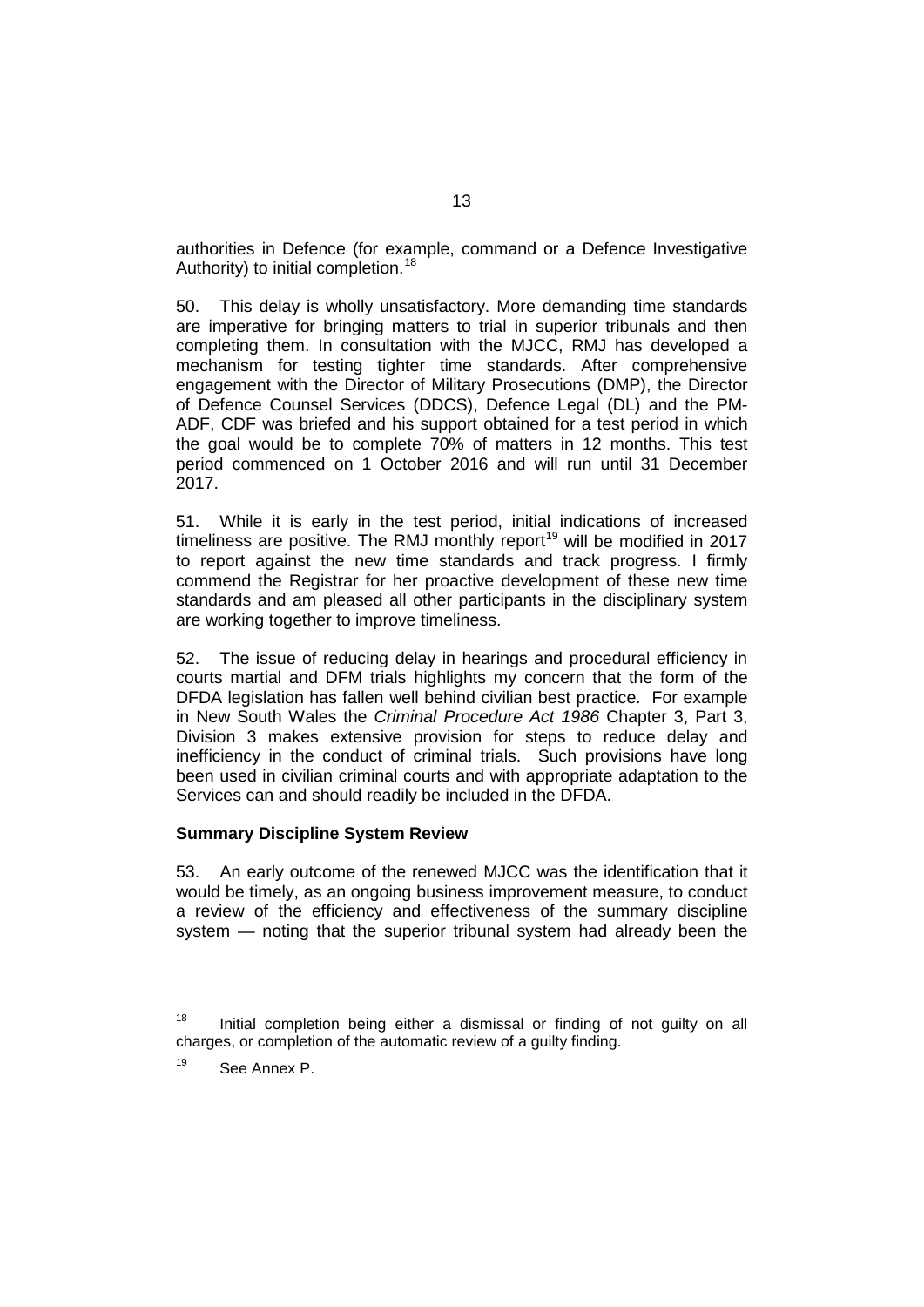authorities in Defence (for example, command or a Defence Investigative Authority) to initial completion.<sup>[18](#page-18-0)</sup>

50. This delay is wholly unsatisfactory. More demanding time standards are imperative for bringing matters to trial in superior tribunals and then completing them. In consultation with the MJCC, RMJ has developed a mechanism for testing tighter time standards. After comprehensive engagement with the Director of Military Prosecutions (DMP), the Director of Defence Counsel Services (DDCS), Defence Legal (DL) and the PM-ADF, CDF was briefed and his support obtained for a test period in which the goal would be to complete 70% of matters in 12 months. This test period commenced on 1 October 2016 and will run until 31 December 2017.

<span id="page-18-2"></span>51. While it is early in the test period, initial indications of increased timeliness are positive. The RMJ monthly report<sup>[19](#page-18-1)</sup> will be modified in 2017 to report against the new time standards and track progress. I firmly commend the Registrar for her proactive development of these new time standards and am pleased all other participants in the disciplinary system are working together to improve timeliness.

52. The issue of reducing delay in hearings and procedural efficiency in courts martial and DFM trials highlights my concern that the form of the DFDA legislation has fallen well behind civilian best practice. For example in New South Wales the *Criminal Procedure Act 1986* Chapter 3, Part 3, Division 3 makes extensive provision for steps to reduce delay and inefficiency in the conduct of criminal trials. Such provisions have long been used in civilian criminal courts and with appropriate adaptation to the Services can and should readily be included in the DFDA.

#### **Summary Discipline System Review**

53. An early outcome of the renewed MJCC was the identification that it would be timely, as an ongoing business improvement measure, to conduct a review of the efficiency and effectiveness of the summary discipline system — noting that the superior tribunal system had already been the

<span id="page-18-0"></span> $18$  Initial completion being either a dismissal or finding of not guilty on all charges, or completion of the automatic review of a guilty finding.

<span id="page-18-1"></span>See Annex P.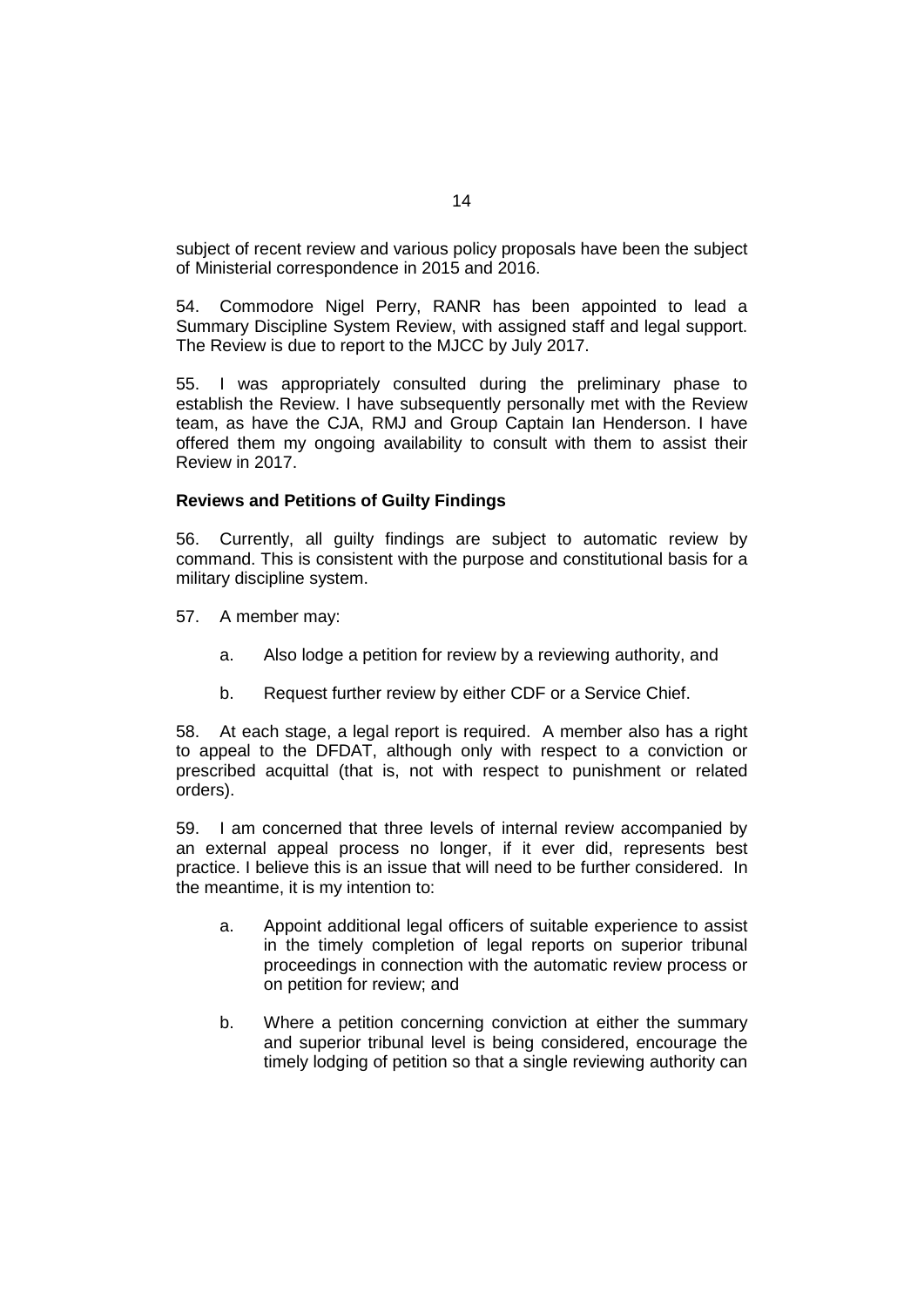subject of recent review and various policy proposals have been the subject of Ministerial correspondence in 2015 and 2016.

54. Commodore Nigel Perry, RANR has been appointed to lead a Summary Discipline System Review, with assigned staff and legal support. The Review is due to report to the MJCC by July 2017.

55. I was appropriately consulted during the preliminary phase to establish the Review. I have subsequently personally met with the Review team, as have the CJA, RMJ and Group Captain Ian Henderson. I have offered them my ongoing availability to consult with them to assist their Review in 2017.

#### **Reviews and Petitions of Guilty Findings**

56. Currently, all guilty findings are subject to automatic review by command. This is consistent with the purpose and constitutional basis for a military discipline system.

- 57. A member may:
	- a. Also lodge a petition for review by a reviewing authority, and
	- b. Request further review by either CDF or a Service Chief.

58. At each stage, a legal report is required. A member also has a right to appeal to the DFDAT, although only with respect to a conviction or prescribed acquittal (that is, not with respect to punishment or related orders).

59. I am concerned that three levels of internal review accompanied by an external appeal process no longer, if it ever did, represents best practice. I believe this is an issue that will need to be further considered. In the meantime, it is my intention to:

- a. Appoint additional legal officers of suitable experience to assist in the timely completion of legal reports on superior tribunal proceedings in connection with the automatic review process or on petition for review; and
- b. Where a petition concerning conviction at either the summary and superior tribunal level is being considered, encourage the timely lodging of petition so that a single reviewing authority can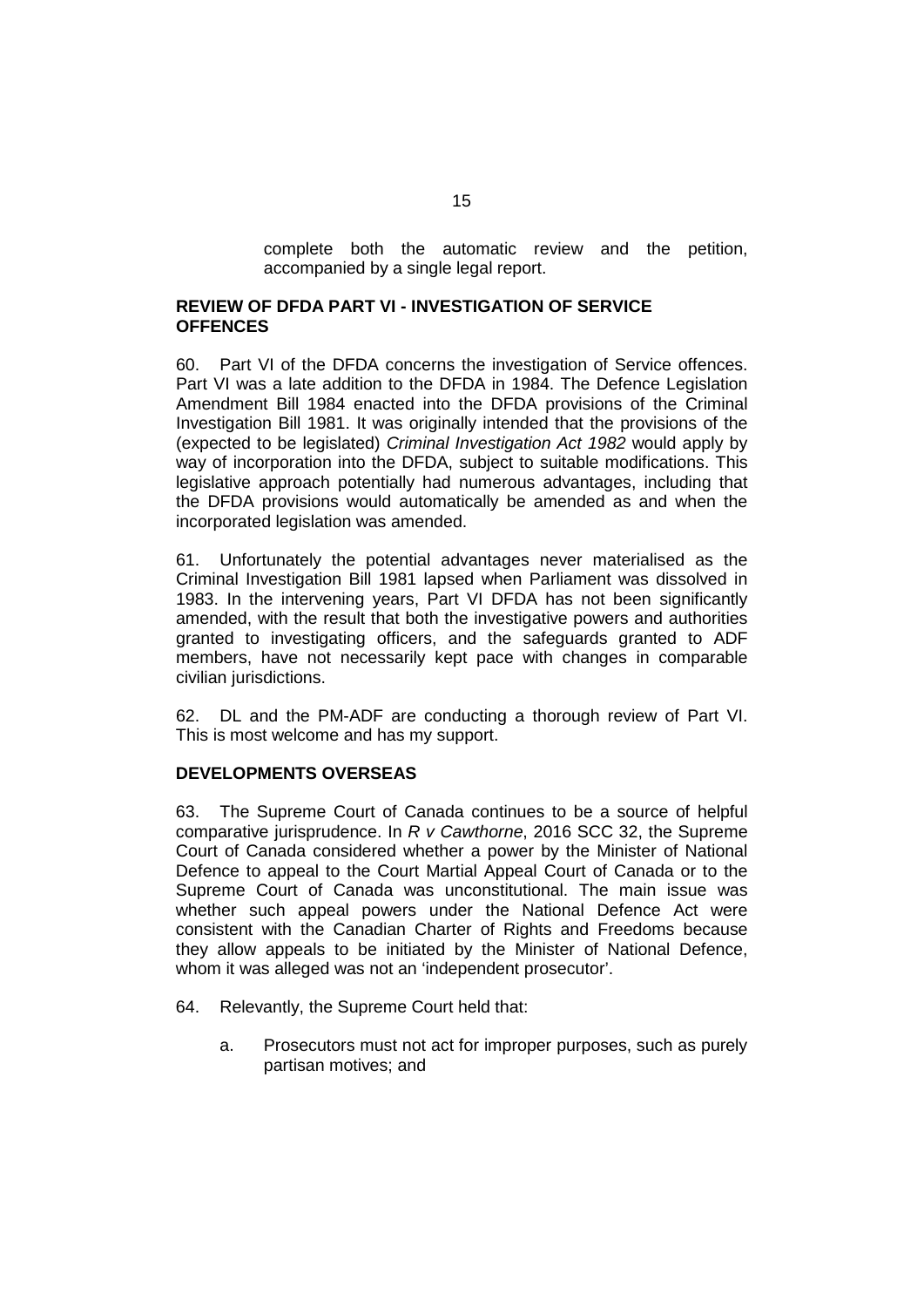complete both the automatic review and the petition, accompanied by a single legal report.

#### **REVIEW OF DFDA PART VI - INVESTIGATION OF SERVICE OFFENCES**

60. Part VI of the DFDA concerns the investigation of Service offences. Part VI was a late addition to the DFDA in 1984. The Defence Legislation Amendment Bill 1984 enacted into the DFDA provisions of the Criminal Investigation Bill 1981. It was originally intended that the provisions of the (expected to be legislated) *Criminal Investigation Act 1982* would apply by way of incorporation into the DFDA, subject to suitable modifications. This legislative approach potentially had numerous advantages, including that the DFDA provisions would automatically be amended as and when the incorporated legislation was amended.

61. Unfortunately the potential advantages never materialised as the Criminal Investigation Bill 1981 lapsed when Parliament was dissolved in 1983. In the intervening years, Part VI DFDA has not been significantly amended, with the result that both the investigative powers and authorities granted to investigating officers, and the safeguards granted to ADF members, have not necessarily kept pace with changes in comparable civilian jurisdictions.

62. DL and the PM-ADF are conducting a thorough review of Part VI. This is most welcome and has my support.

#### **DEVELOPMENTS OVERSEAS**

63. The Supreme Court of Canada continues to be a source of helpful comparative jurisprudence. In *R v Cawthorne*, 2016 SCC 32, the Supreme Court of Canada considered whether a power by the Minister of National Defence to appeal to the Court Martial Appeal Court of Canada or to the Supreme Court of Canada was unconstitutional. The main issue was whether such appeal powers under the National Defence Act were consistent with the Canadian Charter of Rights and Freedoms because they allow appeals to be initiated by the Minister of National Defence, whom it was alleged was not an 'independent prosecutor'.

- 64. Relevantly, the Supreme Court held that:
	- a. Prosecutors must not act for improper purposes, such as purely partisan motives; and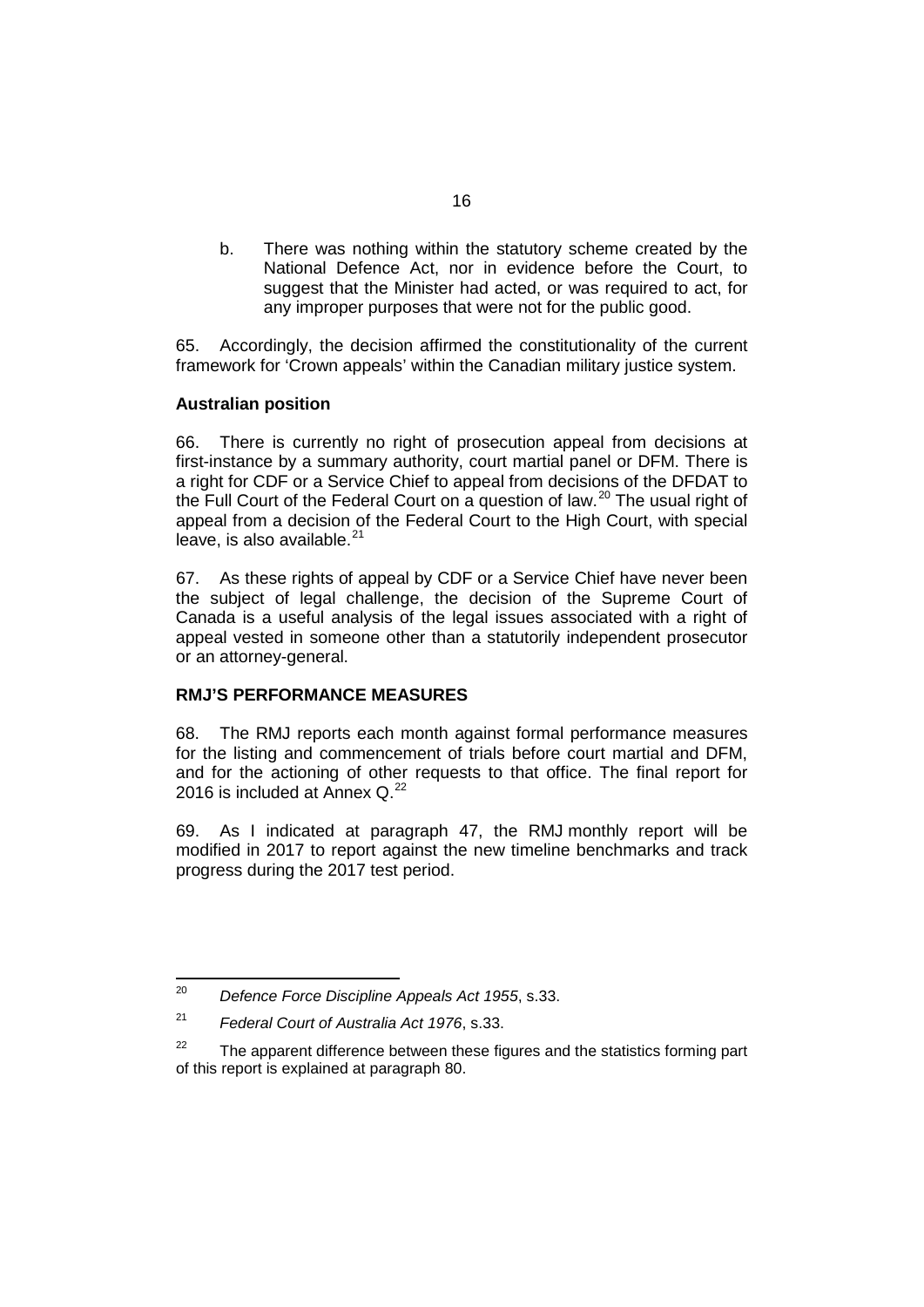b. There was nothing within the statutory scheme created by the National Defence Act, nor in evidence before the Court, to suggest that the Minister had acted, or was required to act, for any improper purposes that were not for the public good.

65. Accordingly, the decision affirmed the constitutionality of the current framework for 'Crown appeals' within the Canadian military justice system.

#### **Australian position**

66. There is currently no right of prosecution appeal from decisions at first-instance by a summary authority, court martial panel or DFM. There is a right for CDF or a Service Chief to appeal from decisions of the DFDAT to the Full Court of the Federal Court on a question of law.<sup>[20](#page-21-0)</sup> The usual right of appeal from a decision of the Federal Court to the High Court, with special leave, is also available.<sup>[21](#page-21-1)</sup>

67. As these rights of appeal by CDF or a Service Chief have never been the subject of legal challenge, the decision of the Supreme Court of Canada is a useful analysis of the legal issues associated with a right of appeal vested in someone other than a statutorily independent prosecutor or an attorney-general.

## **RMJ'S PERFORMANCE MEASURES**

68. The RMJ reports each month against formal performance measures for the listing and commencement of trials before court martial and DFM, and for the actioning of other requests to that office. The final report for 2016 is included at Annex  $Q^{22}$  $Q^{22}$  $Q^{22}$ 

69. As I indicated at paragraph [47,](#page-18-2) the RMJ monthly report will be modified in 2017 to report against the new timeline benchmarks and track progress during the 2017 test period.

<span id="page-21-0"></span><sup>20</sup> *Defence Force Discipline Appeals Act 1955*, s.33.

<span id="page-21-1"></span><sup>21</sup> *Federal Court of Australia Act 1976*, s.33.

<span id="page-21-2"></span> $22$  The apparent difference between these figures and the statistics forming part of this report is explained at paragraph [80.](#page-26-0)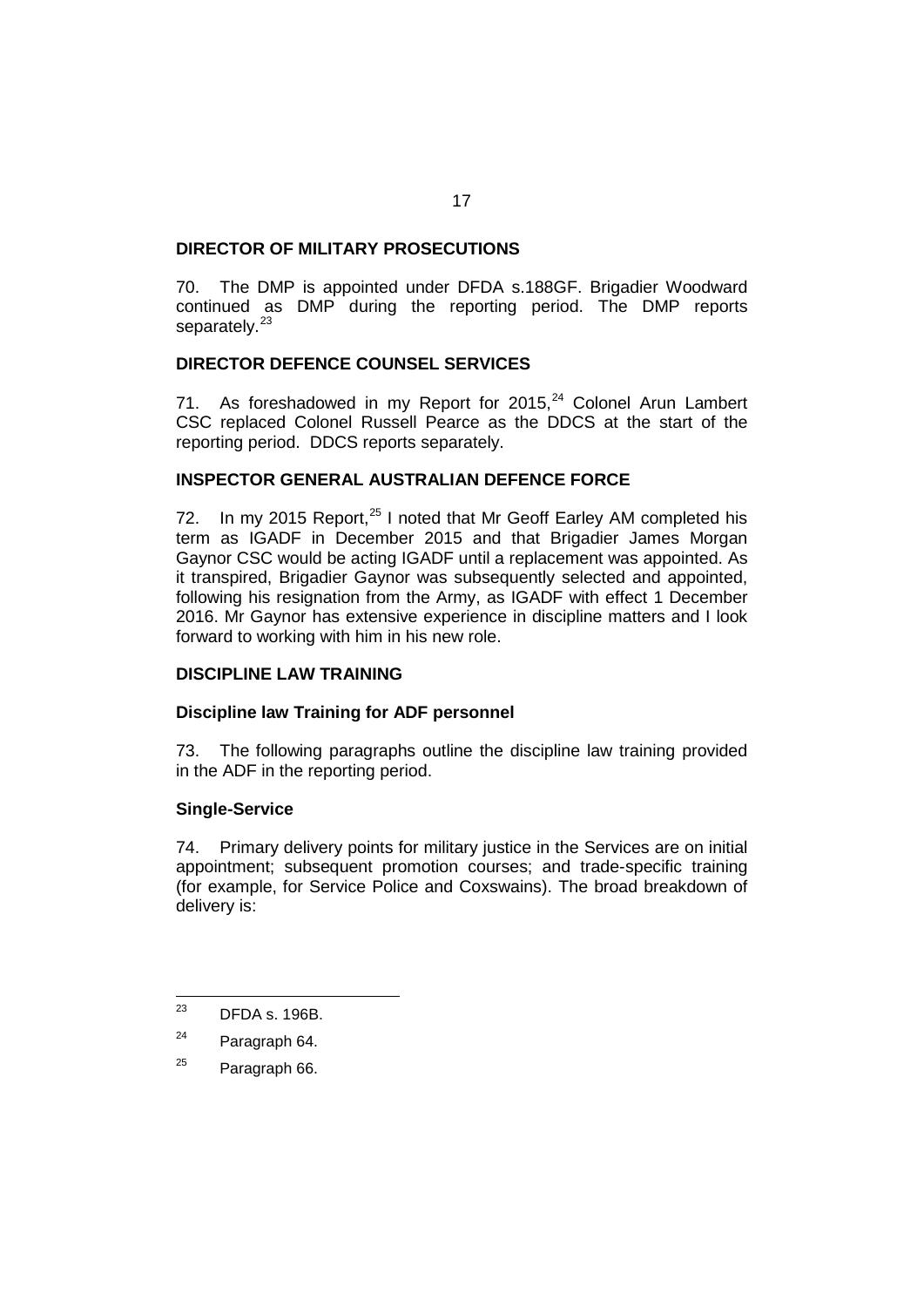## **DIRECTOR OF MILITARY PROSECUTIONS**

70. The DMP is appointed under DFDA s.188GF. Brigadier Woodward continued as DMP during the reporting period. The DMP reports separately.<sup>[23](#page-22-0)</sup>

## **DIRECTOR DEFENCE COUNSEL SERVICES**

71. As foreshadowed in my Report for  $2015$ ,  $24$  Colonel Arun Lambert CSC replaced Colonel Russell Pearce as the DDCS at the start of the reporting period. DDCS reports separately.

## **INSPECTOR GENERAL AUSTRALIAN DEFENCE FORCE**

72. In my 2015 Report,  $25$  I noted that Mr Geoff Earley AM completed his term as IGADF in December 2015 and that Brigadier James Morgan Gaynor CSC would be acting IGADF until a replacement was appointed. As it transpired, Brigadier Gaynor was subsequently selected and appointed, following his resignation from the Army, as IGADF with effect 1 December 2016. Mr Gaynor has extensive experience in discipline matters and I look forward to working with him in his new role.

## **DISCIPLINE LAW TRAINING**

## **Discipline law Training for ADF personnel**

73. The following paragraphs outline the discipline law training provided in the ADF in the reporting period.

## **Single-Service**

74. Primary delivery points for military justice in the Services are on initial appointment; subsequent promotion courses; and trade-specific training (for example, for Service Police and Coxswains). The broad breakdown of delivery is:

<span id="page-22-2"></span> $25$  Paragraph 66.

<span id="page-22-0"></span><sup>23</sup> DFDA s. 196B.

<span id="page-22-1"></span><sup>24</sup> Paragraph 64.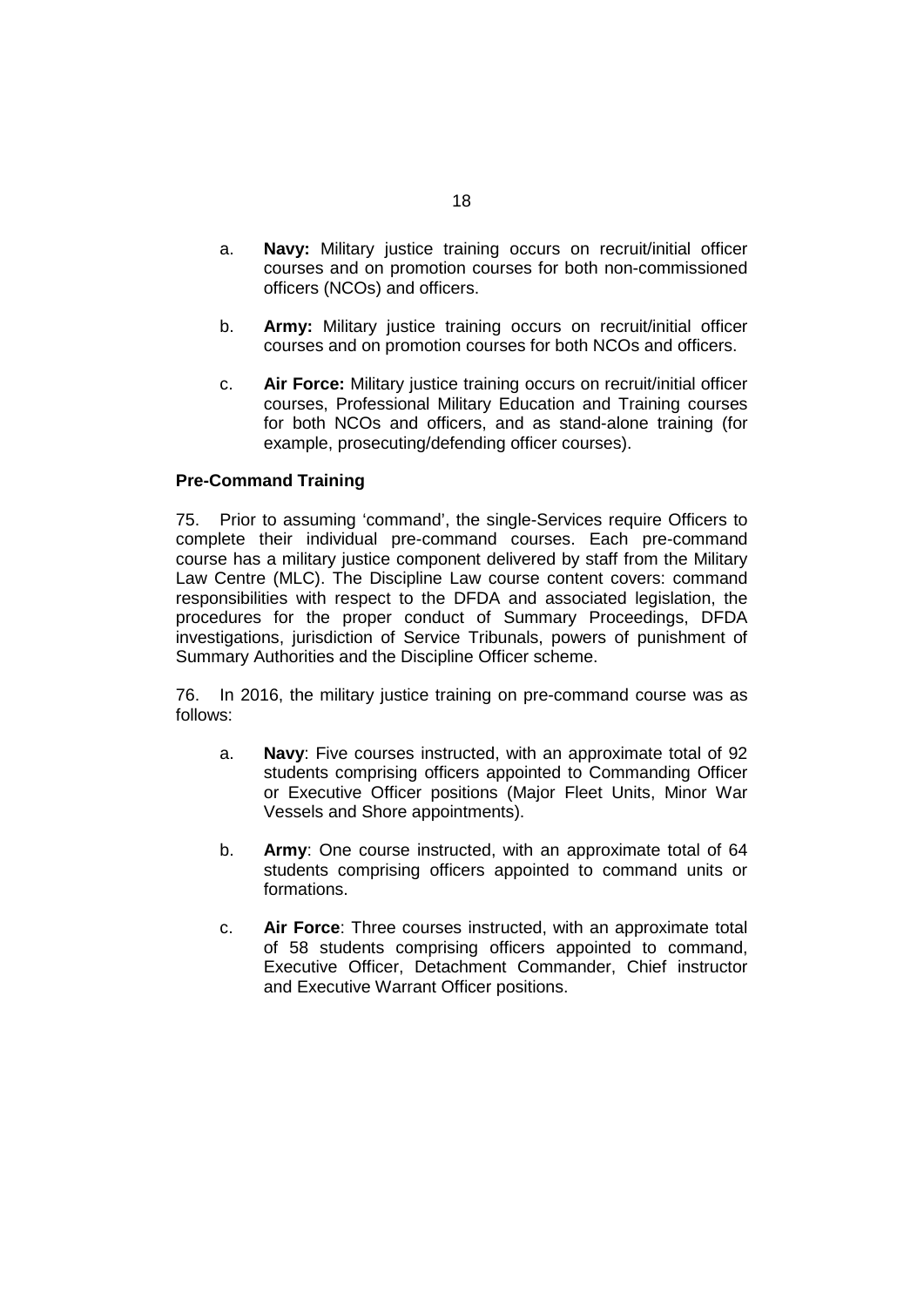- a. **Navy:** Military justice training occurs on recruit/initial officer courses and on promotion courses for both non-commissioned officers (NCOs) and officers.
- b. **Army:** Military justice training occurs on recruit/initial officer courses and on promotion courses for both NCOs and officers.
- c. **Air Force:** Military justice training occurs on recruit/initial officer courses, Professional Military Education and Training courses for both NCOs and officers, and as stand-alone training (for example, prosecuting/defending officer courses).

## **Pre-Command Training**

75. Prior to assuming 'command', the single-Services require Officers to complete their individual pre-command courses. Each pre-command course has a military justice component delivered by staff from the Military Law Centre (MLC). The Discipline Law course content covers: command responsibilities with respect to the DFDA and associated legislation, the procedures for the proper conduct of Summary Proceedings, DFDA investigations, jurisdiction of Service Tribunals, powers of punishment of Summary Authorities and the Discipline Officer scheme.

76. In 2016, the military justice training on pre-command course was as follows:

- a. **Navy**: Five courses instructed, with an approximate total of 92 students comprising officers appointed to Commanding Officer or Executive Officer positions (Major Fleet Units, Minor War Vessels and Shore appointments).
- b. **Army**: One course instructed, with an approximate total of 64 students comprising officers appointed to command units or formations.
- c. **Air Force**: Three courses instructed, with an approximate total of 58 students comprising officers appointed to command, Executive Officer, Detachment Commander, Chief instructor and Executive Warrant Officer positions.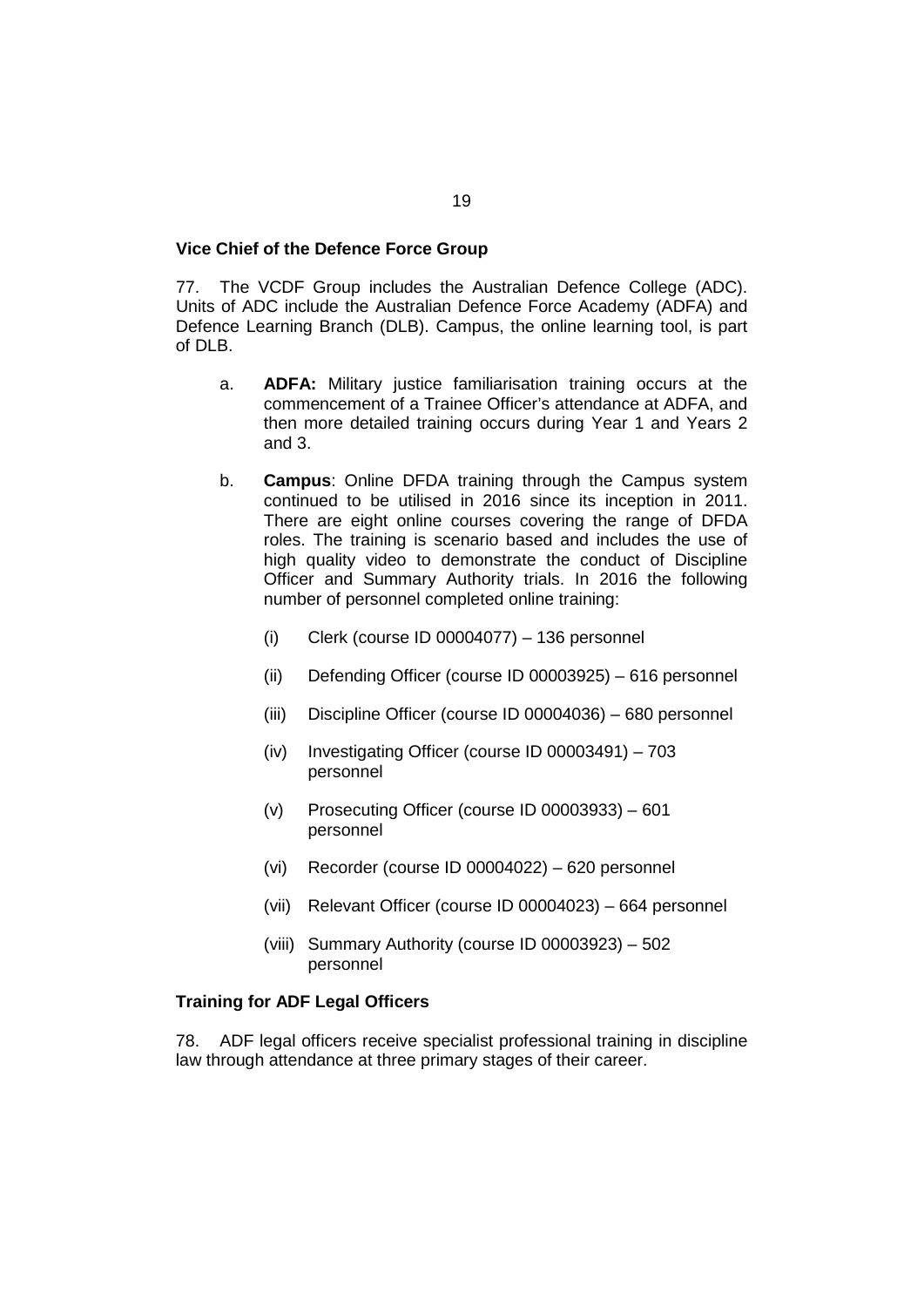#### **Vice Chief of the Defence Force Group**

77. The VCDF Group includes the Australian Defence College (ADC). Units of ADC include the Australian Defence Force Academy (ADFA) and Defence Learning Branch (DLB). Campus, the online learning tool, is part of DLB.

- a. **ADFA:** Military justice familiarisation training occurs at the commencement of a Trainee Officer's attendance at ADFA, and then more detailed training occurs during Year 1 and Years 2 and 3.
- b. **Campus**: Online DFDA training through the Campus system continued to be utilised in 2016 since its inception in 2011. There are eight online courses covering the range of DFDA roles. The training is scenario based and includes the use of high quality video to demonstrate the conduct of Discipline Officer and Summary Authority trials. In 2016 the following number of personnel completed online training:
	- (i) Clerk (course ID 00004077) 136 personnel
	- (ii) Defending Officer (course ID 00003925) 616 personnel
	- (iii) Discipline Officer (course ID 00004036) 680 personnel
	- (iv) Investigating Officer (course ID 00003491) 703 personnel
	- (v) Prosecuting Officer (course ID 00003933) 601 personnel
	- (vi) Recorder (course ID 00004022) 620 personnel
	- (vii) Relevant Officer (course ID 00004023) 664 personnel
	- (viii) Summary Authority (course ID 00003923) 502 personnel

#### **Training for ADF Legal Officers**

78. ADF legal officers receive specialist professional training in discipline law through attendance at three primary stages of their career.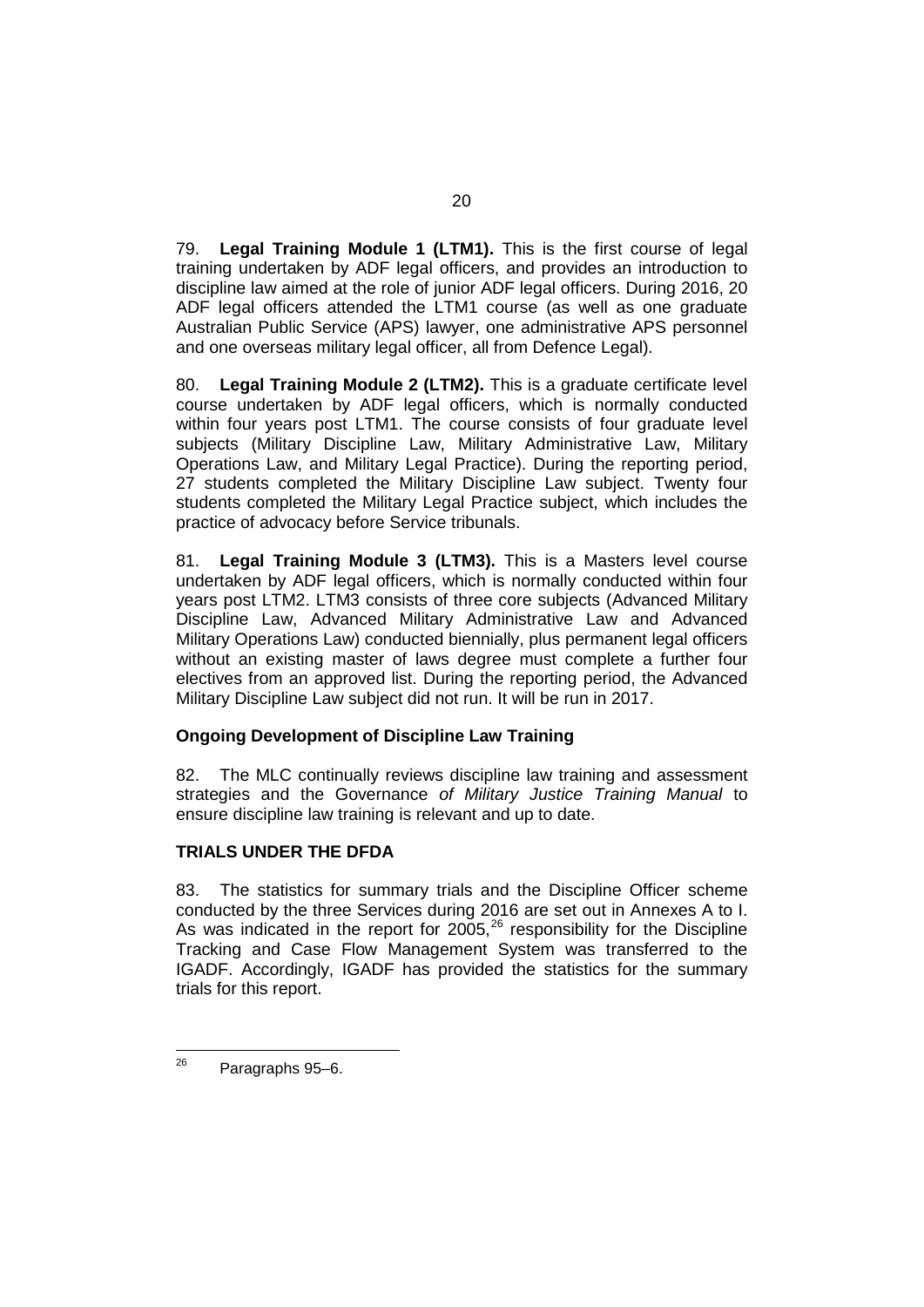79. **Legal Training Module 1 (LTM1).** This is the first course of legal training undertaken by ADF legal officers, and provides an introduction to discipline law aimed at the role of junior ADF legal officers. During 2016, 20 ADF legal officers attended the LTM1 course (as well as one graduate Australian Public Service (APS) lawyer, one administrative APS personnel and one overseas military legal officer, all from Defence Legal).

80. **Legal Training Module 2 (LTM2).** This is a graduate certificate level course undertaken by ADF legal officers, which is normally conducted within four years post LTM1. The course consists of four graduate level subjects (Military Discipline Law, Military Administrative Law, Military Operations Law, and Military Legal Practice). During the reporting period, 27 students completed the Military Discipline Law subject. Twenty four students completed the Military Legal Practice subject, which includes the practice of advocacy before Service tribunals.

81. **Legal Training Module 3 (LTM3).** This is a Masters level course undertaken by ADF legal officers, which is normally conducted within four years post LTM2. LTM3 consists of three core subjects (Advanced Military Discipline Law, Advanced Military Administrative Law and Advanced Military Operations Law) conducted biennially, plus permanent legal officers without an existing master of laws degree must complete a further four electives from an approved list. During the reporting period, the Advanced Military Discipline Law subject did not run. It will be run in 2017.

## **Ongoing Development of Discipline Law Training**

82. The MLC continually reviews discipline law training and assessment strategies and the Governance *of Military Justice Training Manual* to ensure discipline law training is relevant and up to date.

## **TRIALS UNDER THE DFDA**

83. The statistics for summary trials and the Discipline Officer scheme conducted by the three Services during 2016 are set out in Annexes A to I. As was indicated in the report for  $2005$ ,  $26$  responsibility for the Discipline Tracking and Case Flow Management System was transferred to the IGADF. Accordingly, IGADF has provided the statistics for the summary trials for this report.

<span id="page-25-0"></span><sup>26</sup> Paragraphs 95–6.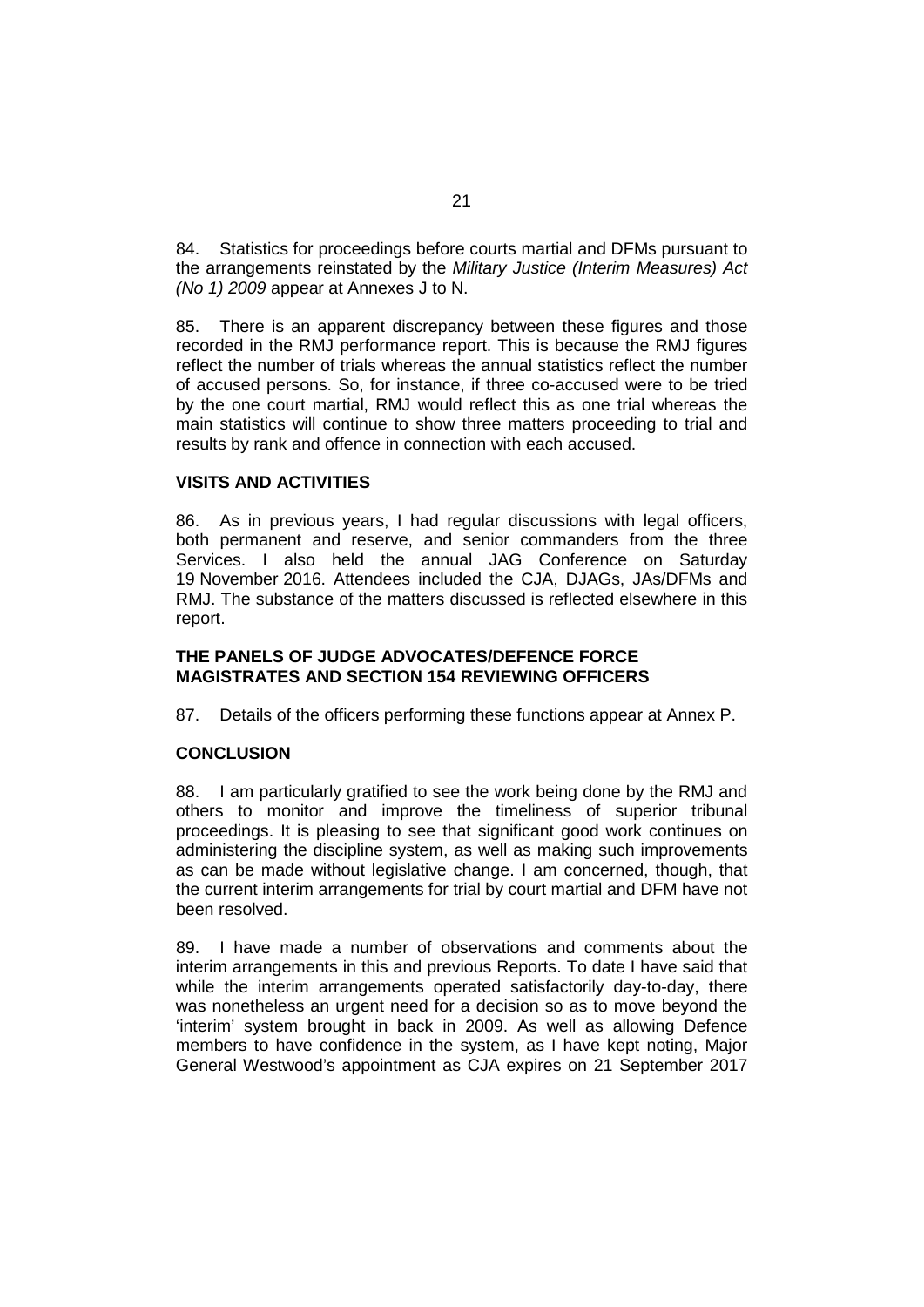84. Statistics for proceedings before courts martial and DFMs pursuant to the arrangements reinstated by the *Military Justice (Interim Measures) Act (No 1) 2009* appear at Annexes J to N.

<span id="page-26-0"></span>85. There is an apparent discrepancy between these figures and those recorded in the RMJ performance report. This is because the RMJ figures reflect the number of trials whereas the annual statistics reflect the number of accused persons. So, for instance, if three co-accused were to be tried by the one court martial, RMJ would reflect this as one trial whereas the main statistics will continue to show three matters proceeding to trial and results by rank and offence in connection with each accused.

#### **VISITS AND ACTIVITIES**

86. As in previous years, I had regular discussions with legal officers, both permanent and reserve, and senior commanders from the three Services. I also held the annual JAG Conference on Saturday 19 November 2016. Attendees included the CJA, DJAGs, JAs/DFMs and RMJ. The substance of the matters discussed is reflected elsewhere in this report.

#### **THE PANELS OF JUDGE ADVOCATES/DEFENCE FORCE MAGISTRATES AND SECTION 154 REVIEWING OFFICERS**

87. Details of the officers performing these functions appear at Annex P.

#### **CONCLUSION**

88. I am particularly gratified to see the work being done by the RMJ and others to monitor and improve the timeliness of superior tribunal proceedings. It is pleasing to see that significant good work continues on administering the discipline system, as well as making such improvements as can be made without legislative change. I am concerned, though, that the current interim arrangements for trial by court martial and DFM have not been resolved.

89. I have made a number of observations and comments about the interim arrangements in this and previous Reports. To date I have said that while the interim arrangements operated satisfactorily day-to-day, there was nonetheless an urgent need for a decision so as to move beyond the 'interim' system brought in back in 2009. As well as allowing Defence members to have confidence in the system, as I have kept noting, Major General Westwood's appointment as CJA expires on 21 September 2017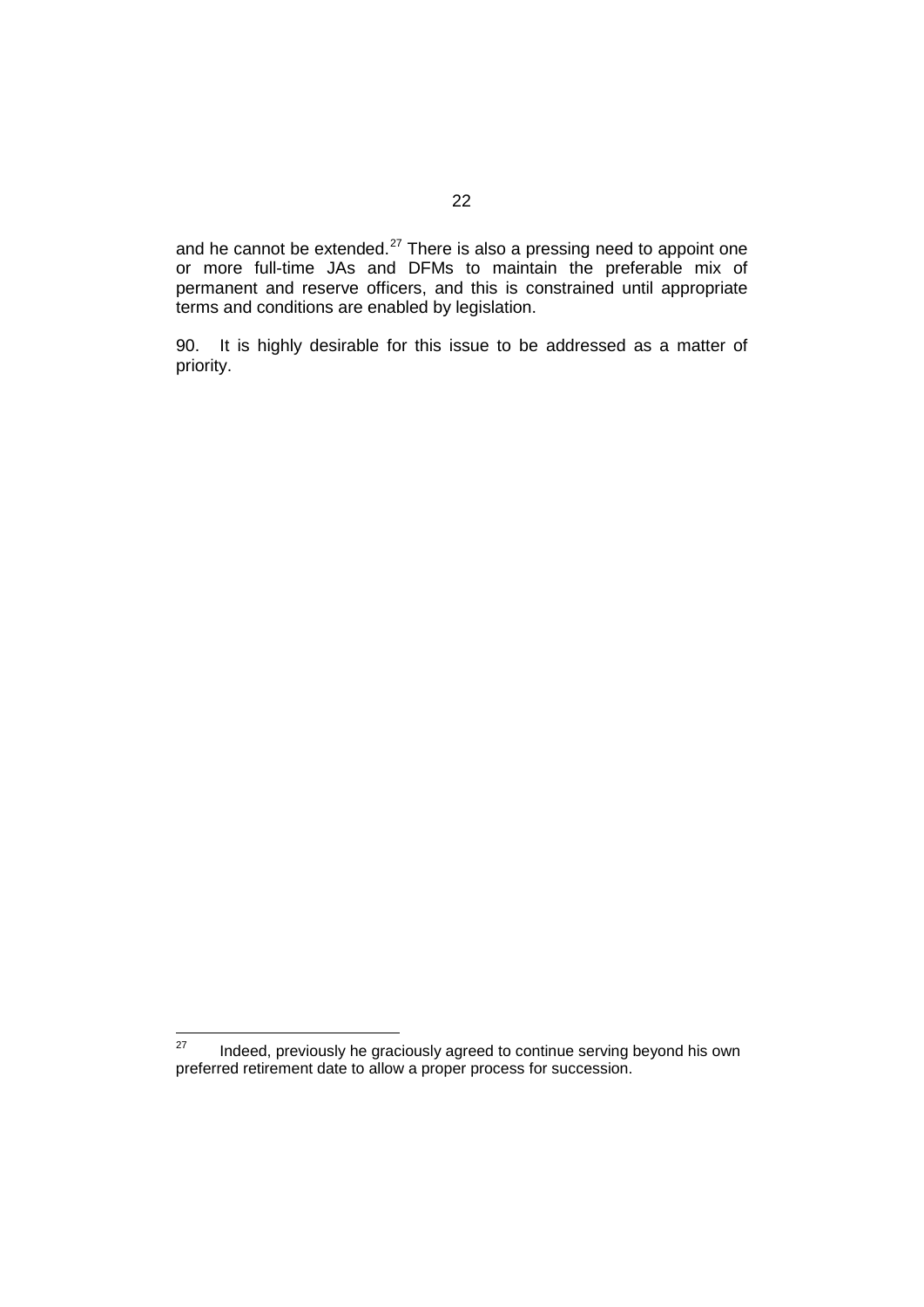and he cannot be extended.<sup>[27](#page-27-0)</sup> There is also a pressing need to appoint one or more full-time JAs and DFMs to maintain the preferable mix of permanent and reserve officers, and this is constrained until appropriate terms and conditions are enabled by legislation.

90. It is highly desirable for this issue to be addressed as a matter of priority.

<span id="page-27-0"></span> $27$  Indeed, previously he graciously agreed to continue serving beyond his own preferred retirement date to allow a proper process for succession.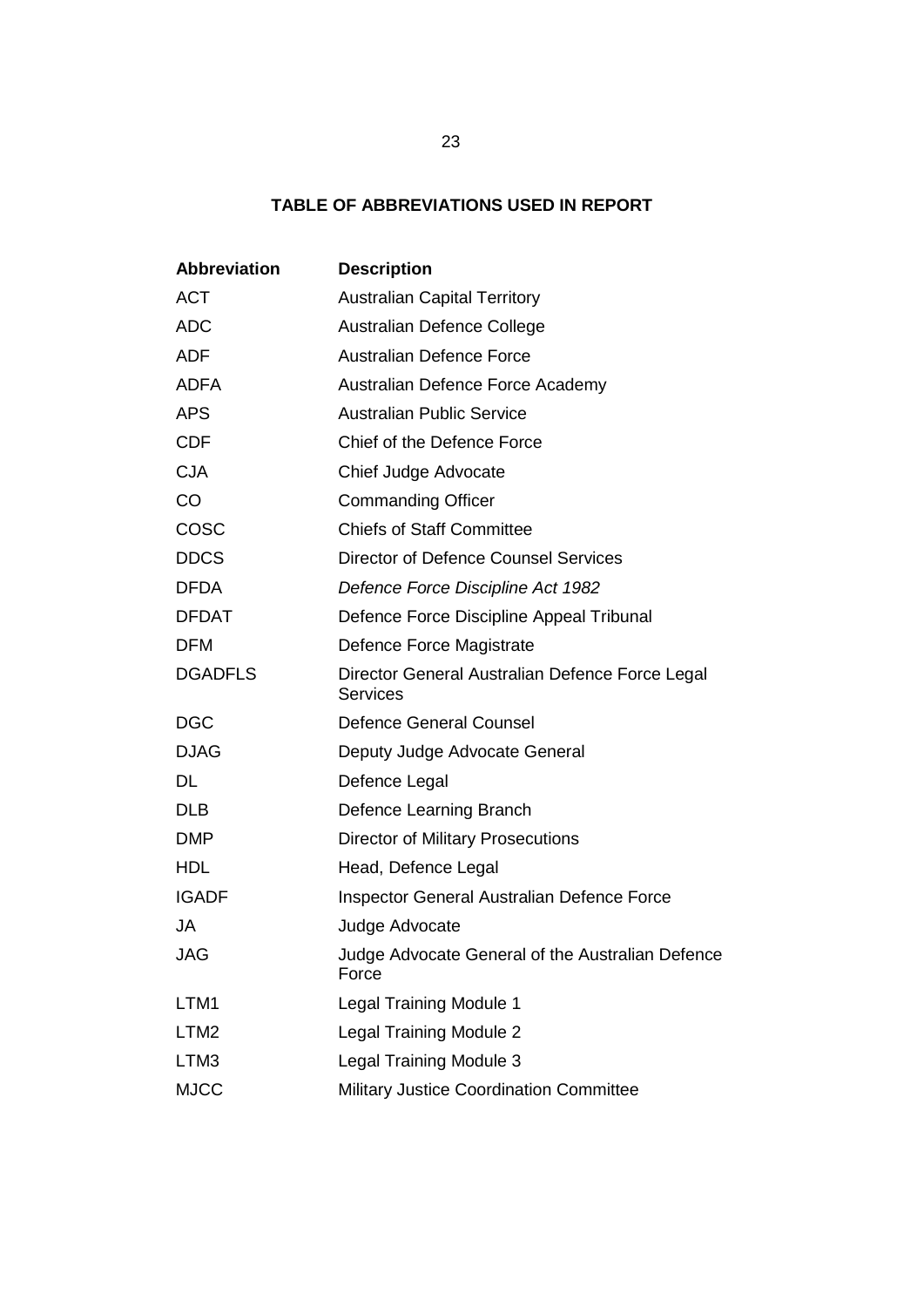## **TABLE OF ABBREVIATIONS USED IN REPORT**

| <b>Abbreviation</b> | <b>Description</b>                                                 |  |  |  |  |  |  |
|---------------------|--------------------------------------------------------------------|--|--|--|--|--|--|
| <b>ACT</b>          | <b>Australian Capital Territory</b>                                |  |  |  |  |  |  |
| <b>ADC</b>          | Australian Defence College                                         |  |  |  |  |  |  |
| <b>ADF</b>          | <b>Australian Defence Force</b>                                    |  |  |  |  |  |  |
| <b>ADFA</b>         | Australian Defence Force Academy                                   |  |  |  |  |  |  |
| <b>APS</b>          | <b>Australian Public Service</b>                                   |  |  |  |  |  |  |
| <b>CDF</b>          | Chief of the Defence Force                                         |  |  |  |  |  |  |
| <b>CJA</b>          | Chief Judge Advocate                                               |  |  |  |  |  |  |
| CO                  | <b>Commanding Officer</b>                                          |  |  |  |  |  |  |
| COSC                | <b>Chiefs of Staff Committee</b>                                   |  |  |  |  |  |  |
| <b>DDCS</b>         | <b>Director of Defence Counsel Services</b>                        |  |  |  |  |  |  |
| <b>DFDA</b>         | Defence Force Discipline Act 1982                                  |  |  |  |  |  |  |
| <b>DFDAT</b>        | Defence Force Discipline Appeal Tribunal                           |  |  |  |  |  |  |
| <b>DFM</b>          | Defence Force Magistrate                                           |  |  |  |  |  |  |
| <b>DGADFLS</b>      | Director General Australian Defence Force Legal<br><b>Services</b> |  |  |  |  |  |  |
| <b>DGC</b>          | <b>Defence General Counsel</b>                                     |  |  |  |  |  |  |
| <b>DJAG</b>         | Deputy Judge Advocate General                                      |  |  |  |  |  |  |
| <b>DL</b>           | Defence Legal                                                      |  |  |  |  |  |  |
| <b>DLB</b>          | Defence Learning Branch                                            |  |  |  |  |  |  |
| <b>DMP</b>          | <b>Director of Military Prosecutions</b>                           |  |  |  |  |  |  |
| <b>HDL</b>          | Head, Defence Legal                                                |  |  |  |  |  |  |
| <b>IGADF</b>        | Inspector General Australian Defence Force                         |  |  |  |  |  |  |
| JA                  | Judge Advocate                                                     |  |  |  |  |  |  |
| JAG                 | Judge Advocate General of the Australian Defence<br>Force          |  |  |  |  |  |  |
| LTM1                | <b>Legal Training Module 1</b>                                     |  |  |  |  |  |  |
| LTM <sub>2</sub>    | <b>Legal Training Module 2</b>                                     |  |  |  |  |  |  |
| LTM3                | <b>Legal Training Module 3</b>                                     |  |  |  |  |  |  |
| <b>MJCC</b>         | Military Justice Coordination Committee                            |  |  |  |  |  |  |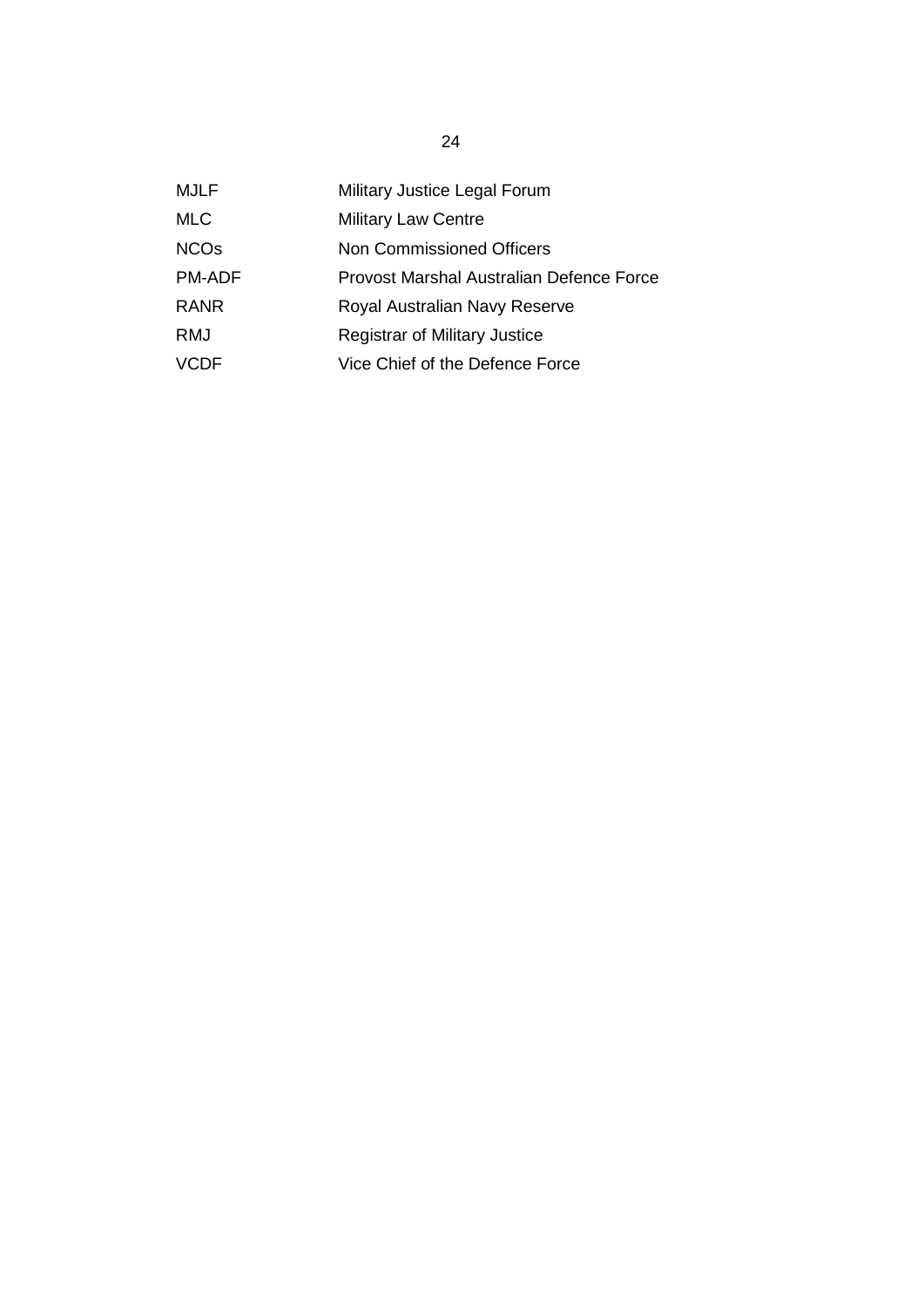| <b>MJLF</b>            | Military Justice Legal Forum             |
|------------------------|------------------------------------------|
| <b>MLC</b>             | <b>Military Law Centre</b>               |
| <b>NCO<sub>s</sub></b> | Non Commissioned Officers                |
| <b>PM-ADF</b>          | Provost Marshal Australian Defence Force |
| <b>RANR</b>            | Royal Australian Navy Reserve            |
| RMJ                    | <b>Registrar of Military Justice</b>     |
| VCDE                   | Vice Chief of the Defence Force          |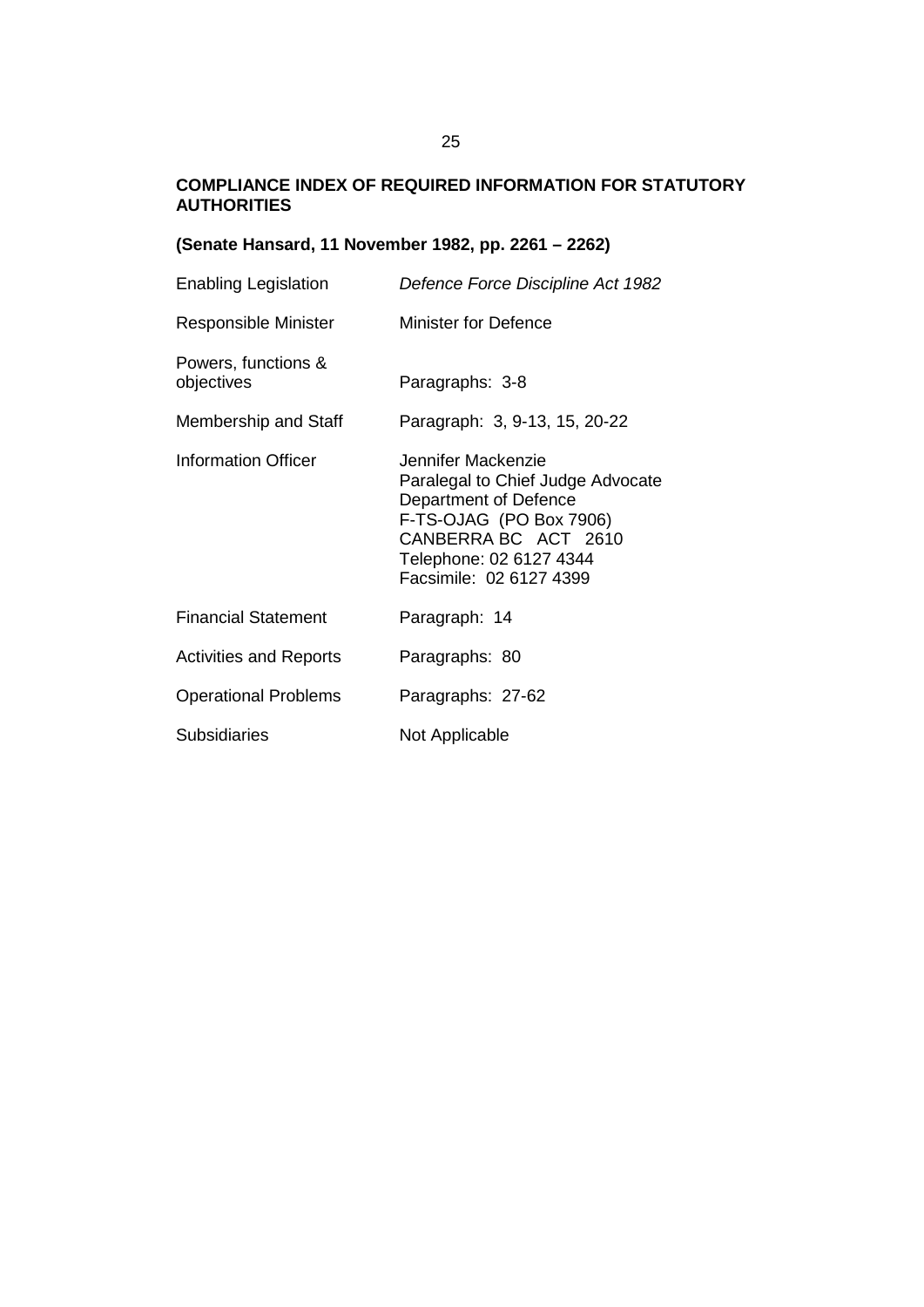## **COMPLIANCE INDEX OF REQUIRED INFORMATION FOR STATUTORY AUTHORITIES**

## **(Senate Hansard, 11 November 1982, pp. 2261 – 2262)**

| Enabling Legislation              | Defence Force Discipline Act 1982                                                                                                                                                         |
|-----------------------------------|-------------------------------------------------------------------------------------------------------------------------------------------------------------------------------------------|
| Responsible Minister              | <b>Minister for Defence</b>                                                                                                                                                               |
| Powers, functions &<br>objectives | Paragraphs: 3-8                                                                                                                                                                           |
| Membership and Staff              | Paragraph: 3, 9-13, 15, 20-22                                                                                                                                                             |
| Information Officer               | Jennifer Mackenzie<br>Paralegal to Chief Judge Advocate<br>Department of Defence<br>F-TS-OJAG (PO Box 7906)<br>CANBERRA BC ACT 2610<br>Telephone: 02 6127 4344<br>Facsimile: 02 6127 4399 |
| <b>Financial Statement</b>        | Paragraph: 14                                                                                                                                                                             |
| <b>Activities and Reports</b>     | Paragraphs: 80                                                                                                                                                                            |
| <b>Operational Problems</b>       | Paragraphs: 27-62                                                                                                                                                                         |
| <b>Subsidiaries</b>               | Not Applicable                                                                                                                                                                            |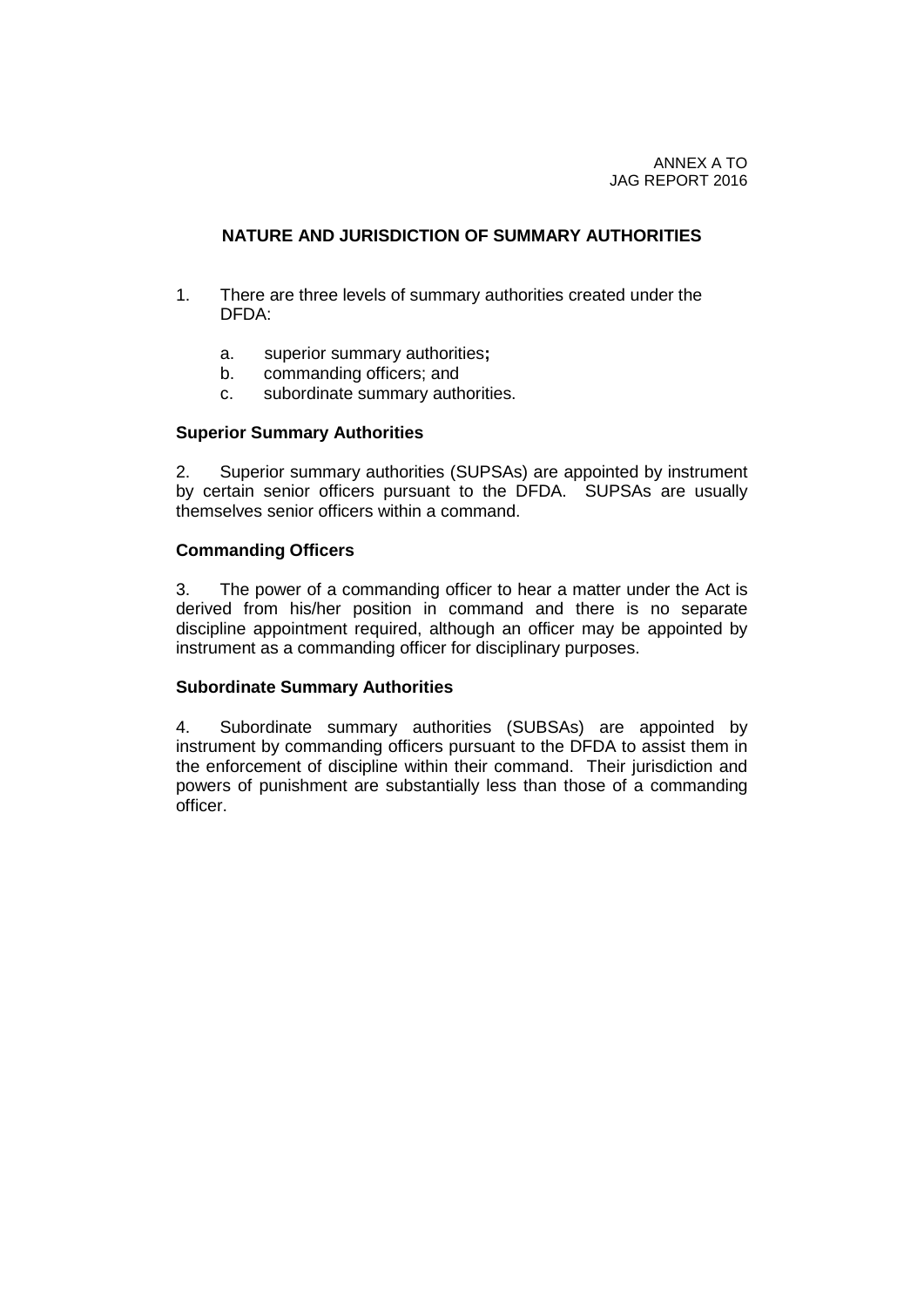## **NATURE AND JURISDICTION OF SUMMARY AUTHORITIES**

- 1. There are three levels of summary authorities created under the DFDA:
	- a. superior summary authorities**;**
	- b. commanding officers; and
	- c. subordinate summary authorities.

#### **Superior Summary Authorities**

2. Superior summary authorities (SUPSAs) are appointed by instrument by certain senior officers pursuant to the DFDA. SUPSAs are usually themselves senior officers within a command.

#### **Commanding Officers**

3. The power of a commanding officer to hear a matter under the Act is derived from his/her position in command and there is no separate discipline appointment required, although an officer may be appointed by instrument as a commanding officer for disciplinary purposes.

#### **Subordinate Summary Authorities**

4. Subordinate summary authorities (SUBSAs) are appointed by instrument by commanding officers pursuant to the DFDA to assist them in the enforcement of discipline within their command. Their jurisdiction and powers of punishment are substantially less than those of a commanding officer.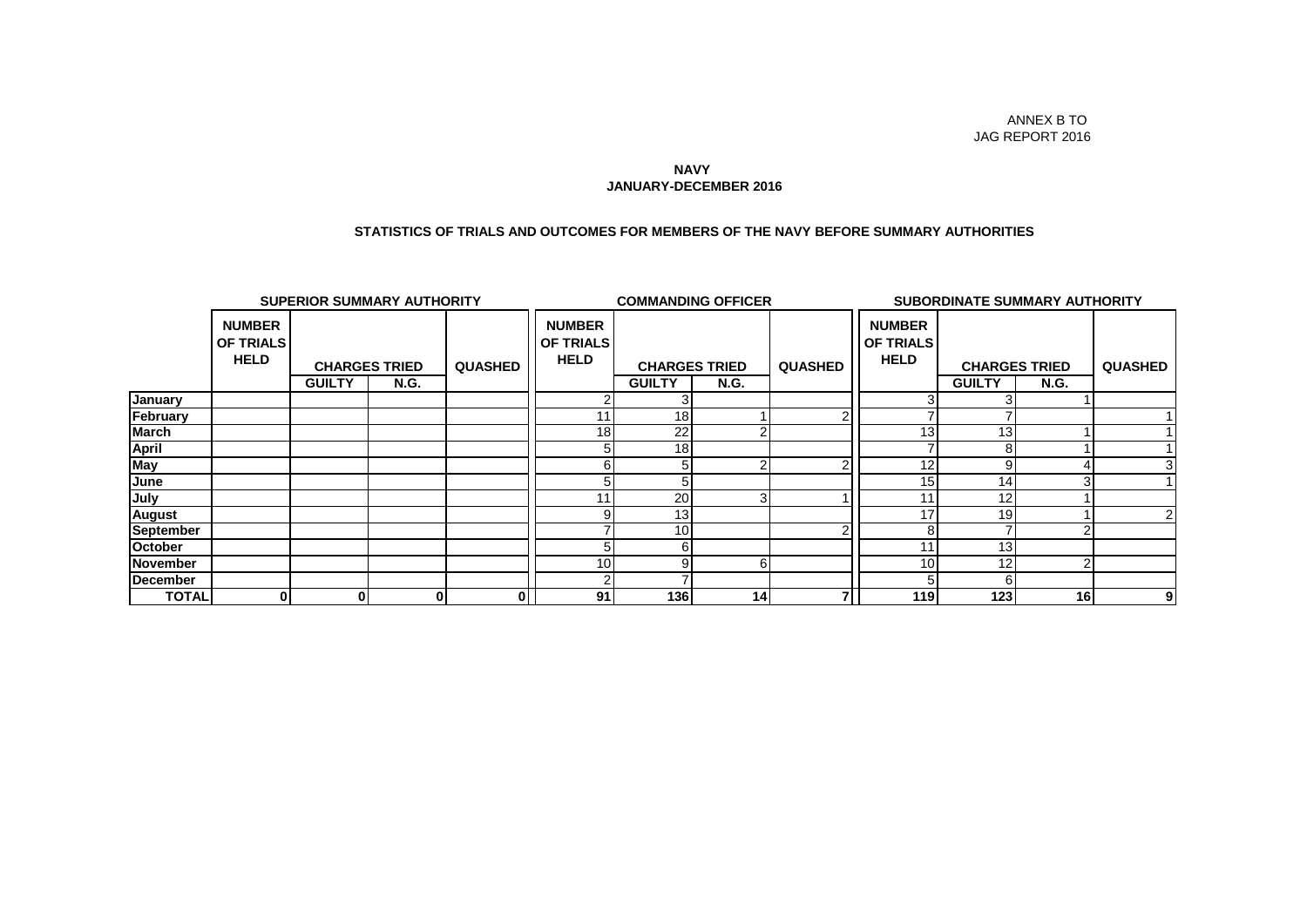#### **JANUARY-DECEMBER 2016 NAVY**

#### **STATISTICS OF TRIALS AND OUTCOMES FOR MEMBERS OF THE NAVY BEFORE SUMMARY AUTHORITIES**

|                  | <b>SUPERIOR SUMMARY AUTHORITY</b>         |                      |             |                |                                                  | <b>COMMANDING OFFICER</b> |                 |                |                                                  | <b>SUBORDINATE SUMMARY AUTHORITY</b> |             |                |
|------------------|-------------------------------------------|----------------------|-------------|----------------|--------------------------------------------------|---------------------------|-----------------|----------------|--------------------------------------------------|--------------------------------------|-------------|----------------|
|                  | <b>NUMBER</b><br>OF TRIALS<br><b>HELD</b> | <b>CHARGES TRIED</b> |             | <b>QUASHED</b> | <b>NUMBER</b><br><b>OF TRIALS</b><br><b>HELD</b> | <b>CHARGES TRIED</b>      |                 | <b>QUASHED</b> | <b>NUMBER</b><br><b>OF TRIALS</b><br><b>HELD</b> | <b>CHARGES TRIED</b>                 |             | <b>QUASHED</b> |
|                  |                                           | <b>GUILTY</b>        | <b>N.G.</b> |                |                                                  | <b>GUILTY</b>             | <b>N.G.</b>     |                |                                                  | <b>GUILTY</b>                        | <b>N.G.</b> |                |
| January          |                                           |                      |             |                |                                                  |                           |                 |                |                                                  |                                      |             |                |
| February         |                                           |                      |             |                |                                                  | 18 <sub>1</sub>           |                 |                |                                                  |                                      |             |                |
| <b>March</b>     |                                           |                      |             |                | 18                                               | 22                        |                 |                | 13 <sub>1</sub>                                  | 13                                   |             |                |
| <b>April</b>     |                                           |                      |             |                |                                                  | 18                        |                 |                |                                                  | 8                                    |             |                |
| <b>May</b>       |                                           |                      |             |                |                                                  | 5                         |                 |                | 12                                               | 9                                    |             |                |
| June             |                                           |                      |             |                |                                                  | 5                         |                 |                | 15                                               | 14                                   |             |                |
| July             |                                           |                      |             |                |                                                  | 20                        |                 |                | 11                                               | 12                                   |             |                |
| <b>August</b>    |                                           |                      |             |                |                                                  | 13                        |                 |                | 17                                               | 19                                   |             |                |
| <b>September</b> |                                           |                      |             |                |                                                  | 10 <sup>1</sup>           |                 |                |                                                  |                                      |             |                |
| October          |                                           |                      |             |                |                                                  | 61                        |                 |                | 11                                               | 13                                   |             |                |
| <b>November</b>  |                                           |                      |             |                | 10 <sub>1</sub>                                  | q                         | 6               |                | 10                                               | 12                                   |             |                |
| <b>December</b>  |                                           |                      |             |                |                                                  |                           |                 |                |                                                  | 6                                    |             |                |
| <b>TOTAL</b>     | $\mathbf{0}$                              | $\mathbf{0}$         | 01          | 01             | 91                                               | 136                       | 14 <sub>1</sub> |                | 119                                              | 123                                  | 16          | 9              |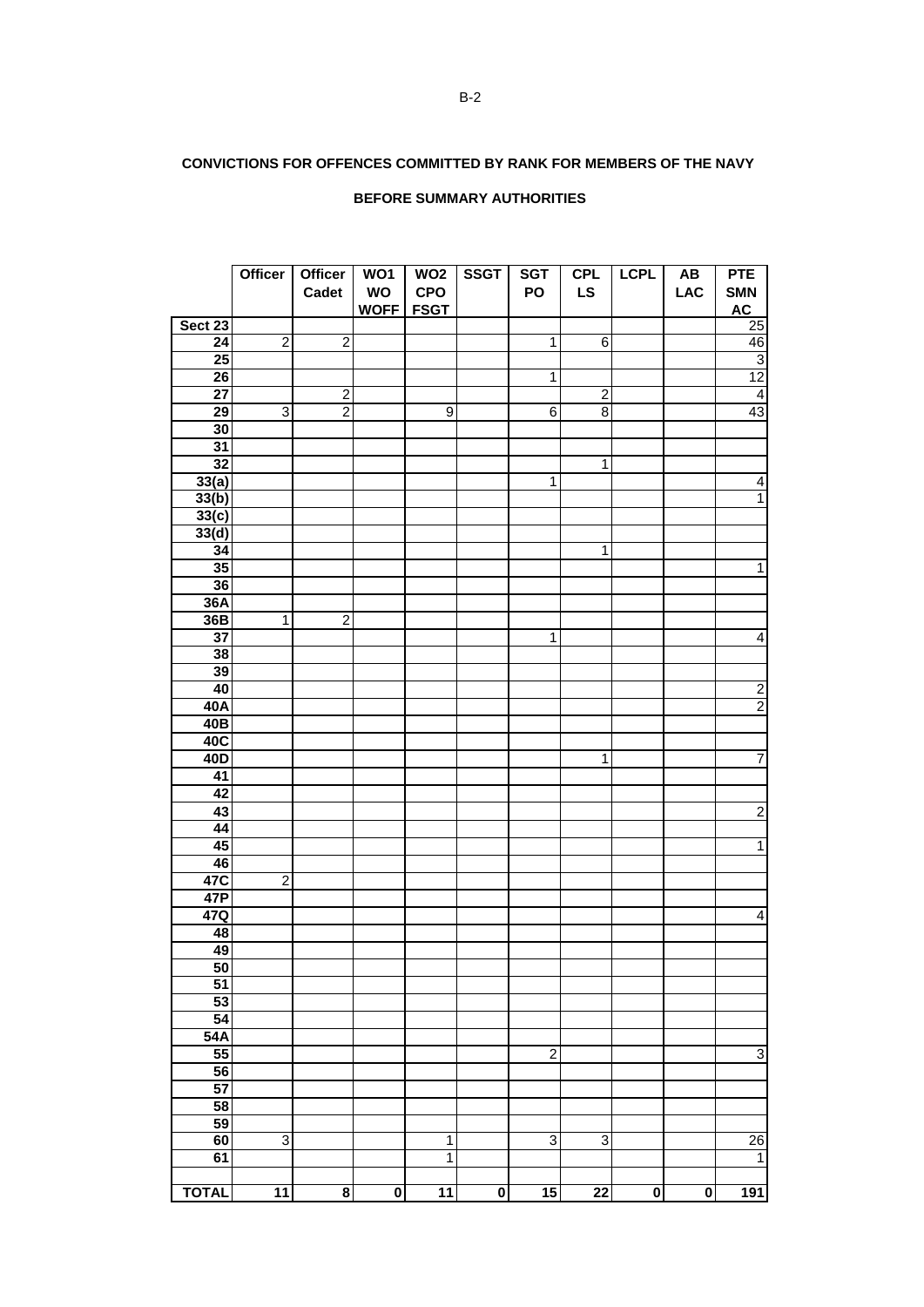## **CONVICTIONS FOR OFFENCES COMMITTED BY RANK FOR MEMBERS OF THE NAVY**

#### **BEFORE SUMMARY AUTHORITIES**

|                 | <b>Officer</b> | <b>Officer</b><br>Cadet | $\overline{WO1}$<br>WO<br>WOFF FSGT | WO <sub>2</sub><br><b>CPO</b> | <b>SSGT</b>             | <b>SGT</b><br>PO | <b>CPL</b><br><b>LS</b> | <b>LCPL</b>             | $\boldsymbol{\mathsf{A}\mathsf{B}}$<br><b>LAC</b> | <b>PTE</b><br><b>SMN</b><br><b>AC</b> |
|-----------------|----------------|-------------------------|-------------------------------------|-------------------------------|-------------------------|------------------|-------------------------|-------------------------|---------------------------------------------------|---------------------------------------|
| Sect 23         |                |                         |                                     |                               |                         |                  |                         |                         |                                                   | 25                                    |
| $\overline{24}$ | $\overline{2}$ | $\overline{2}$          |                                     |                               |                         | $\mathbf{1}$     | $\overline{6}$          |                         |                                                   | 46                                    |
| $\overline{25}$ |                |                         |                                     |                               |                         |                  |                         |                         |                                                   |                                       |
|                 |                |                         |                                     |                               |                         |                  |                         |                         |                                                   | $\overline{3}$                        |
| $\overline{26}$ |                |                         |                                     |                               |                         | $\overline{1}$   |                         |                         |                                                   | 12                                    |
| $\overline{27}$ |                | $\overline{2}$          |                                     |                               |                         |                  | $\overline{2}$          |                         |                                                   | $\overline{4}$                        |
| 29              | $\overline{3}$ | $\overline{2}$          |                                     | $\overline{9}$                |                         | $\overline{6}$   | $\overline{\mathbf{8}}$ |                         |                                                   | 43                                    |
| 30              |                |                         |                                     |                               |                         |                  |                         |                         |                                                   |                                       |
| $\overline{31}$ |                |                         |                                     |                               |                         |                  |                         |                         |                                                   |                                       |
| 32              |                |                         |                                     |                               |                         |                  | $\overline{1}$          |                         |                                                   |                                       |
| 33(a)           |                |                         |                                     |                               |                         | $\overline{1}$   |                         |                         |                                                   | $\overline{4}$                        |
| 33(b)           |                |                         |                                     |                               |                         |                  |                         |                         |                                                   | $\overline{1}$                        |
| 33(c)           |                |                         |                                     |                               |                         |                  |                         |                         |                                                   |                                       |
| 33(d)           |                |                         |                                     |                               |                         |                  |                         |                         |                                                   |                                       |
| 34              |                |                         |                                     |                               |                         |                  | $\overline{1}$          |                         |                                                   |                                       |
| 35              |                |                         |                                     |                               |                         |                  |                         |                         |                                                   | $\overline{1}$                        |
| 36              |                |                         |                                     |                               |                         |                  |                         |                         |                                                   |                                       |
| 36A             |                |                         |                                     |                               |                         |                  |                         |                         |                                                   |                                       |
| 36B             | $\overline{1}$ | $\overline{2}$          |                                     |                               |                         |                  |                         |                         |                                                   |                                       |
| 37              |                |                         |                                     |                               |                         | $\mathbf{1}$     |                         |                         |                                                   | $\overline{4}$                        |
| 38              |                |                         |                                     |                               |                         |                  |                         |                         |                                                   |                                       |
| 39              |                |                         |                                     |                               |                         |                  |                         |                         |                                                   |                                       |
| 40              |                |                         |                                     |                               |                         |                  |                         |                         |                                                   |                                       |
| 40A             |                |                         |                                     |                               |                         |                  |                         |                         |                                                   | $\frac{2}{2}$                         |
| 40B             |                |                         |                                     |                               |                         |                  |                         |                         |                                                   |                                       |
| 40C             |                |                         |                                     |                               |                         |                  |                         |                         |                                                   |                                       |
|                 |                |                         |                                     |                               |                         |                  |                         |                         |                                                   |                                       |
| 40D             |                |                         |                                     |                               |                         |                  | $\mathbf{1}$            |                         |                                                   | $\overline{7}$                        |
| 41              |                |                         |                                     |                               |                         |                  |                         |                         |                                                   |                                       |
| 42              |                |                         |                                     |                               |                         |                  |                         |                         |                                                   |                                       |
| 43              |                |                         |                                     |                               |                         |                  |                         |                         |                                                   | $\overline{2}$                        |
| 44              |                |                         |                                     |                               |                         |                  |                         |                         |                                                   |                                       |
| 45              |                |                         |                                     |                               |                         |                  |                         |                         |                                                   | $\overline{1}$                        |
| 46              |                |                         |                                     |                               |                         |                  |                         |                         |                                                   |                                       |
| 47C             | $\overline{2}$ |                         |                                     |                               |                         |                  |                         |                         |                                                   |                                       |
| 47P             |                |                         |                                     |                               |                         |                  |                         |                         |                                                   |                                       |
| 47Q             |                |                         |                                     |                               |                         |                  |                         |                         |                                                   | $\overline{4}$                        |
| 48              |                |                         |                                     |                               |                         |                  |                         |                         |                                                   |                                       |
| 49              |                |                         |                                     |                               |                         |                  |                         |                         |                                                   |                                       |
| 50              |                |                         |                                     |                               |                         |                  |                         |                         |                                                   |                                       |
| 51              |                |                         |                                     |                               |                         |                  |                         |                         |                                                   |                                       |
| 53              |                |                         |                                     |                               |                         |                  |                         |                         |                                                   |                                       |
| $\overline{54}$ |                |                         |                                     |                               |                         |                  |                         |                         |                                                   |                                       |
| 54A             |                |                         |                                     |                               |                         |                  |                         |                         |                                                   |                                       |
| 55              |                |                         |                                     |                               |                         | $\overline{2}$   |                         |                         |                                                   | 3                                     |
| 56              |                |                         |                                     |                               |                         |                  |                         |                         |                                                   |                                       |
| 57              |                |                         |                                     |                               |                         |                  |                         |                         |                                                   |                                       |
| 58              |                |                         |                                     |                               |                         |                  |                         |                         |                                                   |                                       |
| 59              |                |                         |                                     |                               |                         |                  |                         |                         |                                                   |                                       |
| 60              | $\overline{3}$ |                         |                                     | $\overline{1}$                |                         | $\overline{3}$   | $\overline{3}$          |                         |                                                   | 26                                    |
| 61              |                |                         |                                     | $\overline{1}$                |                         |                  |                         |                         |                                                   | $\mathbf{1}$                          |
|                 |                |                         |                                     |                               |                         |                  |                         |                         |                                                   |                                       |
| <b>TOTAL</b>    | 11             | $\overline{\mathbf{8}}$ | $\overline{\mathbf{0}}$             | $\overline{11}$               | $\overline{\mathbf{0}}$ | 15               | 22                      | $\overline{\mathbf{0}}$ | $\overline{\mathbf{0}}$                           | 191                                   |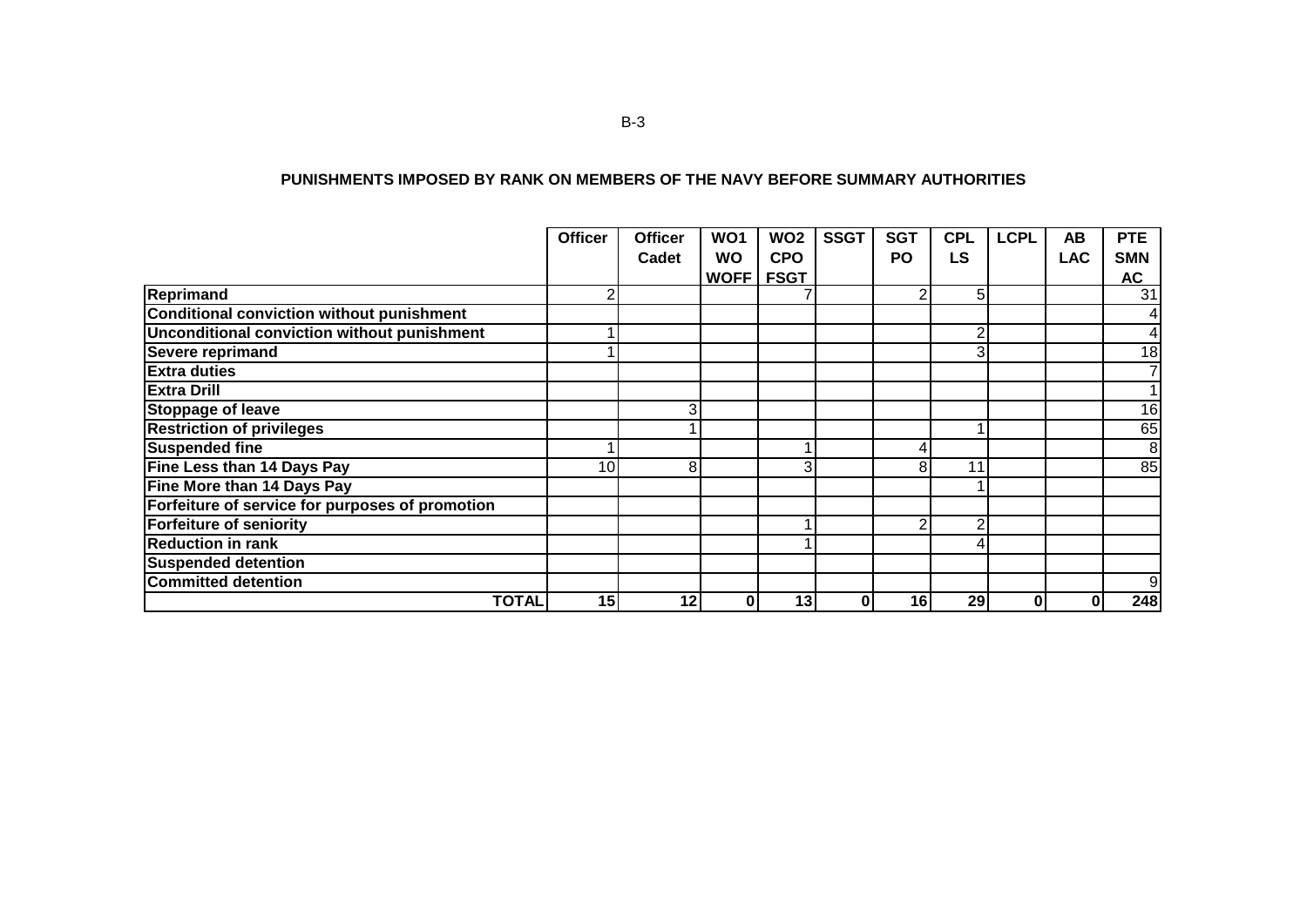|                                                 | <b>Officer</b>  | <b>Officer</b> | WO <sub>1</sub> | WO <sub>2</sub> | <b>SSGT</b> | <b>SGT</b> | <b>CPL</b>     | <b>LCPL</b> | AB         | <b>PTE</b>     |
|-------------------------------------------------|-----------------|----------------|-----------------|-----------------|-------------|------------|----------------|-------------|------------|----------------|
|                                                 |                 | Cadet          | <b>WO</b>       | <b>CPO</b>      |             | <b>PO</b>  | LS             |             | <b>LAC</b> | <b>SMN</b>     |
|                                                 |                 |                | WOFF            | <b>FSGT</b>     |             |            |                |             |            | <b>AC</b>      |
| Reprimand                                       |                 |                |                 |                 |             | ⌒          | 5              |             |            | 31             |
| Conditional conviction without punishment       |                 |                |                 |                 |             |            |                |             |            | 4              |
| Unconditional conviction without punishment     |                 |                |                 |                 |             |            | 2              |             |            | 4              |
| Severe reprimand                                |                 |                |                 |                 |             |            | 3 <sub>l</sub> |             |            | 18             |
| <b>Extra duties</b>                             |                 |                |                 |                 |             |            |                |             |            | $\overline{7}$ |
| <b>Extra Drill</b>                              |                 |                |                 |                 |             |            |                |             |            | $\mathbf{1}$   |
| <b>Stoppage of leave</b>                        |                 | 3              |                 |                 |             |            |                |             |            | 16             |
| <b>Restriction of privileges</b>                |                 |                |                 |                 |             |            |                |             |            | 65             |
| <b>Suspended fine</b>                           |                 |                |                 |                 |             |            |                |             |            | 8              |
| Fine Less than 14 Days Pay                      | 10 <sub>l</sub> | 8              |                 | 3               |             | 8          | 11             |             |            | 85             |
| Fine More than 14 Days Pay                      |                 |                |                 |                 |             |            |                |             |            |                |
| Forfeiture of service for purposes of promotion |                 |                |                 |                 |             |            |                |             |            |                |
| <b>Forfeiture of seniority</b>                  |                 |                |                 |                 |             |            | 2              |             |            |                |
| <b>Reduction in rank</b>                        |                 |                |                 |                 |             |            | 4              |             |            |                |
| <b>Suspended detention</b>                      |                 |                |                 |                 |             |            |                |             |            |                |
| <b>Committed detention</b>                      |                 |                |                 |                 |             |            |                |             |            | 9              |

**TOTAL 15 12 0 13 0 16 29 0 0 248**

#### **PUNISHMENTS IMPOSED BY RANK ON MEMBERS OF THE NAVY BEFORE SUMMARY AUTHORITIES**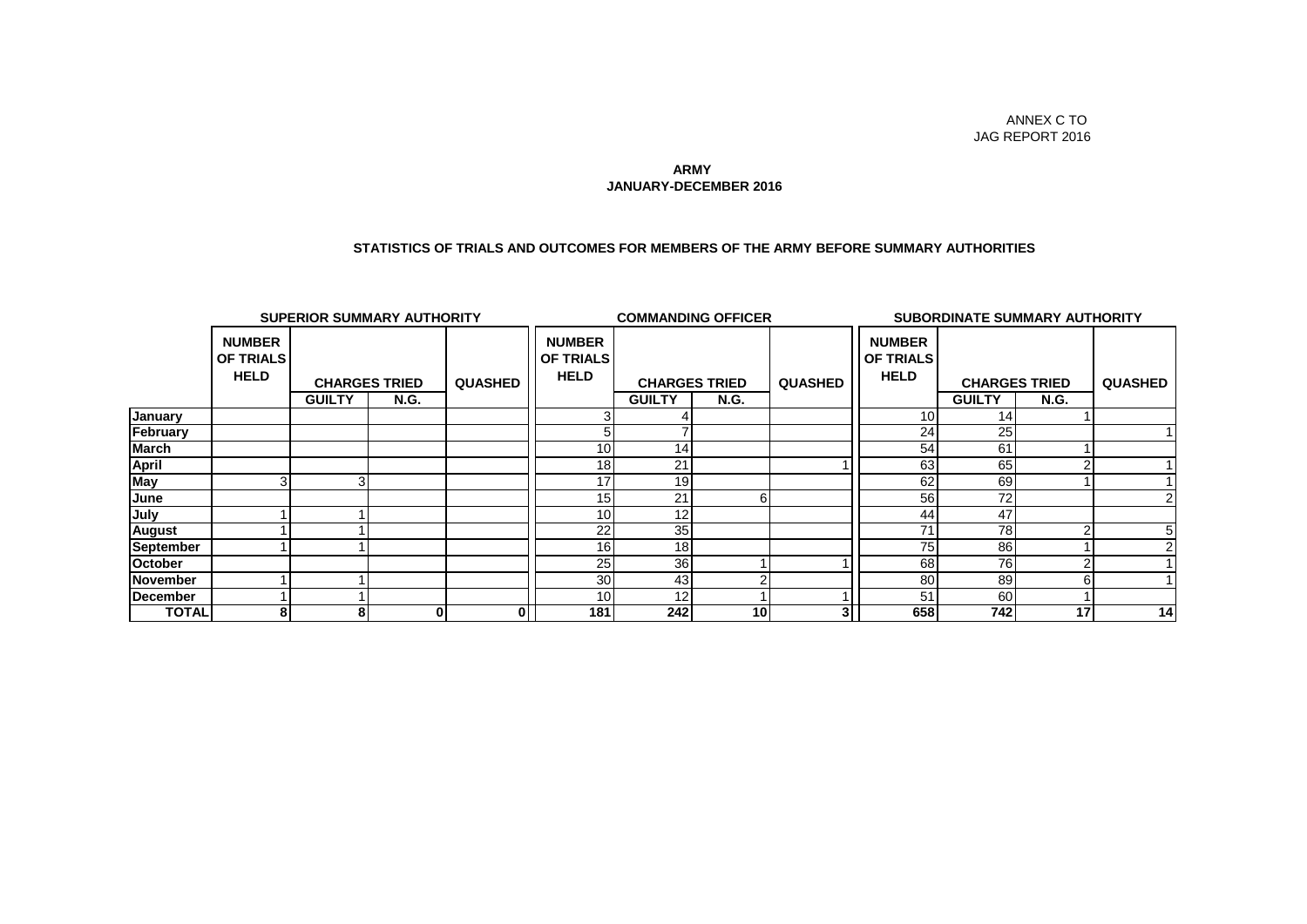#### **JANUARY-DECEMBER 2016 ARMY**

#### **STATISTICS OF TRIALS AND OUTCOMES FOR MEMBERS OF THE ARMY BEFORE SUMMARY AUTHORITIES**

|                  | <b>SUPERIOR SUMMARY AUTHORITY</b>                |                |                      |                |                                                  | <b>COMMANDING OFFICER</b> |                 |                |                                                  | <b>SUBORDINATE SUMMARY AUTHORITY</b> |             |                |  |
|------------------|--------------------------------------------------|----------------|----------------------|----------------|--------------------------------------------------|---------------------------|-----------------|----------------|--------------------------------------------------|--------------------------------------|-------------|----------------|--|
|                  | <b>NUMBER</b><br><b>OF TRIALS</b><br><b>HELD</b> |                | <b>CHARGES TRIED</b> | <b>QUASHED</b> | <b>NUMBER</b><br><b>OF TRIALS</b><br><b>HELD</b> | <b>CHARGES TRIED</b>      |                 | <b>QUASHED</b> | <b>NUMBER</b><br><b>OF TRIALS</b><br><b>HELD</b> | <b>CHARGES TRIED</b>                 |             | <b>QUASHED</b> |  |
|                  |                                                  | <b>GUILTY</b>  | <b>N.G.</b>          |                |                                                  | <b>GUILTY</b>             | <b>N.G.</b>     |                |                                                  | <b>GUILTY</b>                        | <b>N.G.</b> |                |  |
| <b>January</b>   |                                                  |                |                      |                |                                                  |                           |                 |                | 10                                               | 14                                   |             |                |  |
| February         |                                                  |                |                      |                |                                                  |                           |                 |                | 24                                               | 25                                   |             |                |  |
| <b>March</b>     |                                                  |                |                      |                | 10 <sup>1</sup>                                  | 14                        |                 |                | 54                                               | 61                                   |             |                |  |
| <b>April</b>     |                                                  |                |                      |                | 18                                               | 21                        |                 |                | 63                                               | 65                                   |             |                |  |
| <b>May</b>       |                                                  | 3 <sup>1</sup> |                      |                | 17                                               | 19                        |                 |                | 62                                               | 69                                   |             |                |  |
| June             |                                                  |                |                      |                | 15                                               | 21                        | 6               |                | 56                                               | 72                                   |             |                |  |
| July             |                                                  |                |                      |                | 10 <sup>1</sup>                                  | 12                        |                 |                | 44                                               | 47                                   |             |                |  |
| <b>August</b>    |                                                  |                |                      |                | 22                                               | 35                        |                 |                | 71                                               | 78                                   |             |                |  |
| <b>September</b> |                                                  |                |                      |                | 16                                               | 18 <sub>1</sub>           |                 |                | 75                                               | 86                                   |             |                |  |
| <b>October</b>   |                                                  |                |                      |                | 25 <sub>l</sub>                                  | 36                        |                 |                | 68                                               | 76                                   |             |                |  |
| <b>November</b>  |                                                  |                |                      |                | 30 <sub>l</sub>                                  | 43                        |                 |                | 80                                               | 89                                   | 6           |                |  |
| December         |                                                  |                |                      |                | 10 <sub>1</sub>                                  | 12                        |                 |                | 51                                               | 60                                   |             |                |  |
| <b>TOTAL</b>     | 8                                                | 8              | 0                    | 0              | 181                                              | 242                       | 10 <sup>1</sup> |                | 658                                              | 742                                  | 17          | 14             |  |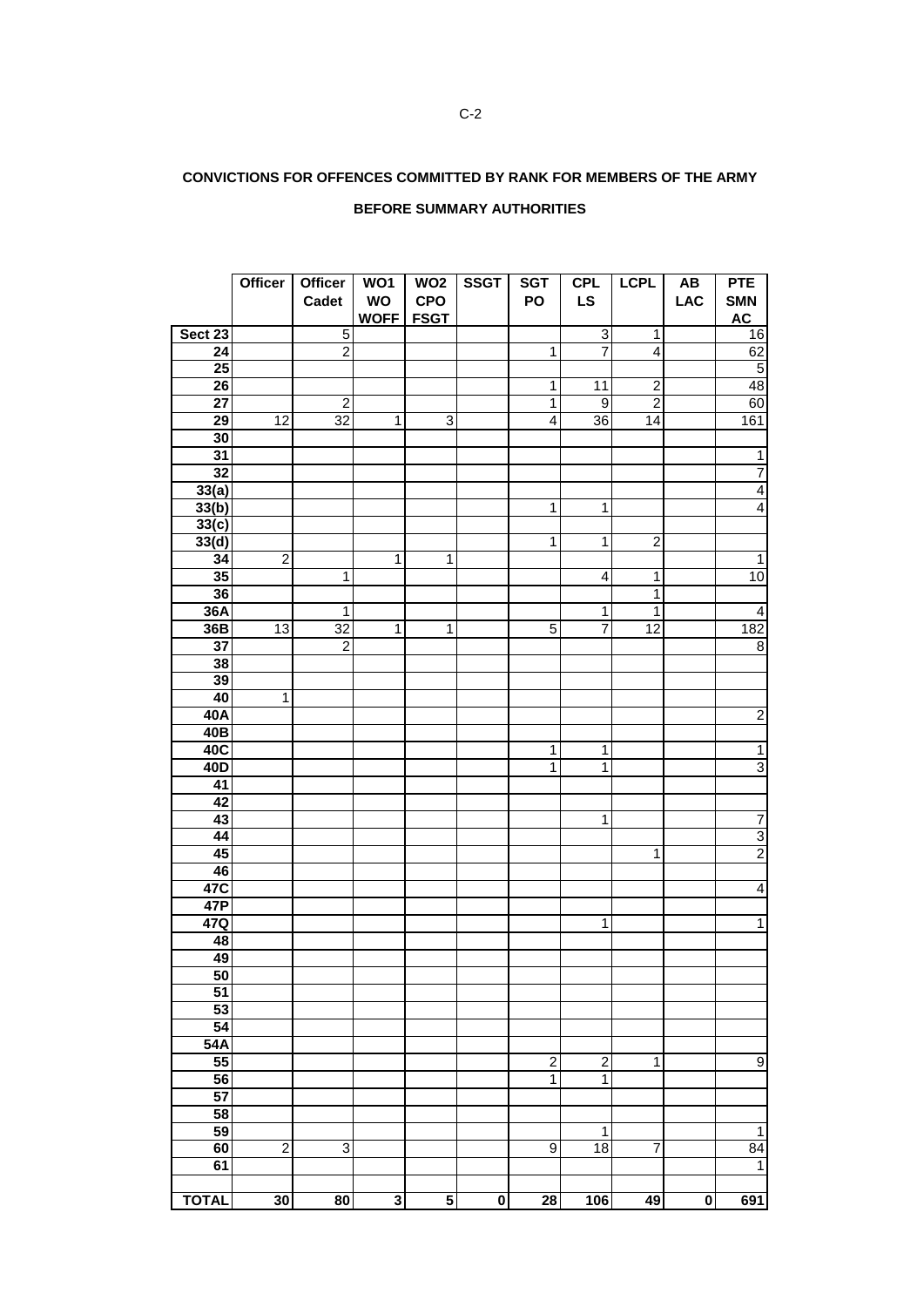## **CONVICTIONS FOR OFFENCES COMMITTED BY RANK FOR MEMBERS OF THE ARMY**

#### **BEFORE SUMMARY AUTHORITIES**

|                 | Officer         | Officer<br>Cadet | WO1<br>WO<br>WOFF FSGT | WO <sub>2</sub><br><b>CPO</b> | <b>SSGT</b> | <b>SGT</b><br>PO        | <b>CPL</b><br><b>LS</b> | <b>LCPL</b>      | AB<br><b>LAC</b> | <b>PTE</b><br><b>SMN</b><br>AC |
|-----------------|-----------------|------------------|------------------------|-------------------------------|-------------|-------------------------|-------------------------|------------------|------------------|--------------------------------|
| Sect 23         |                 | $\overline{5}$   |                        |                               |             |                         | $\overline{3}$          | 1                |                  | 16                             |
| $\overline{24}$ |                 | $\overline{2}$   |                        |                               |             | 1                       | $\overline{7}$          | $\overline{4}$   |                  | 62                             |
| 25              |                 |                  |                        |                               |             |                         |                         |                  |                  | $\overline{5}$                 |
| 26              |                 |                  |                        |                               |             | $\mathbf 1$             | 11                      | $\overline{c}$   |                  | 48                             |
| $\overline{27}$ |                 | $\overline{c}$   |                        |                               |             | $\mathbf{1}$            | $\overline{9}$          | $\overline{2}$   |                  | 60                             |
| 29              | $\overline{12}$ | $\overline{32}$  | $\mathbf{1}$           | ω                             |             | $\overline{\mathbf{4}}$ | 36                      | 14               |                  | 161                            |
| 30              |                 |                  |                        |                               |             |                         |                         |                  |                  |                                |
| 31              |                 |                  |                        |                               |             |                         |                         |                  |                  | $\overline{1}$                 |
| $\overline{32}$ |                 |                  |                        |                               |             |                         |                         |                  |                  | $\overline{7}$                 |
| 33(a)           |                 |                  |                        |                               |             |                         |                         |                  |                  | $\overline{4}$                 |
| 33(b)           |                 |                  |                        |                               |             | $\overline{1}$          | $\overline{1}$          |                  |                  | $\overline{4}$                 |
| 33(c)           |                 |                  |                        |                               |             |                         |                         |                  |                  |                                |
| 33(d)           |                 |                  |                        |                               |             | $\mathbf 1$             | $\mathbf{1}$            | $\boldsymbol{2}$ |                  |                                |
| 34              | $\overline{2}$  |                  | $\mathbf{1}$           | 1                             |             |                         |                         |                  |                  | $\mathbf{1}$                   |
| 35              |                 | 1                |                        |                               |             |                         | $\overline{4}$          | 1                |                  | 10                             |
| 36              |                 |                  |                        |                               |             |                         |                         | 1                |                  |                                |
| 36A             |                 | 1                |                        |                               |             |                         | $\mathbf 1$             | 1                |                  | $\overline{4}$                 |
| 36B             | 13              | 32               | $\overline{1}$         | $\mathbf{1}$                  |             | $\overline{5}$          | $\overline{7}$          | 12               |                  | 182                            |
| $\overline{37}$ |                 | $\overline{2}$   |                        |                               |             |                         |                         |                  |                  | $\overline{8}$                 |
| 38              |                 |                  |                        |                               |             |                         |                         |                  |                  |                                |
| 39              |                 |                  |                        |                               |             |                         |                         |                  |                  |                                |
| 40              | $\overline{1}$  |                  |                        |                               |             |                         |                         |                  |                  |                                |
| 40A             |                 |                  |                        |                               |             |                         |                         |                  |                  | $\overline{2}$                 |
| 40 <sub>B</sub> |                 |                  |                        |                               |             |                         |                         |                  |                  |                                |
| 40C             |                 |                  |                        |                               |             | $\mathbf{1}$            | $\mathbf{1}$            |                  |                  | $\mathbf{1}$                   |
| 40D             |                 |                  |                        |                               |             | $\overline{1}$          | $\overline{1}$          |                  |                  | $\overline{3}$                 |
| $\overline{41}$ |                 |                  |                        |                               |             |                         |                         |                  |                  |                                |
| 42              |                 |                  |                        |                               |             |                         |                         |                  |                  |                                |
| 43              |                 |                  |                        |                               |             |                         | $\mathbf{1}$            |                  |                  | $\overline{7}$                 |
| 44              |                 |                  |                        |                               |             |                         |                         |                  |                  | $\frac{3}{2}$                  |
| 45              |                 |                  |                        |                               |             |                         |                         | 1                |                  |                                |
| 46              |                 |                  |                        |                               |             |                         |                         |                  |                  |                                |
| 47C             |                 |                  |                        |                               |             |                         |                         |                  |                  | $\overline{4}$                 |
| 47P             |                 |                  |                        |                               |             |                         |                         |                  |                  |                                |
| 47Q             |                 |                  |                        |                               |             |                         | $\overline{1}$          |                  |                  | $\overline{1}$                 |
| 48              |                 |                  |                        |                               |             |                         |                         |                  |                  |                                |
| 49              |                 |                  |                        |                               |             |                         |                         |                  |                  |                                |
| 50              |                 |                  |                        |                               |             |                         |                         |                  |                  |                                |
| $\overline{51}$ |                 |                  |                        |                               |             |                         |                         |                  |                  |                                |
| 53              |                 |                  |                        |                               |             |                         |                         |                  |                  |                                |
| $\overline{54}$ |                 |                  |                        |                               |             |                         |                         |                  |                  |                                |
| 54A             |                 |                  |                        |                               |             |                         |                         |                  |                  |                                |
| $\overline{55}$ |                 |                  |                        |                               |             | $\overline{\mathbf{c}}$ | $\overline{\mathbf{c}}$ | 1                |                  | $\boldsymbol{9}$               |
| 56              |                 |                  |                        |                               |             | $\overline{1}$          | $\overline{1}$          |                  |                  |                                |
| 57              |                 |                  |                        |                               |             |                         |                         |                  |                  |                                |
| 58              |                 |                  |                        |                               |             |                         |                         |                  |                  |                                |
| 59              |                 |                  |                        |                               |             |                         | 1                       |                  |                  | $\mathbf{1}$                   |
| 60              | $\overline{2}$  | 3                |                        |                               |             | $\overline{9}$          | $\overline{18}$         | $\overline{7}$   |                  | $\overline{84}$                |
| 61              |                 |                  |                        |                               |             |                         |                         |                  |                  | $\mathbf 1$                    |
|                 |                 |                  |                        |                               |             |                         |                         |                  |                  |                                |
| <b>TOTAL</b>    | 30              | 80               | 3                      | $\overline{\mathbf{5}}$       | $\pmb{0}$   | 28                      | 106                     | 49               | $\pmb{0}$        | 691                            |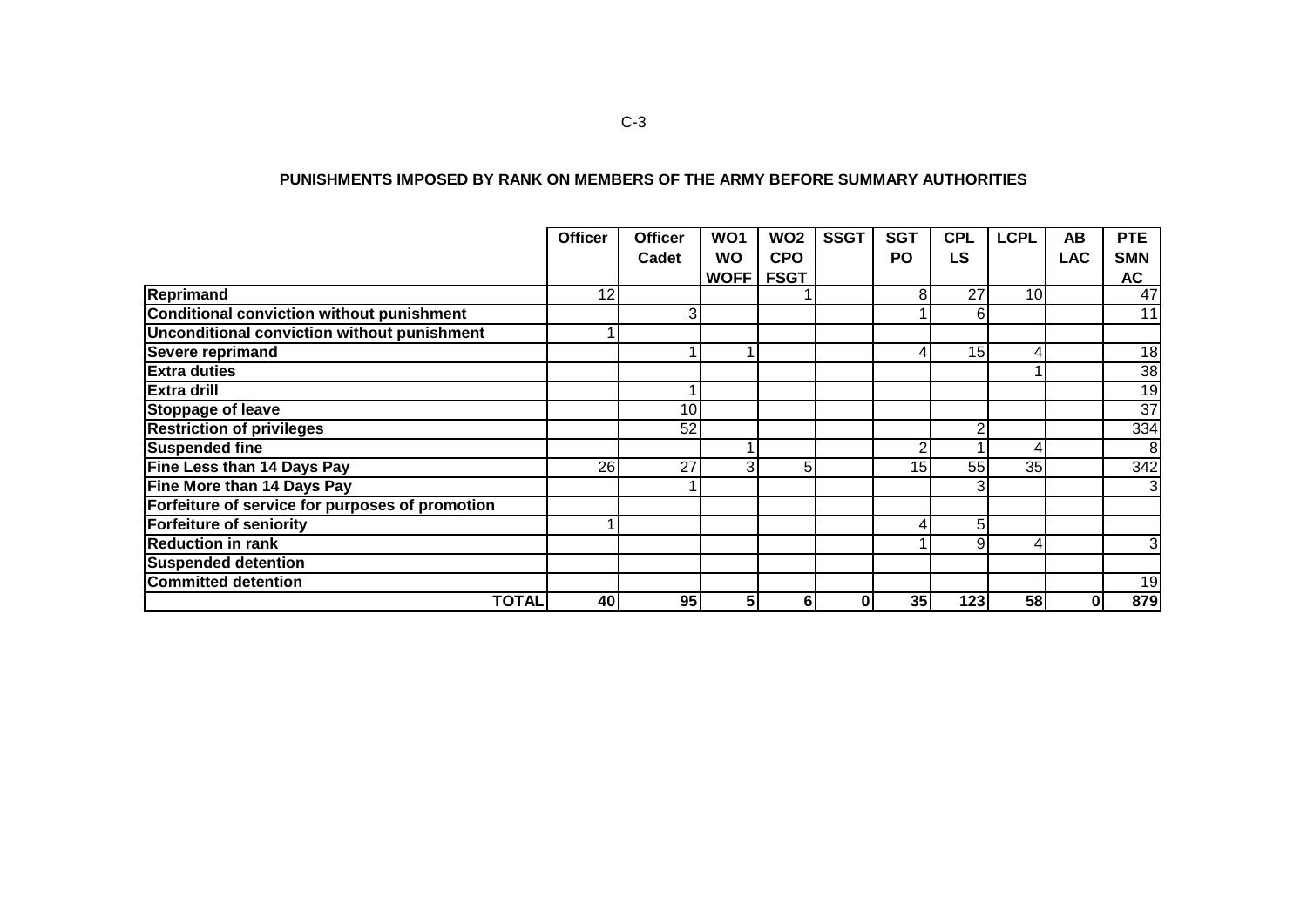| PUNISHMENTS IMPOSED BY RANK ON MEMBERS OF THE ARMY BEFORE SUMMARY AUTHORITIES |  |
|-------------------------------------------------------------------------------|--|
|-------------------------------------------------------------------------------|--|

|                                                 | <b>Officer</b> | <b>Officer</b> | WO <sub>1</sub> | WO <sub>2</sub> | <b>SSGT</b> | <b>SGT</b> | <b>CPL</b>      | <b>LCPL</b> | AB         | <b>PTE</b>     |
|-------------------------------------------------|----------------|----------------|-----------------|-----------------|-------------|------------|-----------------|-------------|------------|----------------|
|                                                 |                | Cadet          | <b>WO</b>       | <b>CPO</b>      |             | PO         | <b>LS</b>       |             | <b>LAC</b> | <b>SMN</b>     |
|                                                 |                |                | <b>WOFF</b>     | <b>FSGT</b>     |             |            |                 |             |            | AC             |
| Reprimand                                       | 12             |                |                 |                 |             | 8          | 27              | 10          |            | 47             |
| Conditional conviction without punishment       |                | 3              |                 |                 |             |            | 61              |             |            | 11             |
| Unconditional conviction without punishment     |                |                |                 |                 |             |            |                 |             |            |                |
| Severe reprimand                                |                |                |                 |                 |             | 4          | 15 <sup>1</sup> | 4           |            | 18             |
| <b>Extra duties</b>                             |                |                |                 |                 |             |            |                 |             |            | 38             |
| <b>Extra drill</b>                              |                |                |                 |                 |             |            |                 |             |            | 19             |
| <b>Stoppage of leave</b>                        |                | 10             |                 |                 |             |            |                 |             |            | 37             |
| <b>Restriction of privileges</b>                |                | 52             |                 |                 |             |            | ົ               |             |            | 334            |
| <b>Suspended fine</b>                           |                |                |                 |                 |             | ⌒          |                 | 4           |            | 8              |
| <b>Fine Less than 14 Days Pay</b>               | 26             | 27             | 3 <sup>1</sup>  | 5               |             | 15         | 55              | 35          |            | 342            |
| Fine More than 14 Days Pay                      |                |                |                 |                 |             |            |                 |             |            |                |
| Forfeiture of service for purposes of promotion |                |                |                 |                 |             |            |                 |             |            |                |
| <b>Forfeiture of seniority</b>                  |                |                |                 |                 |             |            | 5               |             |            |                |
| <b>Reduction in rank</b>                        |                |                |                 |                 |             |            | 9               | 4           |            | 3 <sub>l</sub> |
| <b>Suspended detention</b>                      |                |                |                 |                 |             |            |                 |             |            |                |
| <b>Committed detention</b>                      |                |                |                 |                 |             |            |                 |             |            | 19             |
| <b>TOTAL</b>                                    | 40             | 95             | 5 <sub>1</sub>  | 6               |             | 35         | 123             | 58          | 0          | 879            |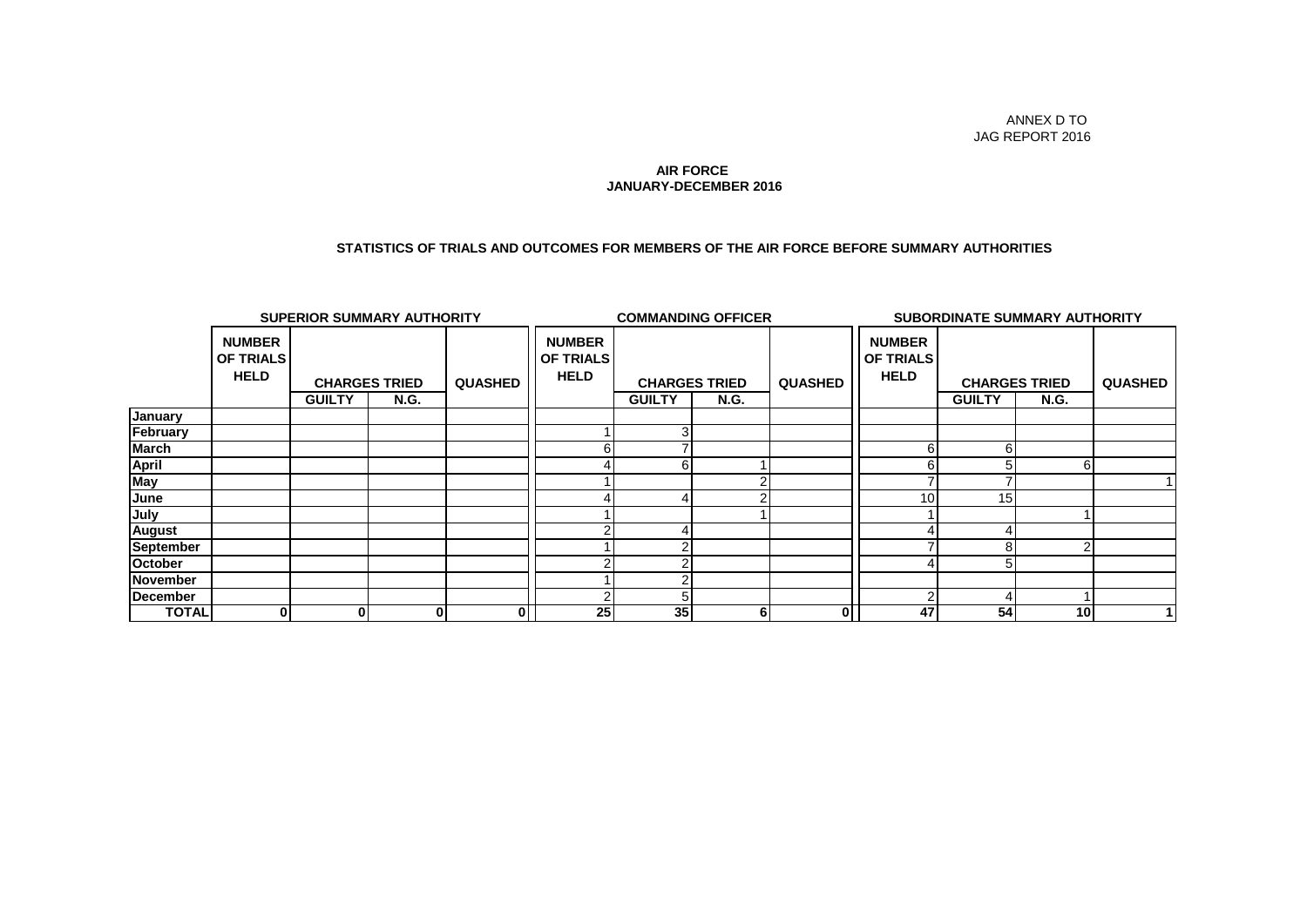#### **JANUARY-DECEMBER 2016 AIR FORCE**

#### **STATISTICS OF TRIALS AND OUTCOMES FOR MEMBERS OF THE AIR FORCE BEFORE SUMMARY AUTHORITIES**

| <b>SUPERIOR SUMMARY AUTHORITY</b> |                                                  |                      |             |                |                                                  | <b>COMMANDING OFFICER</b> |             |                |                                                  |               | <b>SUBORDINATE SUMMARY AUTHORITY</b> |                |
|-----------------------------------|--------------------------------------------------|----------------------|-------------|----------------|--------------------------------------------------|---------------------------|-------------|----------------|--------------------------------------------------|---------------|--------------------------------------|----------------|
|                                   | <b>NUMBER</b><br><b>OF TRIALS</b><br><b>HELD</b> | <b>CHARGES TRIED</b> |             | <b>QUASHED</b> | <b>NUMBER</b><br><b>OF TRIALS</b><br><b>HELD</b> | <b>CHARGES TRIED</b>      |             | <b>QUASHED</b> | <b>NUMBER</b><br><b>OF TRIALS</b><br><b>HELD</b> |               | <b>CHARGES TRIED</b>                 | <b>QUASHED</b> |
|                                   |                                                  | <b>GUILTY</b>        | <b>N.G.</b> |                |                                                  | <b>GUILTY</b>             | <b>N.G.</b> |                |                                                  | <b>GUILTY</b> | <b>N.G.</b>                          |                |
| January                           |                                                  |                      |             |                |                                                  |                           |             |                |                                                  |               |                                      |                |
| February                          |                                                  |                      |             |                |                                                  |                           |             |                |                                                  |               |                                      |                |
| <b>March</b>                      |                                                  |                      |             |                | 6                                                |                           |             |                |                                                  | 6             |                                      |                |
|                                   |                                                  |                      |             |                |                                                  |                           |             |                |                                                  | 5             | 6                                    |                |
| April<br>May                      |                                                  |                      |             |                |                                                  |                           |             |                |                                                  |               |                                      |                |
| June                              |                                                  |                      |             |                |                                                  |                           |             |                | 10                                               | 15            |                                      |                |
| July                              |                                                  |                      |             |                |                                                  |                           |             |                |                                                  |               |                                      |                |
| <b>August</b>                     |                                                  |                      |             |                |                                                  |                           |             |                |                                                  |               |                                      |                |
| <b>September</b>                  |                                                  |                      |             |                |                                                  |                           |             |                |                                                  | 8             | 2                                    |                |
| October                           |                                                  |                      |             |                |                                                  |                           |             |                |                                                  |               |                                      |                |
| <b>November</b>                   |                                                  |                      |             |                |                                                  |                           |             |                |                                                  |               |                                      |                |
| <b>December</b>                   |                                                  |                      |             |                |                                                  |                           |             |                |                                                  |               |                                      |                |
| <b>TOTAL</b>                      | $\mathbf{0}$                                     | $\overline{0}$       | 0           | 0              | 25                                               | 35                        | 6           | $\mathbf{0}$   | 47                                               | 54            | 10 <sub>l</sub>                      |                |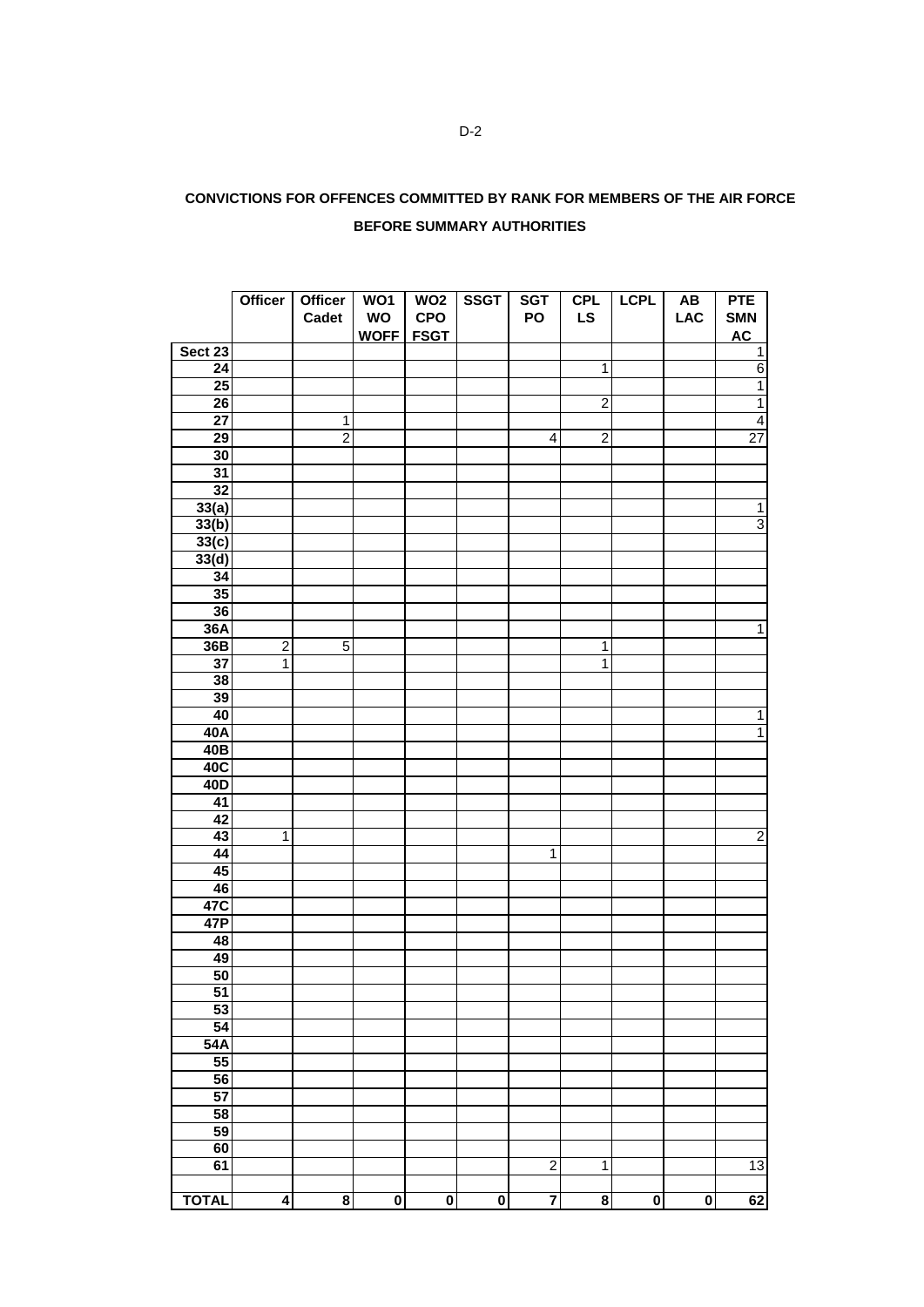| CONVICTIONS FOR OFFENCES COMMITTED BY RANK FOR MEMBERS OF THE AIR FORCE |  |
|-------------------------------------------------------------------------|--|
| <b>BEFORE SUMMARY AUTHORITIES</b>                                       |  |

|                 | <b>Officer</b>          | Officer                 | WO1         | WO <sub>2</sub>         | <b>SSGT</b>             | <b>SGT</b>              | <b>CPL</b>              | <b>LCPL</b>             | $\boldsymbol{\mathsf{A}\mathsf{B}}$ | <b>PTE</b>      |
|-----------------|-------------------------|-------------------------|-------------|-------------------------|-------------------------|-------------------------|-------------------------|-------------------------|-------------------------------------|-----------------|
|                 |                         | Cadet                   | WO          | <b>CPO</b>              |                         | PO                      | <b>LS</b>               |                         | <b>LAC</b>                          | <b>SMN</b>      |
|                 |                         |                         | <b>WOFF</b> | <b>FSGT</b>             |                         |                         |                         |                         |                                     | <b>AC</b>       |
| Sect 23         |                         |                         |             |                         |                         |                         |                         |                         |                                     | $\overline{1}$  |
| 24              |                         |                         |             |                         |                         |                         | $\overline{1}$          |                         |                                     | $6\overline{}$  |
| 25              |                         |                         |             |                         |                         |                         |                         |                         |                                     | $\overline{1}$  |
| 26              |                         |                         |             |                         |                         |                         | $\overline{2}$          |                         |                                     | $\overline{1}$  |
| $\overline{27}$ |                         | 1                       |             |                         |                         |                         |                         |                         |                                     | $\overline{4}$  |
| 29              |                         | $\overline{2}$          |             |                         |                         | 4                       | $\overline{2}$          |                         |                                     | $\overline{27}$ |
| 30              |                         |                         |             |                         |                         |                         |                         |                         |                                     |                 |
| $\overline{31}$ |                         |                         |             |                         |                         |                         |                         |                         |                                     |                 |
| 32              |                         |                         |             |                         |                         |                         |                         |                         |                                     |                 |
| 33(a)           |                         |                         |             |                         |                         |                         |                         |                         |                                     | $\mathbf{1}$    |
| 33(b)           |                         |                         |             |                         |                         |                         |                         |                         |                                     | $\overline{3}$  |
| 33(c)           |                         |                         |             |                         |                         |                         |                         |                         |                                     |                 |
| 33(d)           |                         |                         |             |                         |                         |                         |                         |                         |                                     |                 |
| $\overline{34}$ |                         |                         |             |                         |                         |                         |                         |                         |                                     |                 |
| 35              |                         |                         |             |                         |                         |                         |                         |                         |                                     |                 |
| 36              |                         |                         |             |                         |                         |                         |                         |                         |                                     |                 |
| 36A             |                         |                         |             |                         |                         |                         |                         |                         |                                     | $\overline{1}$  |
| 36B             | $\overline{2}$          | 5                       |             |                         |                         |                         | $\mathbf 1$             |                         |                                     |                 |
| 37              | $\overline{1}$          |                         |             |                         |                         |                         | $\overline{1}$          |                         |                                     |                 |
|                 |                         |                         |             |                         |                         |                         |                         |                         |                                     |                 |
| 38<br>39        |                         |                         |             |                         |                         |                         |                         |                         |                                     |                 |
| 40              |                         |                         |             |                         |                         |                         |                         |                         |                                     |                 |
|                 |                         |                         |             |                         |                         |                         |                         |                         |                                     | $\mathbf 1$     |
| 40A             |                         |                         |             |                         |                         |                         |                         |                         |                                     | $\overline{1}$  |
| 40 <sub>B</sub> |                         |                         |             |                         |                         |                         |                         |                         |                                     |                 |
| 40C             |                         |                         |             |                         |                         |                         |                         |                         |                                     |                 |
| 40D             |                         |                         |             |                         |                         |                         |                         |                         |                                     |                 |
| 41              |                         |                         |             |                         |                         |                         |                         |                         |                                     |                 |
| 42              |                         |                         |             |                         |                         |                         |                         |                         |                                     |                 |
| 43              | $\mathbf{1}$            |                         |             |                         |                         |                         |                         |                         |                                     | $\overline{2}$  |
| 44              |                         |                         |             |                         |                         | $\mathbf{1}$            |                         |                         |                                     |                 |
| 45              |                         |                         |             |                         |                         |                         |                         |                         |                                     |                 |
| 46              |                         |                         |             |                         |                         |                         |                         |                         |                                     |                 |
| 47C             |                         |                         |             |                         |                         |                         |                         |                         |                                     |                 |
| 47P             |                         |                         |             |                         |                         |                         |                         |                         |                                     |                 |
| 48              |                         |                         |             |                         |                         |                         |                         |                         |                                     |                 |
| 49              |                         |                         |             |                         |                         |                         |                         |                         |                                     |                 |
| 50              |                         |                         |             |                         |                         |                         |                         |                         |                                     |                 |
| $\overline{51}$ |                         |                         |             |                         |                         |                         |                         |                         |                                     |                 |
| 53              |                         |                         |             |                         |                         |                         |                         |                         |                                     |                 |
| 54              |                         |                         |             |                         |                         |                         |                         |                         |                                     |                 |
| 54A             |                         |                         |             |                         |                         |                         |                         |                         |                                     |                 |
| 55              |                         |                         |             |                         |                         |                         |                         |                         |                                     |                 |
| 56              |                         |                         |             |                         |                         |                         |                         |                         |                                     |                 |
| 57              |                         |                         |             |                         |                         |                         |                         |                         |                                     |                 |
| 58              |                         |                         |             |                         |                         |                         |                         |                         |                                     |                 |
| 59              |                         |                         |             |                         |                         |                         |                         |                         |                                     |                 |
| 60              |                         |                         |             |                         |                         |                         |                         |                         |                                     |                 |
| 61              |                         |                         |             |                         |                         | $\overline{2}$          | $\overline{1}$          |                         |                                     | 13              |
|                 |                         |                         |             |                         |                         |                         |                         |                         |                                     |                 |
| <b>TOTAL</b>    | $\overline{\mathbf{4}}$ | $\overline{\mathbf{8}}$ | $\pmb{0}$   | $\overline{\mathbf{0}}$ | $\overline{\mathbf{0}}$ | $\overline{\mathbf{7}}$ | $\overline{\mathbf{8}}$ | $\overline{\mathbf{0}}$ | $\overline{\mathbf{0}}$             | 62              |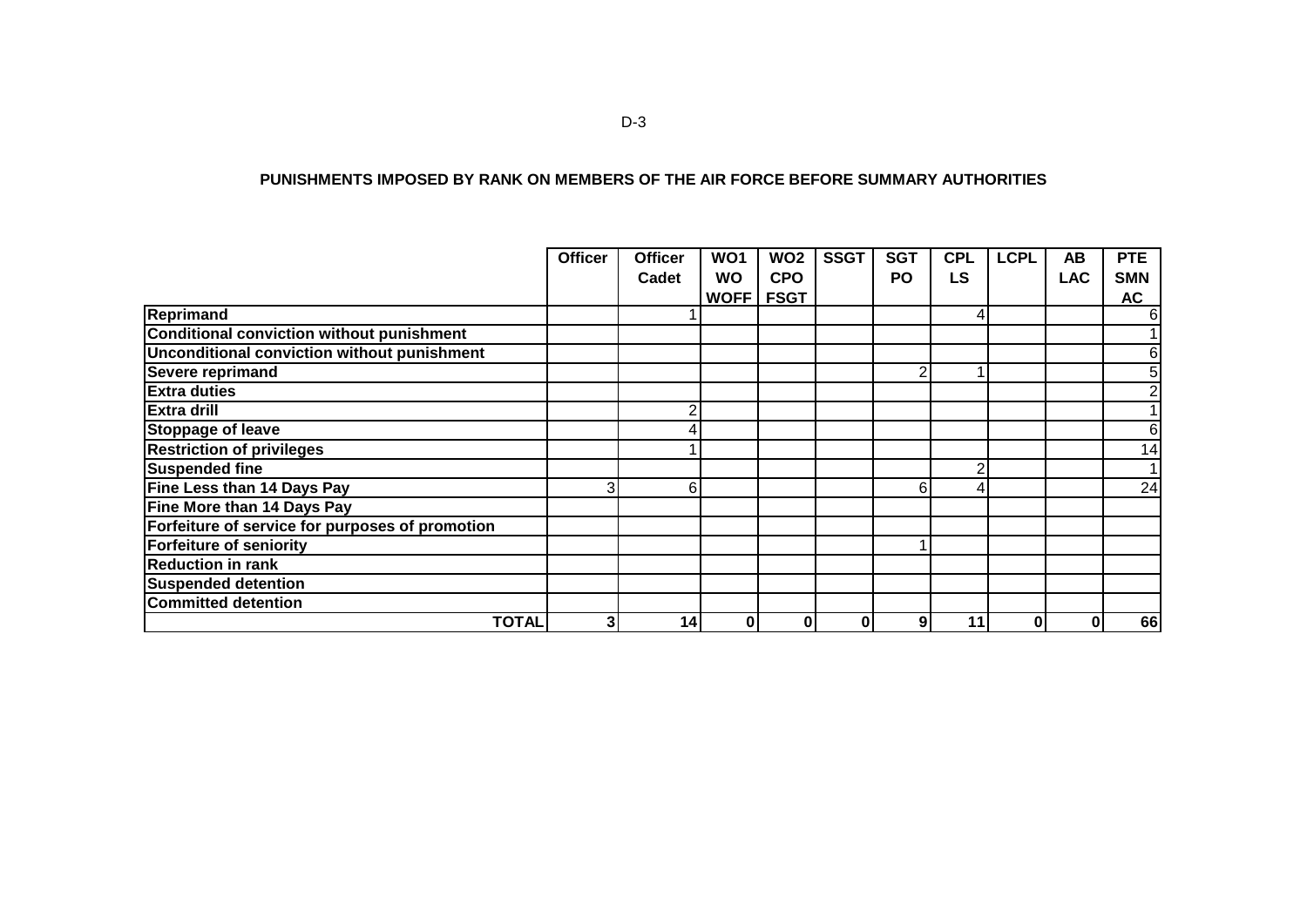#### **PUNISHMENTS IMPOSED BY RANK ON MEMBERS OF THE AIR FORCE BEFORE SUMMARY AUTHORITIES**

|                                                 | <b>Officer</b> | <b>Officer</b> | WO <sub>1</sub> | WO <sub>2</sub> | <b>SSGT</b> | <b>SGT</b> | <b>CPL</b> | <b>LCPL</b> | AB         | <b>PTE</b>      |
|-------------------------------------------------|----------------|----------------|-----------------|-----------------|-------------|------------|------------|-------------|------------|-----------------|
|                                                 |                | Cadet          | <b>WO</b>       | <b>CPO</b>      |             | <b>PO</b>  | LS         |             | <b>LAC</b> | <b>SMN</b>      |
|                                                 |                |                | <b>WOFF</b>     | <b>FSGT</b>     |             |            |            |             |            | AC              |
| Reprimand                                       |                |                |                 |                 |             |            | 41         |             |            | 6               |
| Conditional conviction without punishment       |                |                |                 |                 |             |            |            |             |            |                 |
| Unconditional conviction without punishment     |                |                |                 |                 |             |            |            |             |            | 6               |
| <b>Severe reprimand</b>                         |                |                |                 |                 |             | 2          |            |             |            | 5               |
| <b>Extra duties</b>                             |                |                |                 |                 |             |            |            |             |            |                 |
| <b>Extra drill</b>                              |                | 2              |                 |                 |             |            |            |             |            |                 |
| Stoppage of leave                               |                |                |                 |                 |             |            |            |             |            | 6               |
| <b>Restriction of privileges</b>                |                |                |                 |                 |             |            |            |             |            | $1\overline{4}$ |
| <b>Suspended fine</b>                           |                |                |                 |                 |             |            | ົ          |             |            |                 |
| Fine Less than 14 Days Pay                      | 3              | 6              |                 |                 |             | 6          |            |             |            | $\overline{24}$ |
| Fine More than 14 Days Pay                      |                |                |                 |                 |             |            |            |             |            |                 |
| Forfeiture of service for purposes of promotion |                |                |                 |                 |             |            |            |             |            |                 |
| <b>Forfeiture of seniority</b>                  |                |                |                 |                 |             |            |            |             |            |                 |
| <b>Reduction in rank</b>                        |                |                |                 |                 |             |            |            |             |            |                 |
| <b>Suspended detention</b>                      |                |                |                 |                 |             |            |            |             |            |                 |
| <b>Committed detention</b>                      |                |                |                 |                 |             |            |            |             |            |                 |
| <b>TOTAL</b>                                    | 3              | 14             | $\pmb{0}$       | 0               |             | 9          | 11         | 0           | 0          | 66              |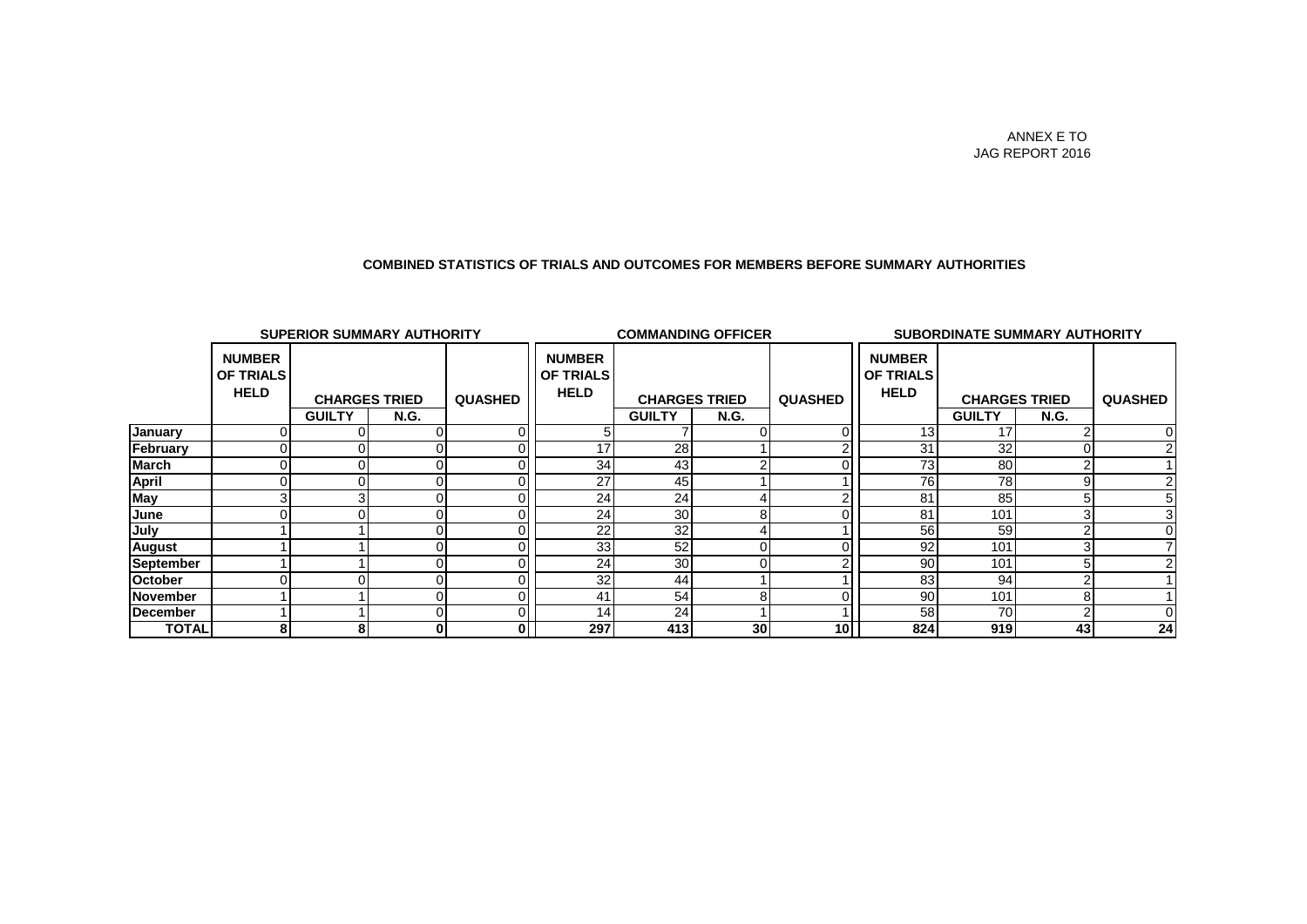#### **COMBINED STATISTICS OF TRIALS AND OUTCOMES FOR MEMBERS BEFORE SUMMARY AUTHORITIES**

| <b>SUPERIOR SUMMARY AUTHORITY</b> |                                                  |                      |             | <b>COMMANDING OFFICER</b> |                                           |                      |                 | SUBORDINATE SUMMARY AUTHORITY |                                                  |                      |             |                |
|-----------------------------------|--------------------------------------------------|----------------------|-------------|---------------------------|-------------------------------------------|----------------------|-----------------|-------------------------------|--------------------------------------------------|----------------------|-------------|----------------|
|                                   | <b>NUMBER</b><br><b>OF TRIALS</b><br><b>HELD</b> | <b>CHARGES TRIED</b> |             | <b>QUASHED</b>            | <b>NUMBER</b><br>OF TRIALS<br><b>HELD</b> | <b>CHARGES TRIED</b> |                 | <b>QUASHED</b>                | <b>NUMBER</b><br><b>OF TRIALS</b><br><b>HELD</b> | <b>CHARGES TRIED</b> |             | <b>QUASHED</b> |
|                                   |                                                  | <b>GUILTY</b>        | <b>N.G.</b> |                           |                                           | <b>GUILTY</b>        | <b>N.G.</b>     |                               |                                                  | <b>GUILTY</b>        | <b>N.G.</b> |                |
| January                           |                                                  |                      |             |                           |                                           |                      |                 |                               | 13                                               | 17                   |             |                |
| February                          |                                                  |                      |             |                           | 47                                        | 28                   |                 |                               | 31                                               | 32                   |             |                |
| March                             |                                                  |                      |             |                           | 34                                        | 43                   |                 |                               | 73                                               | 80                   |             |                |
| April                             |                                                  |                      |             |                           | 27                                        | 45                   |                 |                               | 76                                               | 78                   |             |                |
| May                               |                                                  |                      |             |                           | 24                                        | 24                   |                 |                               | 81                                               | 85                   |             |                |
| June                              |                                                  |                      |             |                           | 24                                        | 30                   | 8               |                               | 81                                               | 101                  |             |                |
| July                              |                                                  |                      |             |                           | 22                                        | 32                   |                 |                               | 56                                               | 59                   |             |                |
| <b>August</b>                     |                                                  |                      |             |                           | 33                                        | 52                   |                 |                               | 92                                               | 101                  |             |                |
| September                         |                                                  |                      |             |                           | 24                                        | 30                   |                 |                               | 90                                               | 101                  |             |                |
| October                           |                                                  |                      |             |                           | 32                                        | 44                   |                 |                               | 83                                               | 94                   |             |                |
| November                          |                                                  |                      |             |                           | 4 <sup>1</sup>                            | 54                   | 8               |                               | 90                                               | 101                  | ŏ           |                |
| <b>December</b>                   |                                                  |                      |             |                           | 14                                        | 24                   |                 |                               | 58                                               | 70                   |             |                |
| <b>TOTAL</b>                      | 8                                                | 8                    | 0           | 0                         | 297                                       | 413                  | 30 <sup>1</sup> | 10I                           | 824                                              | 919                  | 43          | 24             |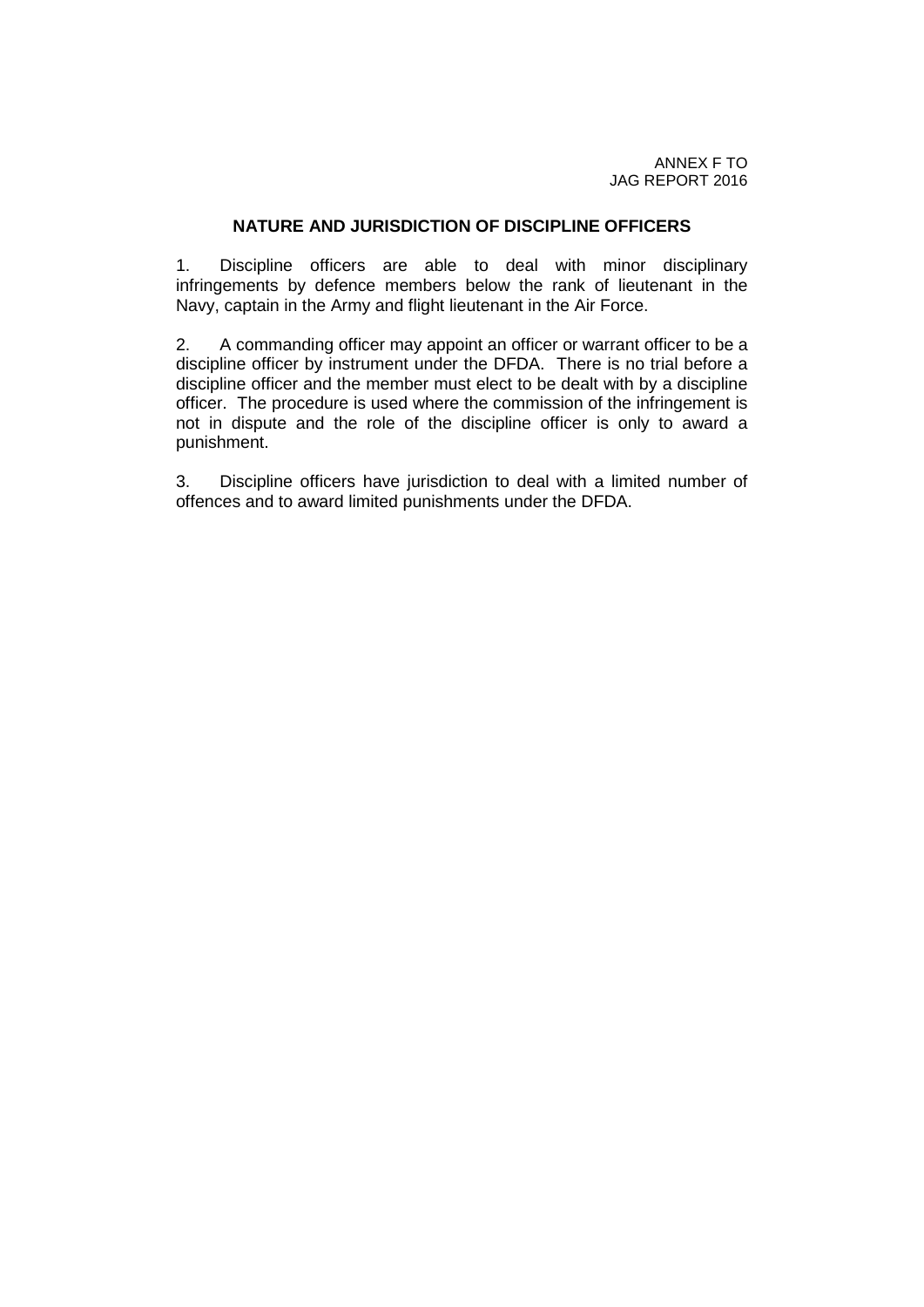#### **NATURE AND JURISDICTION OF DISCIPLINE OFFICERS**

1. Discipline officers are able to deal with minor disciplinary infringements by defence members below the rank of lieutenant in the Navy, captain in the Army and flight lieutenant in the Air Force.

2. A commanding officer may appoint an officer or warrant officer to be a discipline officer by instrument under the DFDA. There is no trial before a discipline officer and the member must elect to be dealt with by a discipline officer. The procedure is used where the commission of the infringement is not in dispute and the role of the discipline officer is only to award a punishment.

3. Discipline officers have jurisdiction to deal with a limited number of offences and to award limited punishments under the DFDA.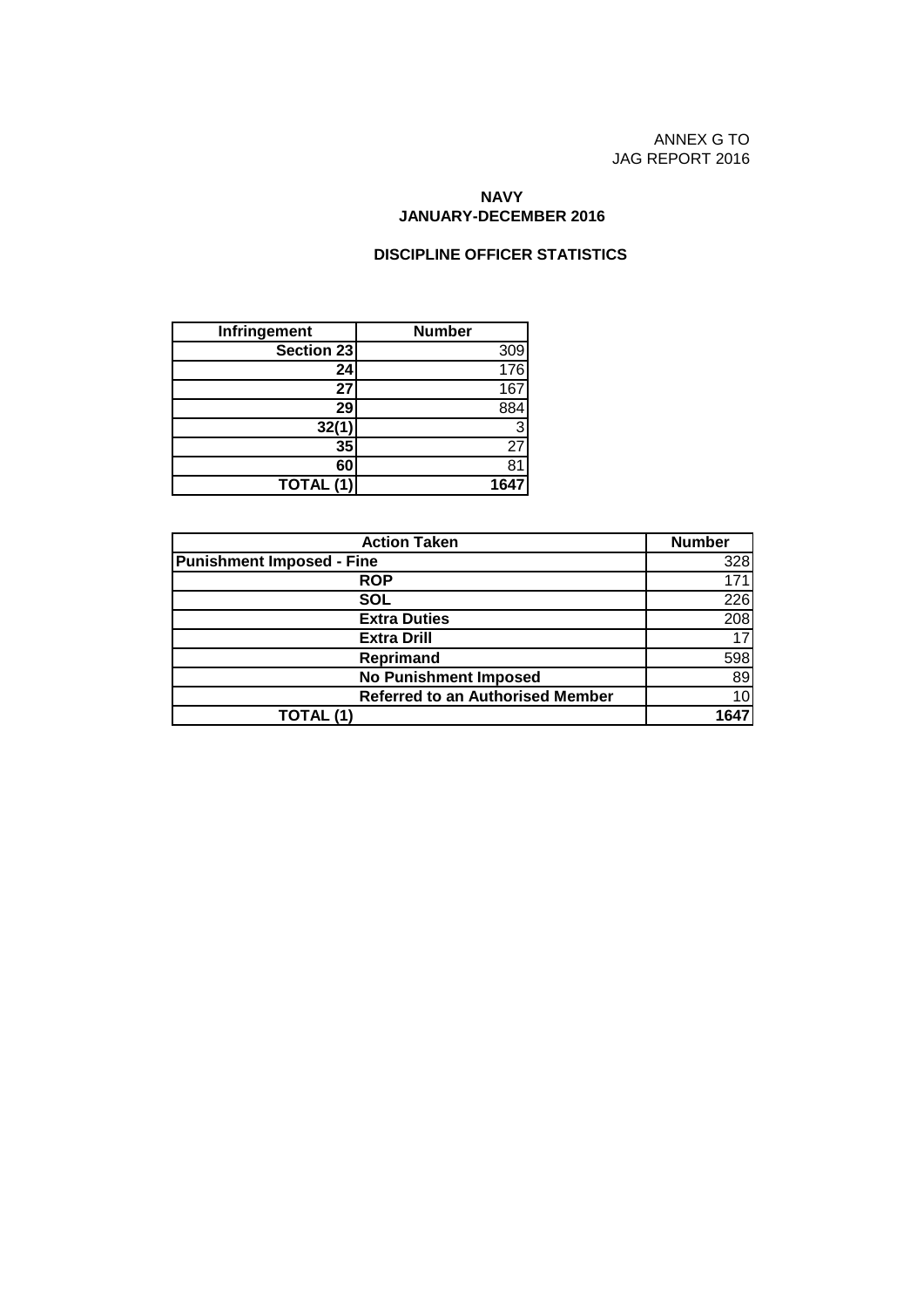ANNEX G TO JAG REPORT 2016

#### **NAVY JANUARY-DECEMBER 2016**

#### **DISCIPLINE OFFICER STATISTICS**

| Infringement | <b>Number</b>     |
|--------------|-------------------|
| Section 23   | $\frac{309}{176}$ |
| 24           |                   |
| 27           | 167               |
| 29           |                   |
| 32(1)        | 3                 |
| 35           | 27                |
| 60           |                   |
| TOTAL (1)    | 164               |

| <b>Action Taken</b>                     | <b>Number</b> |
|-----------------------------------------|---------------|
| <b>Punishment Imposed - Fine</b>        | 328           |
| <b>ROP</b>                              | 171           |
| SOL                                     | 226           |
| <b>Extra Duties</b>                     | 208           |
| <b>Extra Drill</b>                      |               |
| Reprimand                               | 598           |
| <b>No Punishment Imposed</b>            | 89            |
| <b>Referred to an Authorised Member</b> | 10            |
| TOTAL (1)                               |               |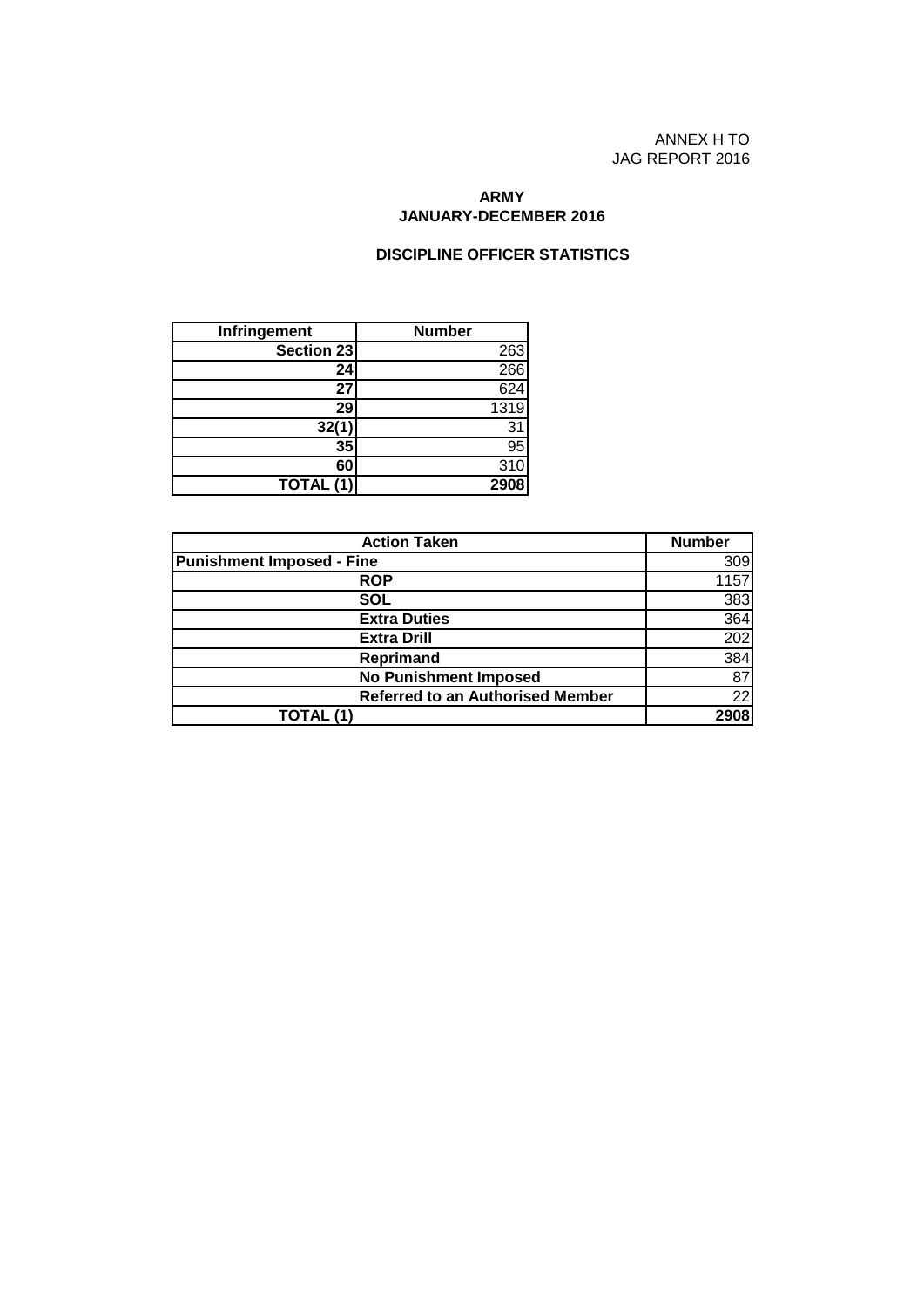ANNEX H TO JAG REPORT 2016

#### **ARMY JANUARY-DECEMBER 2016**

#### **DISCIPLINE OFFICER STATISTICS**

| Infringement | <b>Number</b> |
|--------------|---------------|
| Section 23   | <u>263</u>    |
| 24           | 266           |
| 27           | 624           |
| 29           | 1319          |
| 32(1)        | 31            |
| 35           | 95            |
| 60           | 310           |
| TOTAL (1)    | 2908          |

| <b>Action Taken</b>                     | <b>Number</b> |
|-----------------------------------------|---------------|
| <b>Punishment Imposed - Fine</b>        | 309           |
| <b>ROP</b>                              | 1157          |
| SOL                                     | 383           |
| <b>Extra Duties</b>                     | 364           |
| <b>Extra Drill</b>                      | 202           |
| Reprimand                               | 384           |
| <b>No Punishment Imposed</b>            | 87            |
| <b>Referred to an Authorised Member</b> | 22            |
| TOTAL (1)                               |               |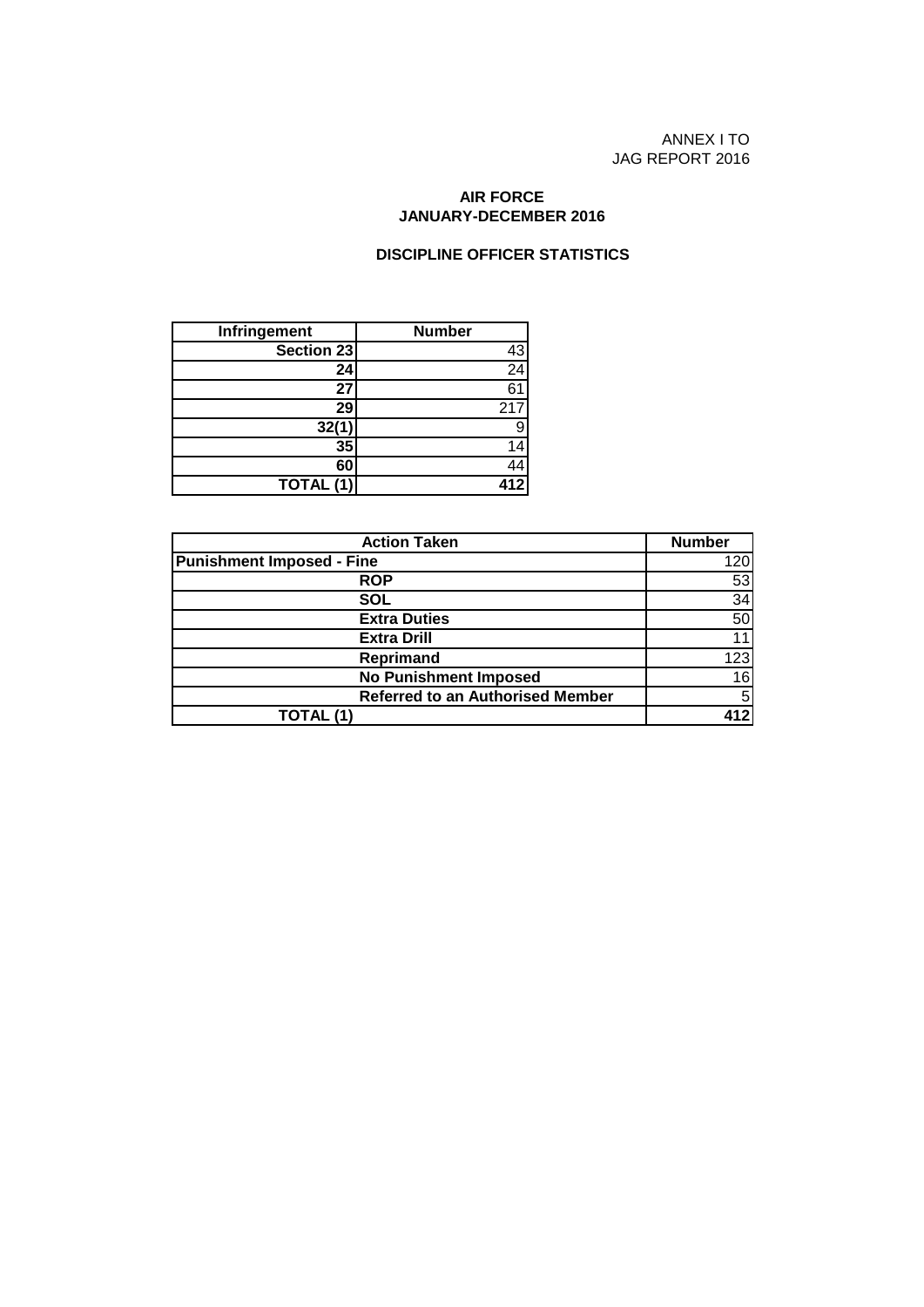ANNEX I TO JAG REPORT 2016

#### **JANUARY-DECEMBER 2016 AIR FORCE**

#### **DISCIPLINE OFFICER STATISTICS**

| Infringement | <b>Number</b>    |
|--------------|------------------|
| Section 23   |                  |
| 24           | $\frac{43}{24}$  |
| 27           | 6 <sup>1</sup>   |
| 29           | 217              |
| 32(1)        |                  |
| 35           |                  |
| 60           |                  |
| TOTAL (1)    | $41\overline{2}$ |

| <b>Action Taken</b>                     | <b>Number</b> |
|-----------------------------------------|---------------|
| <b>Punishment Imposed - Fine</b>        | 120           |
| <b>ROP</b>                              | 53            |
| SOL                                     | 34            |
| <b>Extra Duties</b>                     | 50            |
| <b>Extra Drill</b>                      |               |
| <b>Reprimand</b>                        | 123           |
| <b>No Punishment Imposed</b>            | 16            |
| <b>Referred to an Authorised Member</b> | 5             |
| TOTAL (1)                               |               |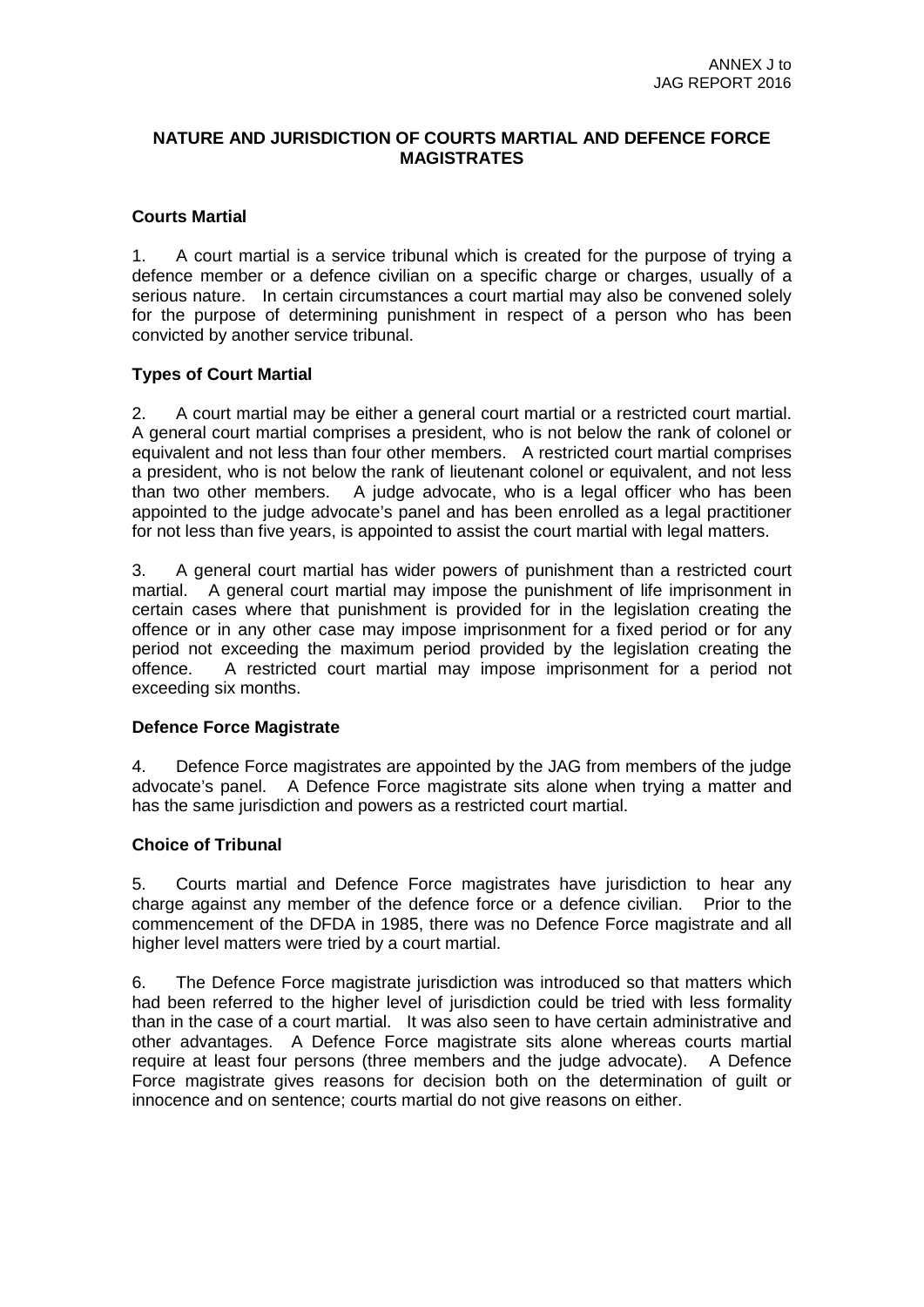## **NATURE AND JURISDICTION OF COURTS MARTIAL AND DEFENCE FORCE MAGISTRATES**

## **Courts Martial**

1. A court martial is a service tribunal which is created for the purpose of trying a defence member or a defence civilian on a specific charge or charges, usually of a serious nature. In certain circumstances a court martial may also be convened solely for the purpose of determining punishment in respect of a person who has been convicted by another service tribunal.

## **Types of Court Martial**

2. A court martial may be either a general court martial or a restricted court martial. A general court martial comprises a president, who is not below the rank of colonel or equivalent and not less than four other members. A restricted court martial comprises a president, who is not below the rank of lieutenant colonel or equivalent, and not less than two other members. A judge advocate, who is a legal officer who has been appointed to the judge advocate's panel and has been enrolled as a legal practitioner for not less than five years, is appointed to assist the court martial with legal matters.

3. A general court martial has wider powers of punishment than a restricted court martial. A general court martial may impose the punishment of life imprisonment in certain cases where that punishment is provided for in the legislation creating the offence or in any other case may impose imprisonment for a fixed period or for any period not exceeding the maximum period provided by the legislation creating the offence. A restricted court martial may impose imprisonment for a period not exceeding six months.

## **Defence Force Magistrate**

4. Defence Force magistrates are appointed by the JAG from members of the judge advocate's panel. A Defence Force magistrate sits alone when trying a matter and has the same jurisdiction and powers as a restricted court martial.

## **Choice of Tribunal**

5. Courts martial and Defence Force magistrates have jurisdiction to hear any charge against any member of the defence force or a defence civilian. Prior to the commencement of the DFDA in 1985, there was no Defence Force magistrate and all higher level matters were tried by a court martial.

6. The Defence Force magistrate jurisdiction was introduced so that matters which had been referred to the higher level of jurisdiction could be tried with less formality than in the case of a court martial. It was also seen to have certain administrative and other advantages. A Defence Force magistrate sits alone whereas courts martial require at least four persons (three members and the judge advocate). A Defence Force magistrate gives reasons for decision both on the determination of guilt or innocence and on sentence; courts martial do not give reasons on either.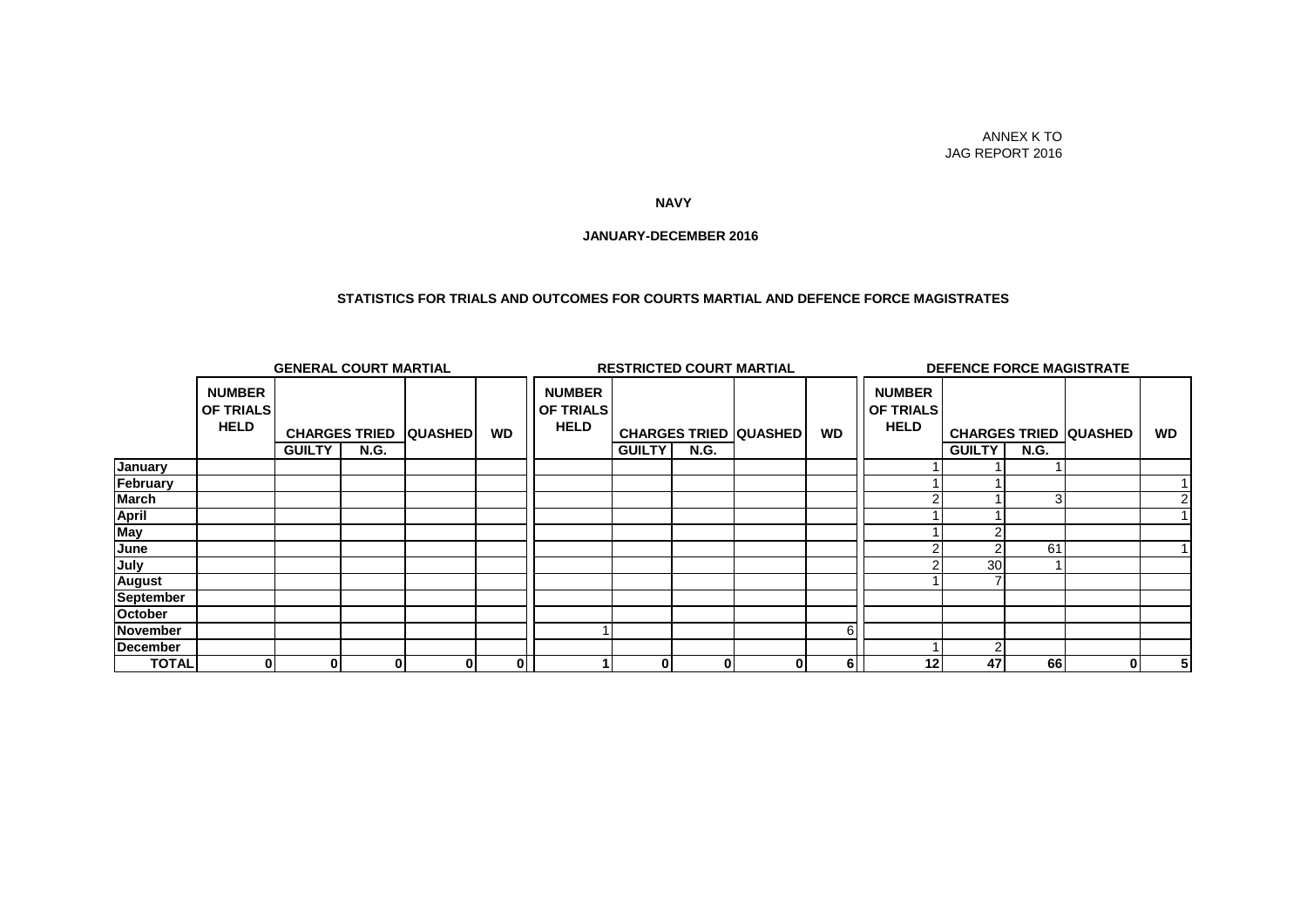#### ANNEX K TO JAG REPORT 2016

#### **NAVY**

#### **JANUARY-DECEMBER 2016**

#### **STATISTICS FOR TRIALS AND OUTCOMES FOR COURTS MARTIAL AND DEFENCE FORCE MAGISTRATES**

|              | <b>GENERAL COURT MARTIAL</b>                     |               |                                     |                |                | <b>RESTRICTED COURT MARTIAL</b>                  |               |             |                              | <b>DEFENCE FORCE MAGISTRATE</b> |                                                  |                 |                |                              |                |
|--------------|--------------------------------------------------|---------------|-------------------------------------|----------------|----------------|--------------------------------------------------|---------------|-------------|------------------------------|---------------------------------|--------------------------------------------------|-----------------|----------------|------------------------------|----------------|
|              | <b>NUMBER</b><br><b>OF TRIALS</b><br><b>HELD</b> | <b>GUILTY</b> | <b>CHARGES TRIED</b><br><b>N.G.</b> | <b>QUASHED</b> | <b>WD</b>      | <b>NUMBER</b><br><b>OF TRIALS</b><br><b>HELD</b> | <b>GUILTY</b> | <b>N.G.</b> | <b>CHARGES TRIED QUASHED</b> | <b>WD</b>                       | <b>NUMBER</b><br><b>OF TRIALS</b><br><b>HELD</b> | <b>GUILTY</b>   | <b>N.G.</b>    | <b>CHARGES TRIED QUASHED</b> | <b>WD</b>      |
| January      |                                                  |               |                                     |                |                |                                                  |               |             |                              |                                 |                                                  |                 |                |                              |                |
| February     |                                                  |               |                                     |                |                |                                                  |               |             |                              |                                 |                                                  |                 |                |                              |                |
| March        |                                                  |               |                                     |                |                |                                                  |               |             |                              |                                 |                                                  |                 | $\overline{3}$ |                              |                |
| April        |                                                  |               |                                     |                |                |                                                  |               |             |                              |                                 |                                                  |                 |                |                              |                |
| May          |                                                  |               |                                     |                |                |                                                  |               |             |                              |                                 |                                                  |                 |                |                              |                |
| June         |                                                  |               |                                     |                |                |                                                  |               |             |                              |                                 |                                                  |                 | 61             |                              |                |
| July         |                                                  |               |                                     |                |                |                                                  |               |             |                              |                                 |                                                  | 30 <sub>l</sub> |                |                              |                |
| August       |                                                  |               |                                     |                |                |                                                  |               |             |                              |                                 |                                                  |                 |                |                              |                |
| September    |                                                  |               |                                     |                |                |                                                  |               |             |                              |                                 |                                                  |                 |                |                              |                |
| October      |                                                  |               |                                     |                |                |                                                  |               |             |                              |                                 |                                                  |                 |                |                              |                |
| November     |                                                  |               |                                     |                |                |                                                  |               |             |                              |                                 |                                                  |                 |                |                              |                |
| December     |                                                  |               |                                     |                |                |                                                  |               |             |                              |                                 |                                                  | C               |                |                              |                |
| <b>TOTAL</b> | 0                                                | $\bf{0}$      | 0                                   | 0              | $\overline{0}$ |                                                  | 01            | 0           |                              | 6                               | 12                                               | 47              | 66             | 0                            | 5 <sub>l</sub> |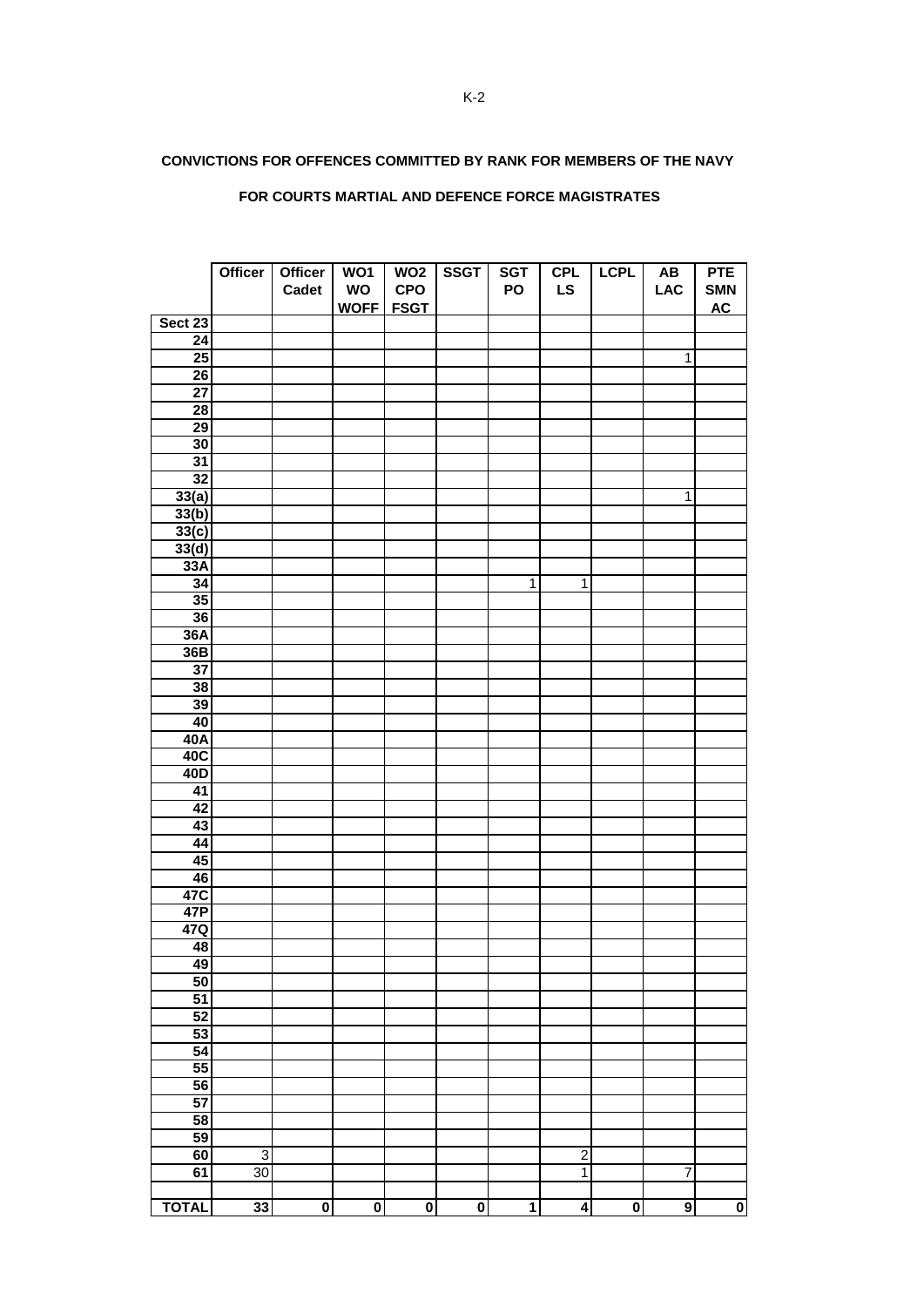#### **CONVICTIONS FOR OFFENCES COMMITTED BY RANK FOR MEMBERS OF THE NAVY**

#### **FOR COURTS MARTIAL AND DEFENCE FORCE MAGISTRATES**

|                 | <b>Officer</b> | Officer<br>Cadet        | WO1<br><b>WO</b>        | WO <sub>2</sub><br><b>CPO</b> | <b>SSGT</b>             | <b>SGT</b><br>PO        | <b>CPL</b><br><b>LS</b> | <b>LCPL</b>             | AB<br><b>LAC</b> | <b>PTE</b><br><b>SMN</b> |
|-----------------|----------------|-------------------------|-------------------------|-------------------------------|-------------------------|-------------------------|-------------------------|-------------------------|------------------|--------------------------|
|                 |                |                         | WOFF FSGT               |                               |                         |                         |                         |                         |                  | <b>AC</b>                |
| Sect 23         |                |                         |                         |                               |                         |                         |                         |                         |                  |                          |
| $\overline{24}$ |                |                         |                         |                               |                         |                         |                         |                         |                  |                          |
| 25              |                |                         |                         |                               |                         |                         |                         |                         | $\overline{1}$   |                          |
| $\overline{26}$ |                |                         |                         |                               |                         |                         |                         |                         |                  |                          |
| $\overline{27}$ |                |                         |                         |                               |                         |                         |                         |                         |                  |                          |
| 28              |                |                         |                         |                               |                         |                         |                         |                         |                  |                          |
| 29              |                |                         |                         |                               |                         |                         |                         |                         |                  |                          |
| 30              |                |                         |                         |                               |                         |                         |                         |                         |                  |                          |
| 31              |                |                         |                         |                               |                         |                         |                         |                         |                  |                          |
| 32              |                |                         |                         |                               |                         |                         |                         |                         |                  |                          |
| 33(a)           |                |                         |                         |                               |                         |                         |                         |                         | $\overline{1}$   |                          |
| 33(b)           |                |                         |                         |                               |                         |                         |                         |                         |                  |                          |
| 33(c)           |                |                         |                         |                               |                         |                         |                         |                         |                  |                          |
| 33(d)           |                |                         |                         |                               |                         |                         |                         |                         |                  |                          |
| 33A             |                |                         |                         |                               |                         |                         |                         |                         |                  |                          |
| 34              |                |                         |                         |                               |                         | $\overline{1}$          | $\overline{1}$          |                         |                  |                          |
| 35              |                |                         |                         |                               |                         |                         |                         |                         |                  |                          |
| 36              |                |                         |                         |                               |                         |                         |                         |                         |                  |                          |
| 36A             |                |                         |                         |                               |                         |                         |                         |                         |                  |                          |
| 36B             |                |                         |                         |                               |                         |                         |                         |                         |                  |                          |
| $\overline{37}$ |                |                         |                         |                               |                         |                         |                         |                         |                  |                          |
| 38              |                |                         |                         |                               |                         |                         |                         |                         |                  |                          |
| 39              |                |                         |                         |                               |                         |                         |                         |                         |                  |                          |
| 40              |                |                         |                         |                               |                         |                         |                         |                         |                  |                          |
| 40A             |                |                         |                         |                               |                         |                         |                         |                         |                  |                          |
| 40C             |                |                         |                         |                               |                         |                         |                         |                         |                  |                          |
| 40D             |                |                         |                         |                               |                         |                         |                         |                         |                  |                          |
| 41              |                |                         |                         |                               |                         |                         |                         |                         |                  |                          |
| 42              |                |                         |                         |                               |                         |                         |                         |                         |                  |                          |
| 43              |                |                         |                         |                               |                         |                         |                         |                         |                  |                          |
| 44              |                |                         |                         |                               |                         |                         |                         |                         |                  |                          |
| 45              |                |                         |                         |                               |                         |                         |                         |                         |                  |                          |
| 46              |                |                         |                         |                               |                         |                         |                         |                         |                  |                          |
| 47C             |                |                         |                         |                               |                         |                         |                         |                         |                  |                          |
| 47P             |                |                         |                         |                               |                         |                         |                         |                         |                  |                          |
| 47Q             |                |                         |                         |                               |                         |                         |                         |                         |                  |                          |
| 48              |                |                         |                         |                               |                         |                         |                         |                         |                  |                          |
| 49              |                |                         |                         |                               |                         |                         |                         |                         |                  |                          |
| 50              |                |                         |                         |                               |                         |                         |                         |                         |                  |                          |
| 51              |                |                         |                         |                               |                         |                         |                         |                         |                  |                          |
| 52              |                |                         |                         |                               |                         |                         |                         |                         |                  |                          |
| 53              |                |                         |                         |                               |                         |                         |                         |                         |                  |                          |
| 54              |                |                         |                         |                               |                         |                         |                         |                         |                  |                          |
| 55              |                |                         |                         |                               |                         |                         |                         |                         |                  |                          |
| $\overline{56}$ |                |                         |                         |                               |                         |                         |                         |                         |                  |                          |
| 57              |                |                         |                         |                               |                         |                         |                         |                         |                  |                          |
| 58              |                |                         |                         |                               |                         |                         |                         |                         |                  |                          |
| 59              |                |                         |                         |                               |                         |                         |                         |                         |                  |                          |
| 60              | 3              |                         |                         |                               |                         |                         | $\overline{\mathbf{c}}$ |                         |                  |                          |
| 61              | 30             |                         |                         |                               |                         |                         | $\overline{1}$          |                         | $\overline{7}$   |                          |
| <b>TOTAL</b>    | 33             | $\overline{\mathbf{0}}$ | $\overline{\mathbf{0}}$ | $\overline{\mathbf{0}}$       | $\overline{\mathbf{0}}$ | $\overline{\mathbf{1}}$ | $\overline{\bf{4}}$     | $\overline{\mathbf{o}}$ | $\overline{9}$   | $\bullet$                |
|                 |                |                         |                         |                               |                         |                         |                         |                         |                  |                          |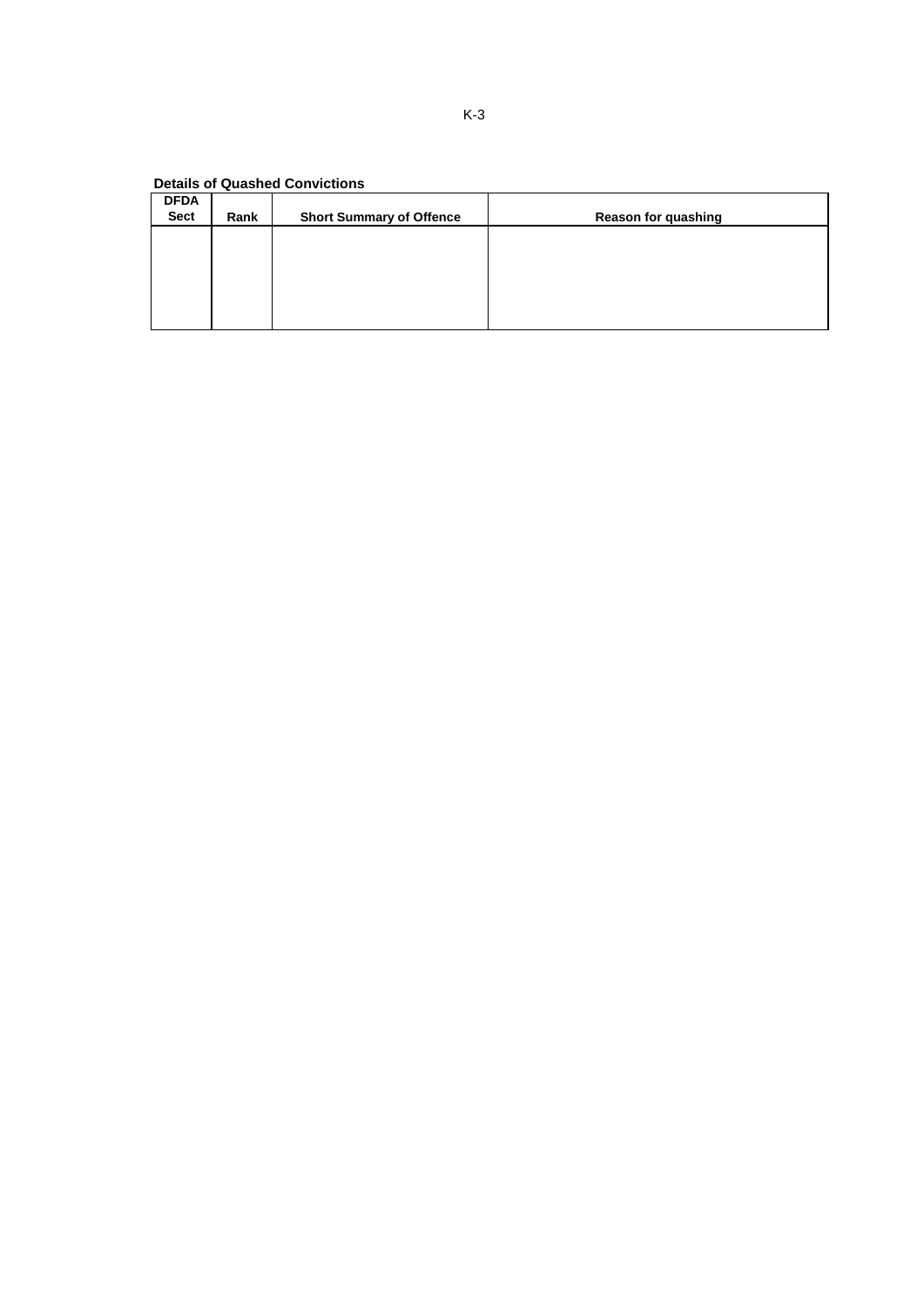| <b>DFDA</b><br><b>Sect</b> | Rank | <b>Short Summary of Offence</b> | <b>Reason for quashing</b> |
|----------------------------|------|---------------------------------|----------------------------|
|                            |      |                                 |                            |
|                            |      |                                 |                            |
|                            |      |                                 |                            |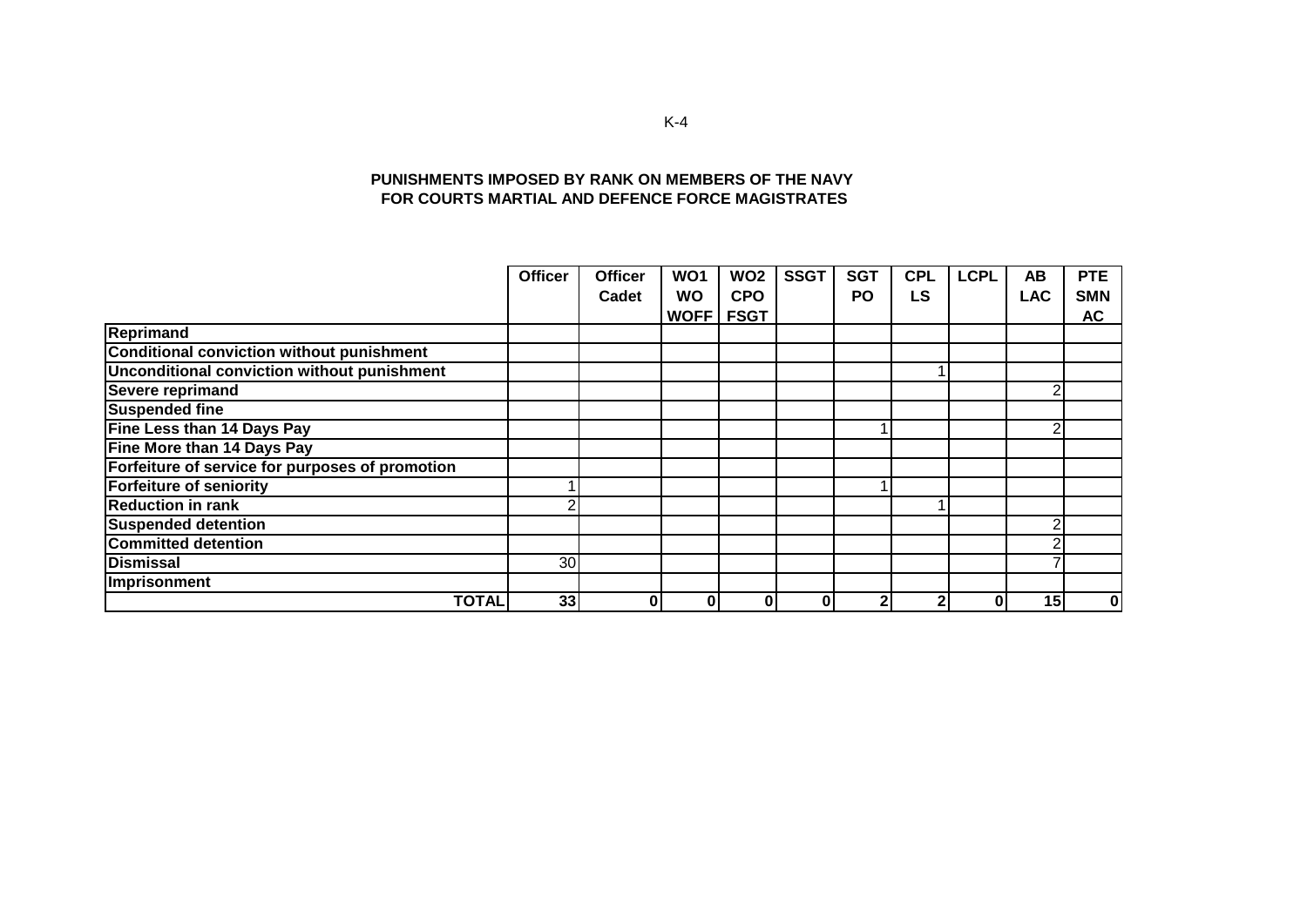#### **PUNISHMENTS IMPOSED BY RANK ON MEMBERS OF THE NAVY FOR COURTS MARTIAL AND DEFENCE FORCE MAGISTRATES**

|                                                 | <b>Officer</b> | <b>Officer</b> | WO1         | WO <sub>2</sub> | <b>SSGT</b> | <b>SGT</b> | <b>CPL</b> | <b>LCPL</b> | AB         | <b>PTE</b> |
|-------------------------------------------------|----------------|----------------|-------------|-----------------|-------------|------------|------------|-------------|------------|------------|
|                                                 |                | Cadet          | <b>WO</b>   | <b>CPO</b>      |             | PO         | <b>LS</b>  |             | <b>LAC</b> | <b>SMN</b> |
|                                                 |                |                | <b>WOFF</b> | <b>FSGT</b>     |             |            |            |             |            | <b>AC</b>  |
| <b>Reprimand</b>                                |                |                |             |                 |             |            |            |             |            |            |
| Conditional conviction without punishment       |                |                |             |                 |             |            |            |             |            |            |
| Unconditional conviction without punishment     |                |                |             |                 |             |            |            |             |            |            |
| Severe reprimand                                |                |                |             |                 |             |            |            |             | ◠          |            |
| <b>Suspended fine</b>                           |                |                |             |                 |             |            |            |             |            |            |
| Fine Less than 14 Days Pay                      |                |                |             |                 |             |            |            |             | c          |            |
| Fine More than 14 Days Pay                      |                |                |             |                 |             |            |            |             |            |            |
| Forfeiture of service for purposes of promotion |                |                |             |                 |             |            |            |             |            |            |
| <b>Forfeiture of seniority</b>                  |                |                |             |                 |             |            |            |             |            |            |
| <b>Reduction in rank</b>                        |                |                |             |                 |             |            |            |             |            |            |
| <b>Suspended detention</b>                      |                |                |             |                 |             |            |            |             |            |            |
| <b>Committed detention</b>                      |                |                |             |                 |             |            |            |             |            |            |
| <b>Dismissal</b>                                | 30             |                |             |                 |             |            |            |             |            |            |
| Imprisonment                                    |                |                |             |                 |             |            |            |             |            |            |
| <b>TOTAL</b>                                    | 33             | 0              | 0           | 0               |             | ◠          |            | 0           | 15         | 0          |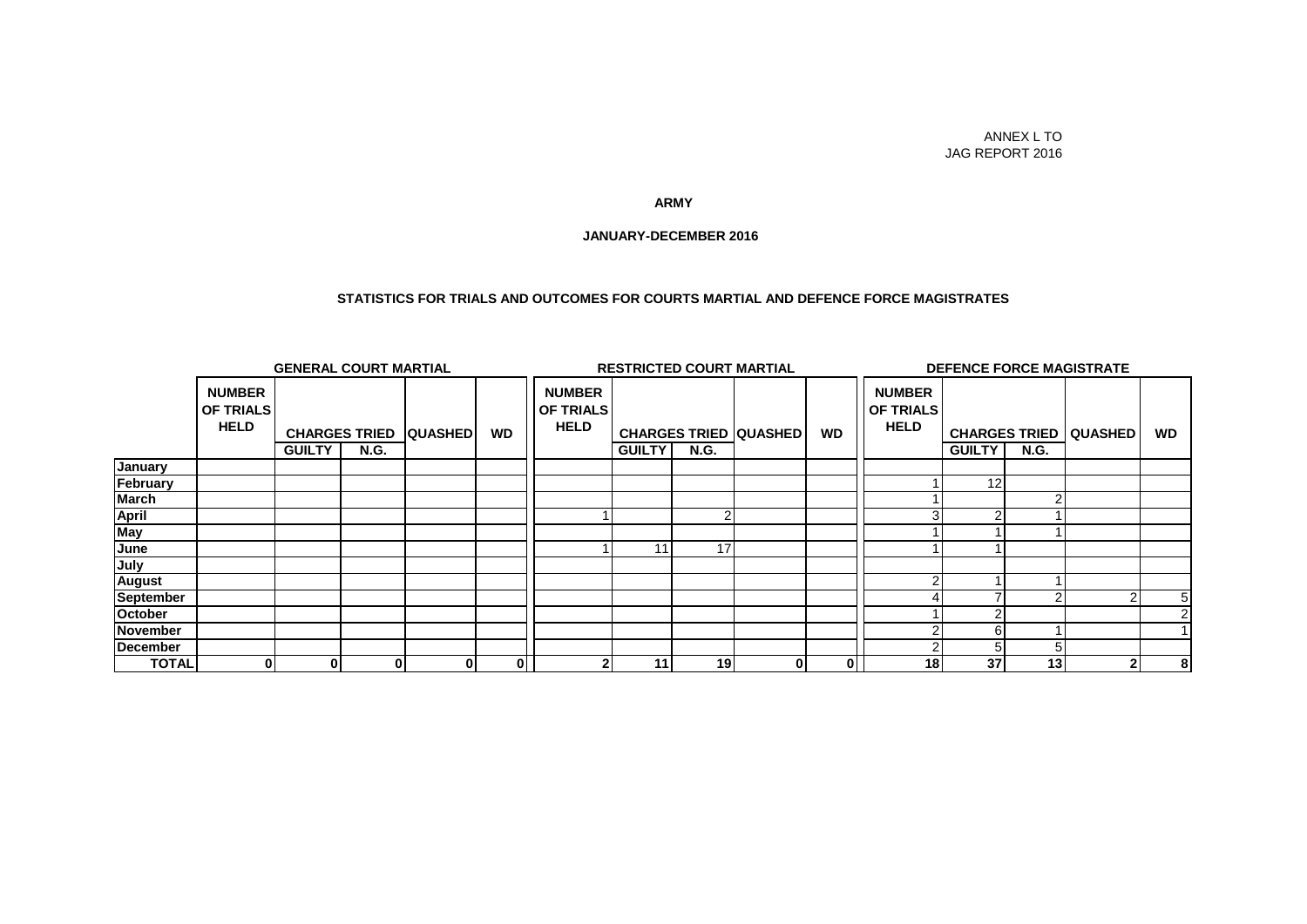#### ANNEX L TO JAG REPORT 2016

#### **ARMY**

#### **JANUARY-DECEMBER 2016**

#### **STATISTICS FOR TRIALS AND OUTCOMES FOR COURTS MARTIAL AND DEFENCE FORCE MAGISTRATES**

|              | <b>GENERAL COURT MARTIAL</b>                     |               |                                     |                |           | <b>RESTRICTED COURT MARTIAL</b>                  |               |             |                              |           | <b>DEFENCE FORCE MAGISTRATE</b>                  |               |             |                                |                |
|--------------|--------------------------------------------------|---------------|-------------------------------------|----------------|-----------|--------------------------------------------------|---------------|-------------|------------------------------|-----------|--------------------------------------------------|---------------|-------------|--------------------------------|----------------|
|              | <b>NUMBER</b><br><b>OF TRIALS</b><br><b>HELD</b> | <b>GUILTY</b> | <b>CHARGES TRIED</b><br><b>N.G.</b> | <b>QUASHED</b> | <b>WD</b> | <b>NUMBER</b><br><b>OF TRIALS</b><br><b>HELD</b> | <b>GUILTY</b> | <b>N.G.</b> | <b>CHARGES TRIED QUASHED</b> | <b>WD</b> | <b>NUMBER</b><br><b>OF TRIALS</b><br><b>HELD</b> | <b>GUILTY</b> | <b>N.G.</b> | <b>CHARGES TRIED   QUASHED</b> | <b>WD</b>      |
| January      |                                                  |               |                                     |                |           |                                                  |               |             |                              |           |                                                  |               |             |                                |                |
| February     |                                                  |               |                                     |                |           |                                                  |               |             |                              |           |                                                  | 12            |             |                                |                |
| March        |                                                  |               |                                     |                |           |                                                  |               |             |                              |           |                                                  |               |             |                                |                |
| <b>April</b> |                                                  |               |                                     |                |           |                                                  |               |             |                              |           |                                                  |               |             |                                |                |
| May          |                                                  |               |                                     |                |           |                                                  |               |             |                              |           |                                                  |               |             |                                |                |
| June         |                                                  |               |                                     |                |           |                                                  | 11            | 17          |                              |           |                                                  |               |             |                                |                |
| July         |                                                  |               |                                     |                |           |                                                  |               |             |                              |           |                                                  |               |             |                                |                |
| August       |                                                  |               |                                     |                |           |                                                  |               |             |                              |           |                                                  |               |             |                                |                |
| September    |                                                  |               |                                     |                |           |                                                  |               |             |                              |           |                                                  |               |             | $\sim$                         | 5 <sub>l</sub> |
| October      |                                                  |               |                                     |                |           |                                                  |               |             |                              |           |                                                  |               |             |                                | 2              |
| November     |                                                  |               |                                     |                |           |                                                  |               |             |                              |           |                                                  |               |             |                                |                |
| December     |                                                  |               |                                     |                |           |                                                  |               |             |                              |           |                                                  |               |             |                                |                |
| <b>TOTAL</b> | 01                                               | $\bf{0}$      | 0                                   | 01             | 0         |                                                  | 11            | 19          | $\mathbf{0}$                 | 01        | 18 <sup>l</sup>                                  | 37            | 13          | $\mathbf{2}$                   | 8              |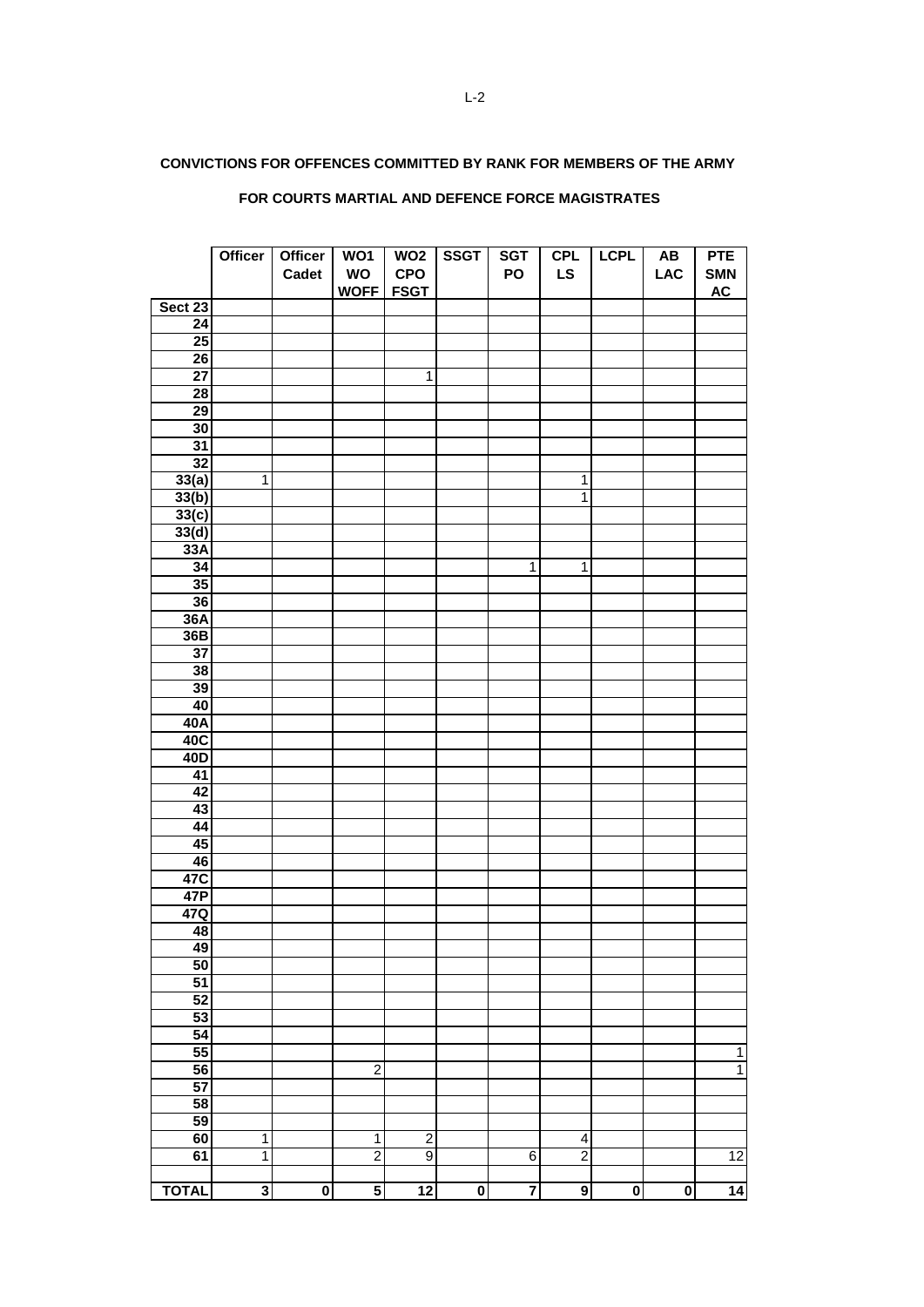## **CONVICTIONS FOR OFFENCES COMMITTED BY RANK FOR MEMBERS OF THE ARMY**

|                 | <b>Officer</b>          | <b>Officer</b>          | WO1              | WO <sub>2</sub> | <b>SSGT</b>             | <b>SGT</b>   | CPL            | <b>LCPL</b>             | $\boldsymbol{\mathsf{A}\mathsf{B}}$ | <b>PTE</b>      |
|-----------------|-------------------------|-------------------------|------------------|-----------------|-------------------------|--------------|----------------|-------------------------|-------------------------------------|-----------------|
|                 |                         | Cadet                   | WO               | <b>CPO</b>      |                         | PO           | <b>LS</b>      |                         | <b>LAC</b>                          | <b>SMN</b>      |
|                 |                         |                         | <b>WOFF FSGT</b> |                 |                         |              |                |                         |                                     | <b>AC</b>       |
| Sect 23         |                         |                         |                  |                 |                         |              |                |                         |                                     |                 |
| $\overline{24}$ |                         |                         |                  |                 |                         |              |                |                         |                                     |                 |
| 25              |                         |                         |                  |                 |                         |              |                |                         |                                     |                 |
| $\overline{26}$ |                         |                         |                  |                 |                         |              |                |                         |                                     |                 |
| $\overline{27}$ |                         |                         |                  | 1               |                         |              |                |                         |                                     |                 |
| $\overline{28}$ |                         |                         |                  |                 |                         |              |                |                         |                                     |                 |
| $\overline{29}$ |                         |                         |                  |                 |                         |              |                |                         |                                     |                 |
| 30              |                         |                         |                  |                 |                         |              |                |                         |                                     |                 |
| 31              |                         |                         |                  |                 |                         |              |                |                         |                                     |                 |
| $\overline{32}$ |                         |                         |                  |                 |                         |              |                |                         |                                     |                 |
| 33(a)           | $\mathbf{1}$            |                         |                  |                 |                         |              | $\mathbf{1}$   |                         |                                     |                 |
| 33(b)           |                         |                         |                  |                 |                         |              | $\overline{1}$ |                         |                                     |                 |
| 33(c)           |                         |                         |                  |                 |                         |              |                |                         |                                     |                 |
| 33(d)           |                         |                         |                  |                 |                         |              |                |                         |                                     |                 |
| 33A             |                         |                         |                  |                 |                         |              |                |                         |                                     |                 |
| 34              |                         |                         |                  |                 |                         | $\mathbf{1}$ | $\overline{1}$ |                         |                                     |                 |
| 35              |                         |                         |                  |                 |                         |              |                |                         |                                     |                 |
| 36              |                         |                         |                  |                 |                         |              |                |                         |                                     |                 |
| 36A             |                         |                         |                  |                 |                         |              |                |                         |                                     |                 |
| 36B             |                         |                         |                  |                 |                         |              |                |                         |                                     |                 |
| $\overline{37}$ |                         |                         |                  |                 |                         |              |                |                         |                                     |                 |
| 38              |                         |                         |                  |                 |                         |              |                |                         |                                     |                 |
| 39              |                         |                         |                  |                 |                         |              |                |                         |                                     |                 |
| 40              |                         |                         |                  |                 |                         |              |                |                         |                                     |                 |
| 40A             |                         |                         |                  |                 |                         |              |                |                         |                                     |                 |
| 40C             |                         |                         |                  |                 |                         |              |                |                         |                                     |                 |
| 40 <sub>D</sub> |                         |                         |                  |                 |                         |              |                |                         |                                     |                 |
| $\overline{41}$ |                         |                         |                  |                 |                         |              |                |                         |                                     |                 |
| 42              |                         |                         |                  |                 |                         |              |                |                         |                                     |                 |
| 43              |                         |                         |                  |                 |                         |              |                |                         |                                     |                 |
| 44              |                         |                         |                  |                 |                         |              |                |                         |                                     |                 |
| 45              |                         |                         |                  |                 |                         |              |                |                         |                                     |                 |
| 46              |                         |                         |                  |                 |                         |              |                |                         |                                     |                 |
| 47C             |                         |                         |                  |                 |                         |              |                |                         |                                     |                 |
| 47P             |                         |                         |                  |                 |                         |              |                |                         |                                     |                 |
| 47Q             |                         |                         |                  |                 |                         |              |                |                         |                                     |                 |
| 48              |                         |                         |                  |                 |                         |              |                |                         |                                     |                 |
| 49              |                         |                         |                  |                 |                         |              |                |                         |                                     |                 |
| 50              |                         |                         |                  |                 |                         |              |                |                         |                                     |                 |
| $\overline{51}$ |                         |                         |                  |                 |                         |              |                |                         |                                     |                 |
| 52              |                         |                         |                  |                 |                         |              |                |                         |                                     |                 |
| 53              |                         |                         |                  |                 |                         |              |                |                         |                                     |                 |
| $\overline{54}$ |                         |                         |                  |                 |                         |              |                |                         |                                     |                 |
| 55              |                         |                         |                  |                 |                         |              |                |                         |                                     | $\mathbf{1}$    |
| 56              |                         |                         | $\mathbf 2$      |                 |                         |              |                |                         |                                     | $\overline{1}$  |
| 57              |                         |                         |                  |                 |                         |              |                |                         |                                     |                 |
| 58              |                         |                         |                  |                 |                         |              |                |                         |                                     |                 |
| 59              |                         |                         |                  |                 |                         |              |                |                         |                                     |                 |
| 60              | 1                       |                         | $\mathbf 1$      | $\overline{2}$  |                         |              | 4              |                         |                                     |                 |
| 61              | $\overline{1}$          |                         | $\overline{2}$   | $\overline{9}$  |                         | 6            | $\overline{2}$ |                         |                                     | $\overline{12}$ |
|                 |                         |                         |                  |                 |                         |              |                |                         |                                     |                 |
| <b>TOTAL</b>    | $\overline{\mathbf{3}}$ | $\overline{\mathbf{0}}$ | 5                | $\overline{12}$ | $\overline{\mathbf{0}}$ | 7            | 9              | $\overline{\mathbf{0}}$ | $\overline{\mathbf{0}}$             | 14              |

## **FOR COURTS MARTIAL AND DEFENCE FORCE MAGISTRATES**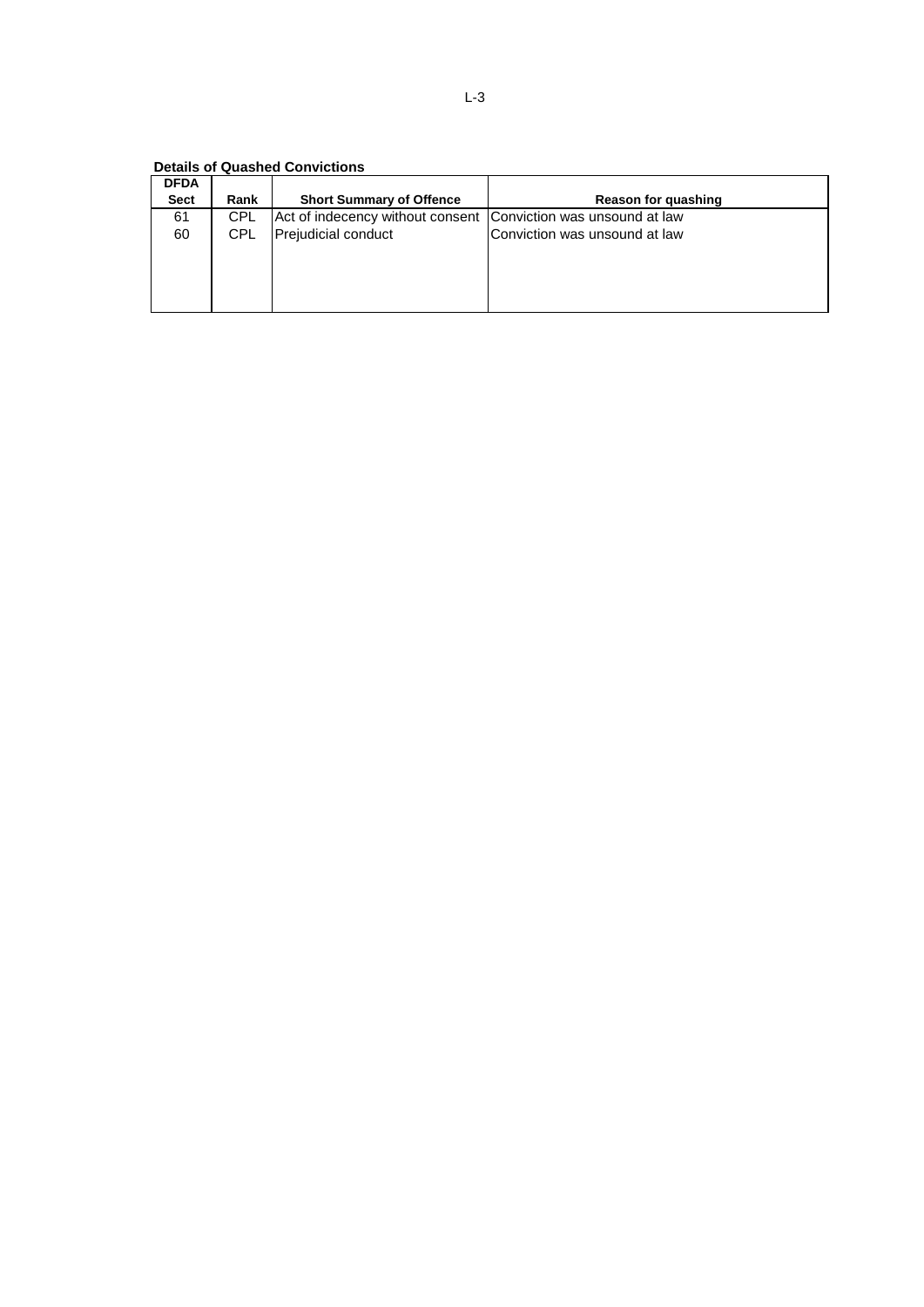**Details of Quashed Convictions**

| <b>DFDA</b> |            |                                                                |                               |
|-------------|------------|----------------------------------------------------------------|-------------------------------|
| Sect        | Rank       | <b>Short Summary of Offence</b>                                | <b>Reason for quashing</b>    |
| 61          | <b>CPL</b> | Act of indecency without consent Conviction was unsound at law |                               |
| 60          | <b>CPL</b> | Prejudicial conduct                                            | Conviction was unsound at law |
|             |            |                                                                |                               |
|             |            |                                                                |                               |
|             |            |                                                                |                               |
|             |            |                                                                |                               |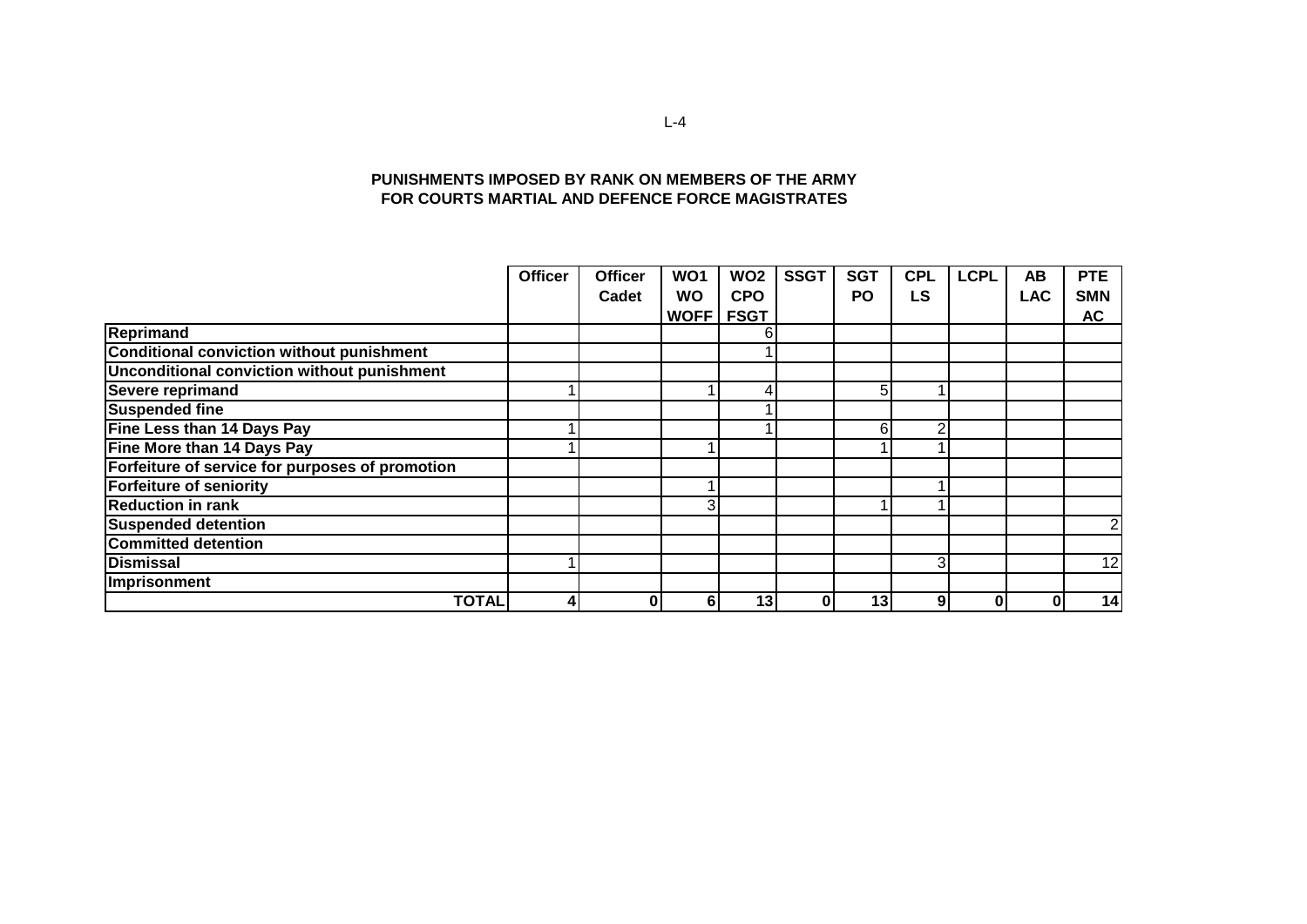#### **PUNISHMENTS IMPOSED BY RANK ON MEMBERS OF THE ARMY FOR COURTS MARTIAL AND DEFENCE FORCE MAGISTRATES**

|                                                 | <b>Officer</b> | <b>Officer</b> | <b>WO1</b>     | <b>WO2</b>  | <b>SSGT</b> | <b>SGT</b> | <b>CPL</b> | <b>LCPL</b> | <b>AB</b>  | <b>PTE</b> |
|-------------------------------------------------|----------------|----------------|----------------|-------------|-------------|------------|------------|-------------|------------|------------|
|                                                 |                | Cadet          | <b>WO</b>      | <b>CPO</b>  |             | <b>PO</b>  | <b>LS</b>  |             | <b>LAC</b> | <b>SMN</b> |
|                                                 |                |                | WOFF           | <b>FSGT</b> |             |            |            |             |            | <b>AC</b>  |
| Reprimand                                       |                |                |                | 6           |             |            |            |             |            |            |
| Conditional conviction without punishment       |                |                |                |             |             |            |            |             |            |            |
| Unconditional conviction without punishment     |                |                |                |             |             |            |            |             |            |            |
| <b>Severe reprimand</b>                         |                |                |                | 4           |             | 5          |            |             |            |            |
| <b>Suspended fine</b>                           |                |                |                |             |             |            |            |             |            |            |
| Fine Less than 14 Days Pay                      |                |                |                |             |             | 6          |            |             |            |            |
| Fine More than 14 Days Pay                      |                |                |                |             |             |            |            |             |            |            |
| Forfeiture of service for purposes of promotion |                |                |                |             |             |            |            |             |            |            |
| <b>Forfeiture of seniority</b>                  |                |                |                |             |             |            |            |             |            |            |
| <b>Reduction in rank</b>                        |                |                | 3 <sub>1</sub> |             |             |            |            |             |            |            |
| <b>Suspended detention</b>                      |                |                |                |             |             |            |            |             |            | 2          |
| <b>Committed detention</b>                      |                |                |                |             |             |            |            |             |            |            |
| <b>Dismissal</b>                                |                |                |                |             |             |            | 3          |             |            | 12         |
| Imprisonment                                    |                |                |                |             |             |            |            |             |            |            |
| <b>TOTAL</b>                                    | 4              | 0              | 6              | 13          |             | 13         | 9          |             | 01         | 14         |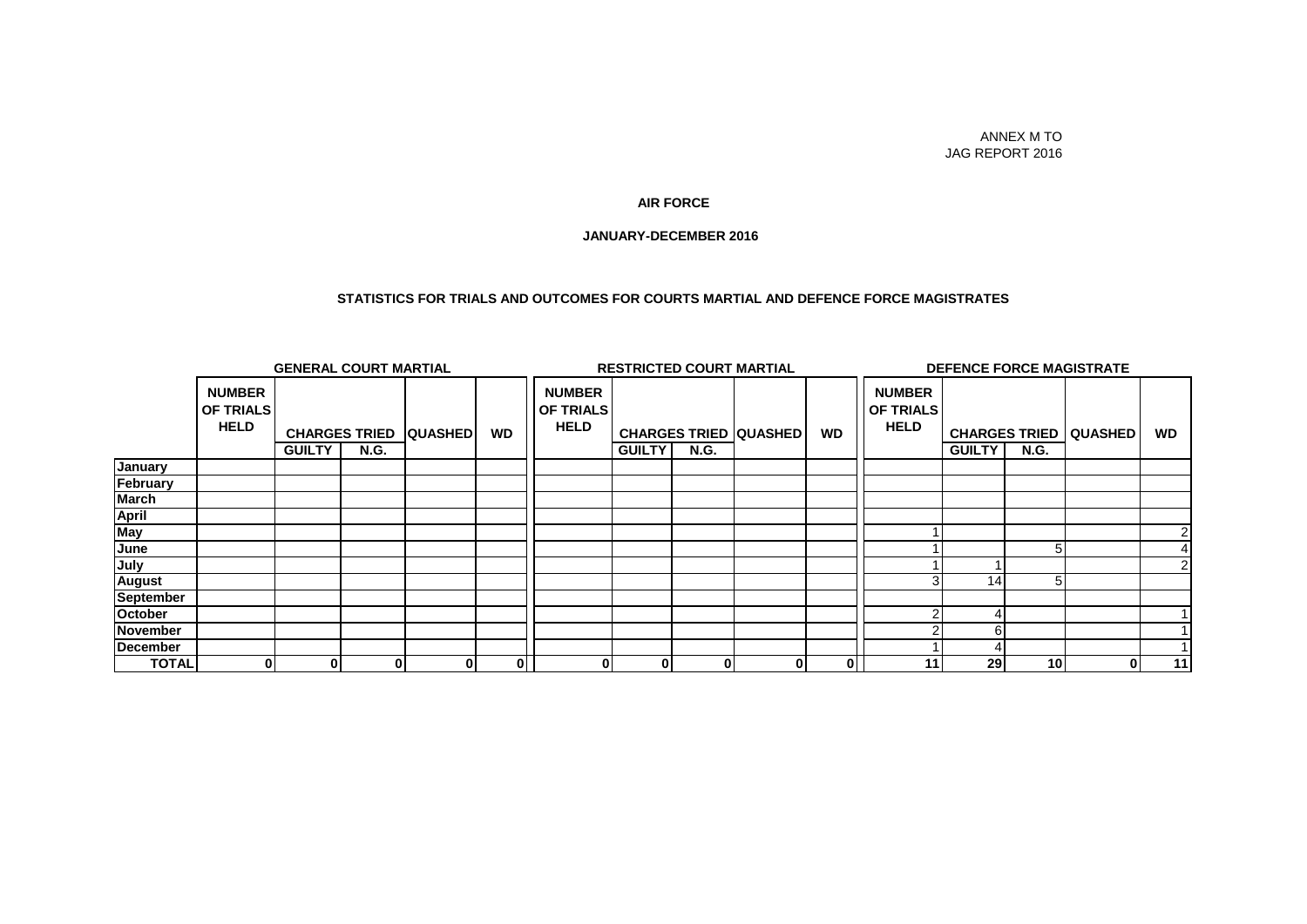#### ANNEX M TO JAG REPORT 2016

#### **AIR FORCE**

#### **JANUARY-DECEMBER 2016**

#### **STATISTICS FOR TRIALS AND OUTCOMES FOR COURTS MARTIAL AND DEFENCE FORCE MAGISTRATES**

|                  | <b>GENERAL COURT MARTIAL</b>                     |               |                                     |                |           | <b>RESTRICTED COURT MARTIAL</b>                  |               |             |                              | <b>DEFENCE FORCE MAGISTRATE</b> |                                                  |               |                 |                                  |           |
|------------------|--------------------------------------------------|---------------|-------------------------------------|----------------|-----------|--------------------------------------------------|---------------|-------------|------------------------------|---------------------------------|--------------------------------------------------|---------------|-----------------|----------------------------------|-----------|
|                  | <b>NUMBER</b><br><b>OF TRIALS</b><br><b>HELD</b> | <b>GUILTY</b> | <b>CHARGES TRIED</b><br><b>N.G.</b> | <b>QUASHED</b> | <b>WD</b> | <b>NUMBER</b><br><b>OF TRIALS</b><br><b>HELD</b> | <b>GUILTY</b> | <b>N.G.</b> | <b>CHARGES TRIED QUASHED</b> | <b>WD</b>                       | <b>NUMBER</b><br><b>OF TRIALS</b><br><b>HELD</b> | <b>GUILTY</b> | <b>N.G.</b>     | <b>CHARGES TRIED   QUASHED  </b> | <b>WD</b> |
| January          |                                                  |               |                                     |                |           |                                                  |               |             |                              |                                 |                                                  |               |                 |                                  |           |
| February         |                                                  |               |                                     |                |           |                                                  |               |             |                              |                                 |                                                  |               |                 |                                  |           |
| <b>March</b>     |                                                  |               |                                     |                |           |                                                  |               |             |                              |                                 |                                                  |               |                 |                                  |           |
| <b>April</b>     |                                                  |               |                                     |                |           |                                                  |               |             |                              |                                 |                                                  |               |                 |                                  |           |
| May              |                                                  |               |                                     |                |           |                                                  |               |             |                              |                                 |                                                  |               |                 |                                  |           |
| June             |                                                  |               |                                     |                |           |                                                  |               |             |                              |                                 |                                                  |               |                 |                                  |           |
| July             |                                                  |               |                                     |                |           |                                                  |               |             |                              |                                 |                                                  |               |                 |                                  |           |
| <b>August</b>    |                                                  |               |                                     |                |           |                                                  |               |             |                              |                                 |                                                  | 14            |                 |                                  |           |
| <b>September</b> |                                                  |               |                                     |                |           |                                                  |               |             |                              |                                 |                                                  |               |                 |                                  |           |
| October          |                                                  |               |                                     |                |           |                                                  |               |             |                              |                                 |                                                  |               |                 |                                  |           |
| November         |                                                  |               |                                     |                |           |                                                  |               |             |                              |                                 |                                                  |               |                 |                                  |           |
| December         |                                                  |               |                                     |                |           |                                                  |               |             |                              |                                 |                                                  |               |                 |                                  |           |
| <b>TOTAL</b>     | 0                                                | $\bf{0}$      | $\mathbf{0}$                        | 01             | 0         | 0                                                | 01            | $\bf{0}$    | O.                           | 0                               | 11                                               | 29            | 10 <sup>1</sup> | 0                                | 11        |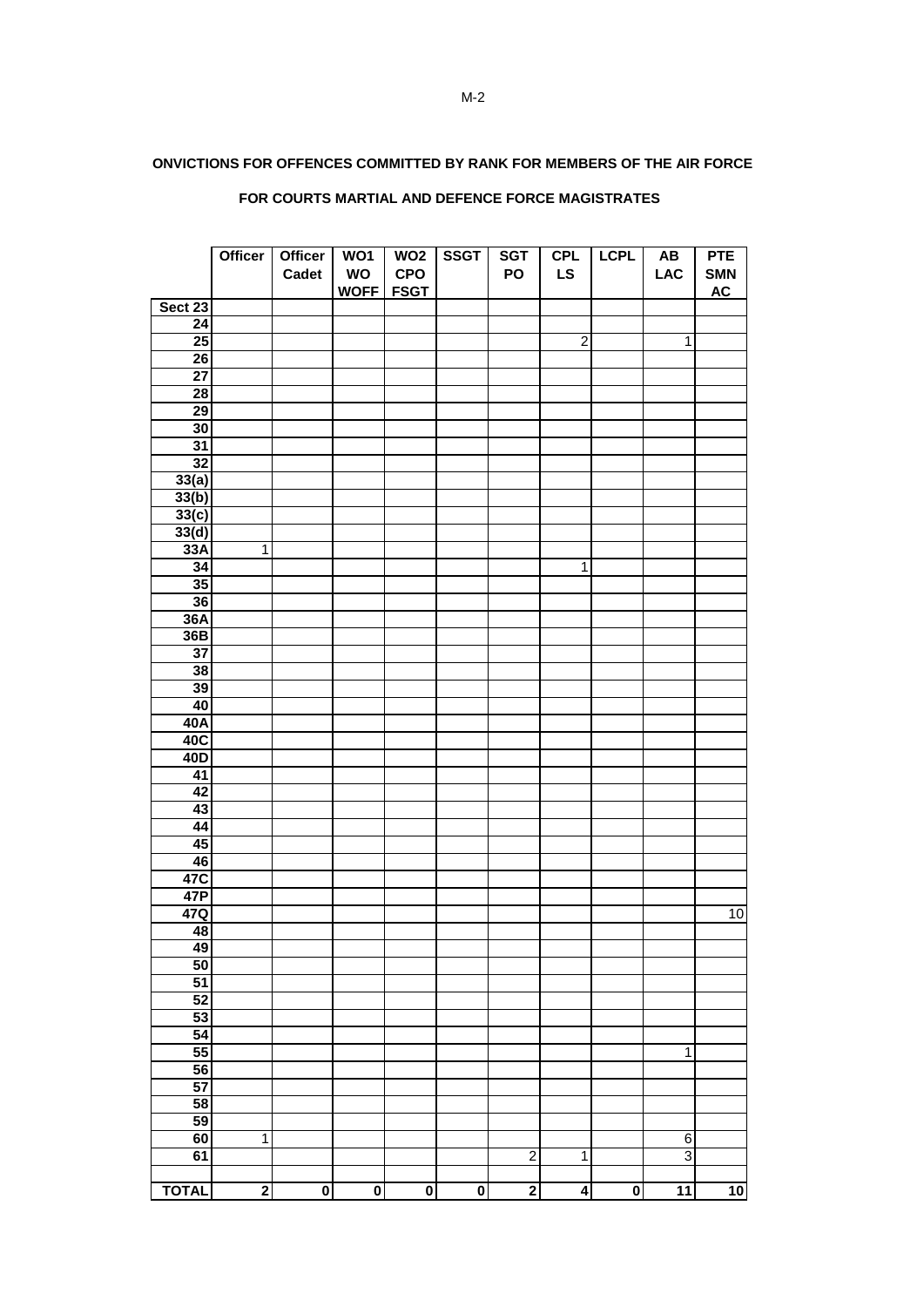#### **CONVICTIONS FOR OFFENCES COMMITTED BY RANK FOR MEMBERS OF THE AIR FORCE**

|                 | Officer                 | <b>Officer</b>          | WO1                     | WO <sub>2</sub>         | <b>SSGT</b>             | <b>SGT</b>              | <b>CPL</b>     | <b>LCPL</b>             | $\boldsymbol{\mathsf{A}\mathsf{B}}$ | <b>PTE</b>      |
|-----------------|-------------------------|-------------------------|-------------------------|-------------------------|-------------------------|-------------------------|----------------|-------------------------|-------------------------------------|-----------------|
|                 |                         | Cadet                   | WO                      | CPO                     |                         | PO                      | <b>LS</b>      |                         | <b>LAC</b>                          | <b>SMN</b>      |
|                 |                         |                         | <b>WOFF</b>             | <b>FSGT</b>             |                         |                         |                |                         |                                     | <b>AC</b>       |
| Sect 23         |                         |                         |                         |                         |                         |                         |                |                         |                                     |                 |
| $\overline{24}$ |                         |                         |                         |                         |                         |                         |                |                         |                                     |                 |
| 25              |                         |                         |                         |                         |                         |                         | $\overline{2}$ |                         | $\mathbf{1}$                        |                 |
| $\overline{26}$ |                         |                         |                         |                         |                         |                         |                |                         |                                     |                 |
| 27              |                         |                         |                         |                         |                         |                         |                |                         |                                     |                 |
| $\overline{28}$ |                         |                         |                         |                         |                         |                         |                |                         |                                     |                 |
| $\overline{29}$ |                         |                         |                         |                         |                         |                         |                |                         |                                     |                 |
| 30              |                         |                         |                         |                         |                         |                         |                |                         |                                     |                 |
| 31              |                         |                         |                         |                         |                         |                         |                |                         |                                     |                 |
| $\overline{32}$ |                         |                         |                         |                         |                         |                         |                |                         |                                     |                 |
| 33(a)           |                         |                         |                         |                         |                         |                         |                |                         |                                     |                 |
| 33(b)           |                         |                         |                         |                         |                         |                         |                |                         |                                     |                 |
| 33(c)           |                         |                         |                         |                         |                         |                         |                |                         |                                     |                 |
| 33(d)           |                         |                         |                         |                         |                         |                         |                |                         |                                     |                 |
| 33A             | $\overline{1}$          |                         |                         |                         |                         |                         |                |                         |                                     |                 |
| 34              |                         |                         |                         |                         |                         |                         | $\overline{1}$ |                         |                                     |                 |
| 35              |                         |                         |                         |                         |                         |                         |                |                         |                                     |                 |
| 36              |                         |                         |                         |                         |                         |                         |                |                         |                                     |                 |
| 36A<br>36B      |                         |                         |                         |                         |                         |                         |                |                         |                                     |                 |
| $\overline{37}$ |                         |                         |                         |                         |                         |                         |                |                         |                                     |                 |
| 38              |                         |                         |                         |                         |                         |                         |                |                         |                                     |                 |
| 39              |                         |                         |                         |                         |                         |                         |                |                         |                                     |                 |
| 40              |                         |                         |                         |                         |                         |                         |                |                         |                                     |                 |
| 40A             |                         |                         |                         |                         |                         |                         |                |                         |                                     |                 |
| 40C             |                         |                         |                         |                         |                         |                         |                |                         |                                     |                 |
| 40D             |                         |                         |                         |                         |                         |                         |                |                         |                                     |                 |
| $\overline{41}$ |                         |                         |                         |                         |                         |                         |                |                         |                                     |                 |
| 42              |                         |                         |                         |                         |                         |                         |                |                         |                                     |                 |
| 43              |                         |                         |                         |                         |                         |                         |                |                         |                                     |                 |
| 44              |                         |                         |                         |                         |                         |                         |                |                         |                                     |                 |
| 45              |                         |                         |                         |                         |                         |                         |                |                         |                                     |                 |
| 46              |                         |                         |                         |                         |                         |                         |                |                         |                                     |                 |
| 47C             |                         |                         |                         |                         |                         |                         |                |                         |                                     |                 |
| 47P             |                         |                         |                         |                         |                         |                         |                |                         |                                     |                 |
| 47Q             |                         |                         |                         |                         |                         |                         |                |                         |                                     | 10              |
| 48              |                         |                         |                         |                         |                         |                         |                |                         |                                     |                 |
| 49              |                         |                         |                         |                         |                         |                         |                |                         |                                     |                 |
| 50              |                         |                         |                         |                         |                         |                         |                |                         |                                     |                 |
| $\overline{51}$ |                         |                         |                         |                         |                         |                         |                |                         |                                     |                 |
| $\overline{52}$ |                         |                         |                         |                         |                         |                         |                |                         |                                     |                 |
| 53              |                         |                         |                         |                         |                         |                         |                |                         |                                     |                 |
| 54              |                         |                         |                         |                         |                         |                         |                |                         |                                     |                 |
| 55              |                         |                         |                         |                         |                         |                         |                |                         | $\overline{1}$                      |                 |
| 56              |                         |                         |                         |                         |                         |                         |                |                         |                                     |                 |
| 57              |                         |                         |                         |                         |                         |                         |                |                         |                                     |                 |
| 58              |                         |                         |                         |                         |                         |                         |                |                         |                                     |                 |
| 59              |                         |                         |                         |                         |                         |                         |                |                         |                                     |                 |
| 60              | $\mathbf{1}$            |                         |                         |                         |                         |                         |                |                         | 6                                   |                 |
| 61              |                         |                         |                         |                         |                         | $\overline{\mathbf{c}}$ | 1              |                         | $\overline{3}$                      |                 |
|                 |                         |                         |                         |                         |                         |                         |                |                         |                                     |                 |
| <b>TOTAL</b>    | $\overline{\mathbf{2}}$ | $\overline{\mathbf{0}}$ | $\overline{\mathbf{0}}$ | $\overline{\mathbf{0}}$ | $\overline{\mathbf{0}}$ | $\overline{\mathbf{2}}$ | 4              | $\overline{\mathbf{0}}$ | $\overline{11}$                     | $\overline{10}$ |

## **FOR COURTS MARTIAL AND DEFENCE FORCE MAGISTRATES**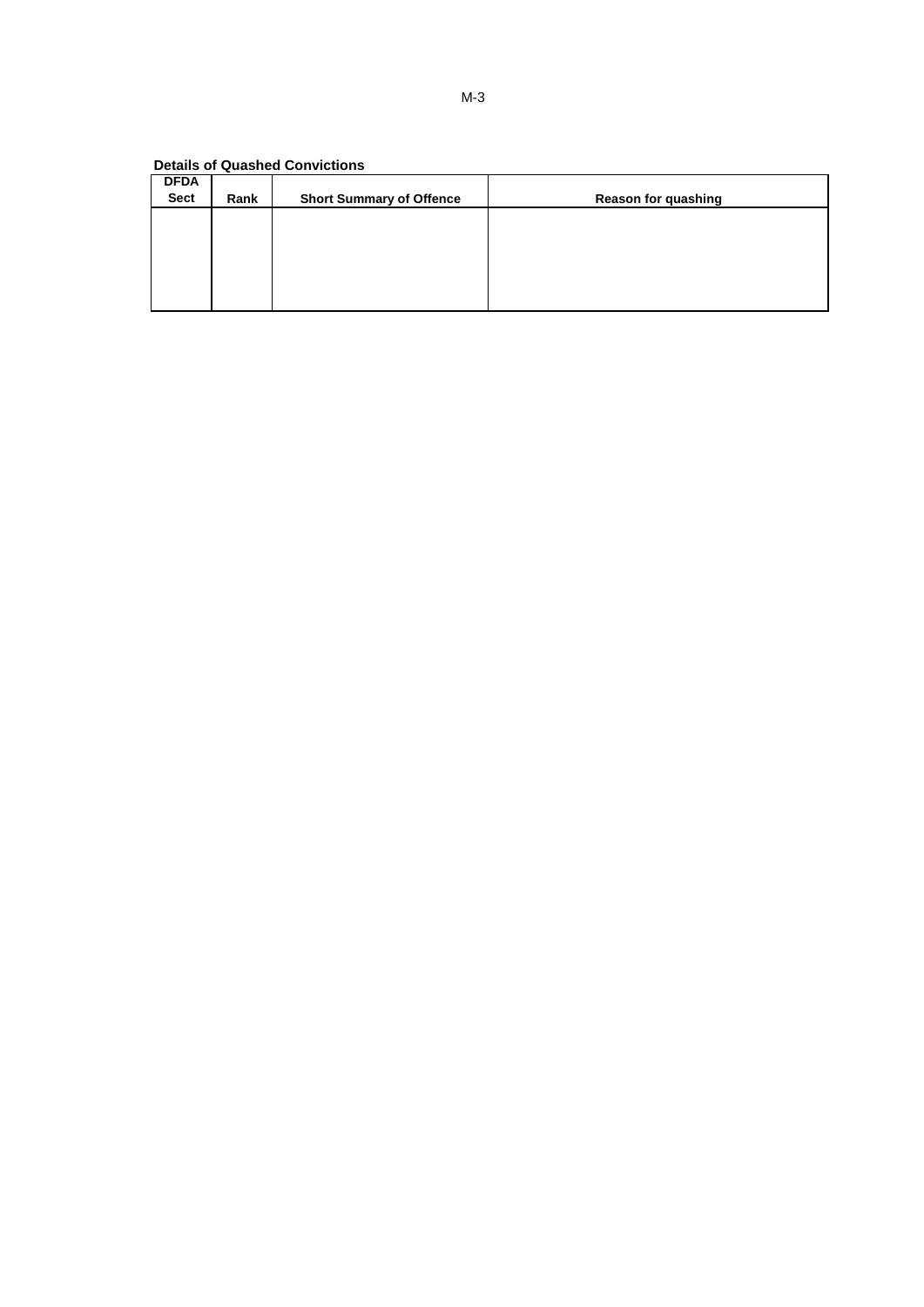**Details of Quashed Convictions**

| <b>DFDA</b><br><b>Sect</b> | Rank | <b>Short Summary of Offence</b> | <b>Reason for quashing</b> |
|----------------------------|------|---------------------------------|----------------------------|
|                            |      |                                 |                            |
|                            |      |                                 |                            |
|                            |      |                                 |                            |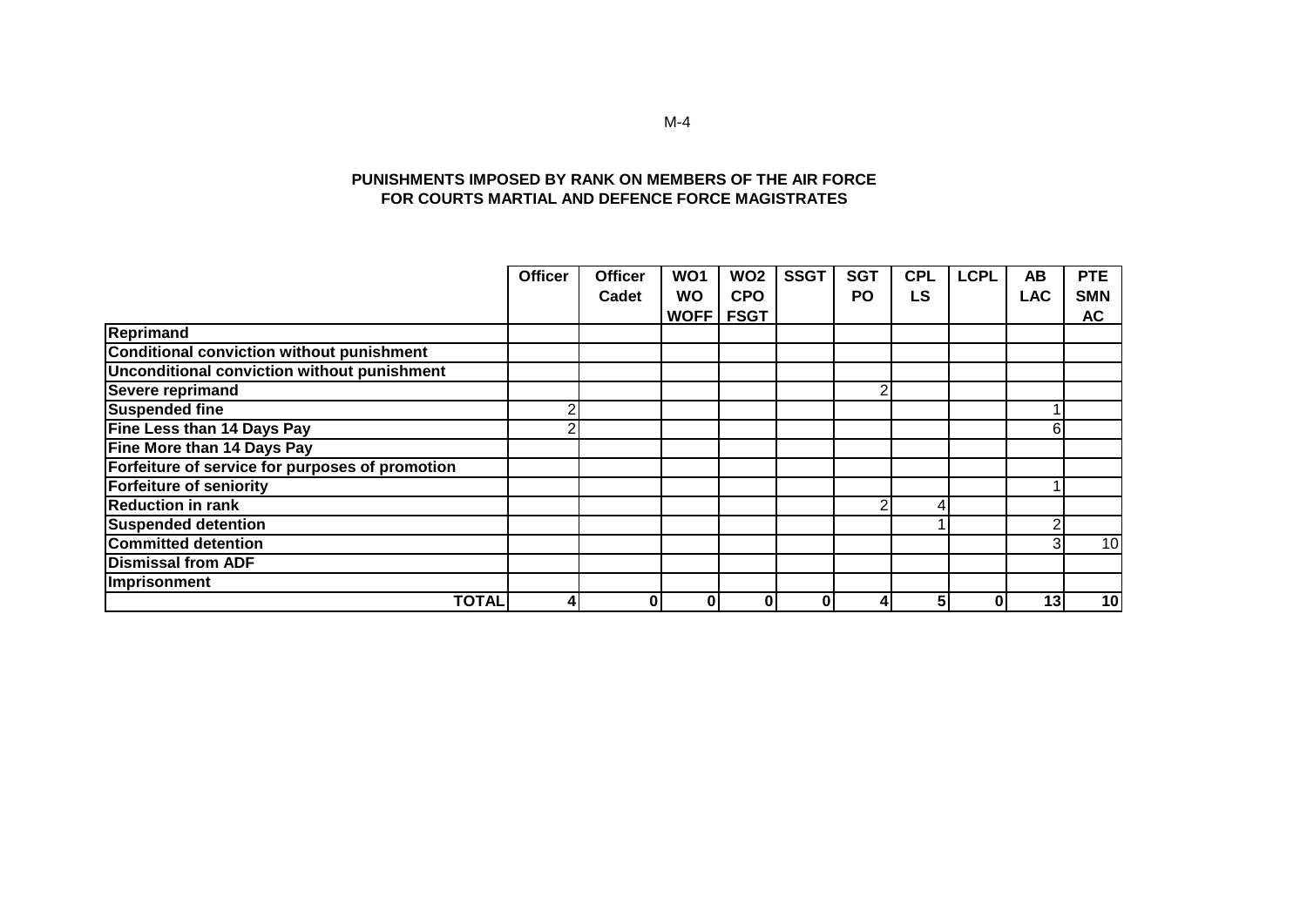#### **PUNISHMENTS IMPOSED BY RANK ON MEMBERS OF THE AIR FORCE FOR COURTS MARTIAL AND DEFENCE FORCE MAGISTRATES**

|                                                  | <b>Officer</b> | <b>Officer</b> | WO1         | WO <sub>2</sub> | <b>SSGT</b> | <b>SGT</b> | <b>CPL</b> | <b>LCPL</b> | AB         | <b>PTE</b> |
|--------------------------------------------------|----------------|----------------|-------------|-----------------|-------------|------------|------------|-------------|------------|------------|
|                                                  |                | Cadet          | <b>WO</b>   | <b>CPO</b>      |             | PO         | <b>LS</b>  |             | <b>LAC</b> | <b>SMN</b> |
|                                                  |                |                | <b>WOFF</b> | <b>FSGT</b>     |             |            |            |             |            | <b>AC</b>  |
| <b>Reprimand</b>                                 |                |                |             |                 |             |            |            |             |            |            |
| <b>Conditional conviction without punishment</b> |                |                |             |                 |             |            |            |             |            |            |
| Unconditional conviction without punishment      |                |                |             |                 |             |            |            |             |            |            |
| Severe reprimand                                 |                |                |             |                 |             | ົ          |            |             |            |            |
| <b>Suspended fine</b>                            | r              |                |             |                 |             |            |            |             |            |            |
| Fine Less than 14 Days Pay                       |                |                |             |                 |             |            |            |             | 6          |            |
| Fine More than 14 Days Pay                       |                |                |             |                 |             |            |            |             |            |            |
| Forfeiture of service for purposes of promotion  |                |                |             |                 |             |            |            |             |            |            |
| <b>Forfeiture of seniority</b>                   |                |                |             |                 |             |            |            |             |            |            |
| <b>Reduction in rank</b>                         |                |                |             |                 |             | ⌒          | 4          |             |            |            |
| <b>Suspended detention</b>                       |                |                |             |                 |             |            |            |             |            |            |
| <b>Committed detention</b>                       |                |                |             |                 |             |            |            |             |            | 10         |
| <b>Dismissal from ADF</b>                        |                |                |             |                 |             |            |            |             |            |            |
| Imprisonment                                     |                |                |             |                 |             |            |            |             |            |            |
| <b>TOTAL</b>                                     |                | $\bf{0}$       | 0           | 0               |             | 4          |            | 0           | 13         | 10         |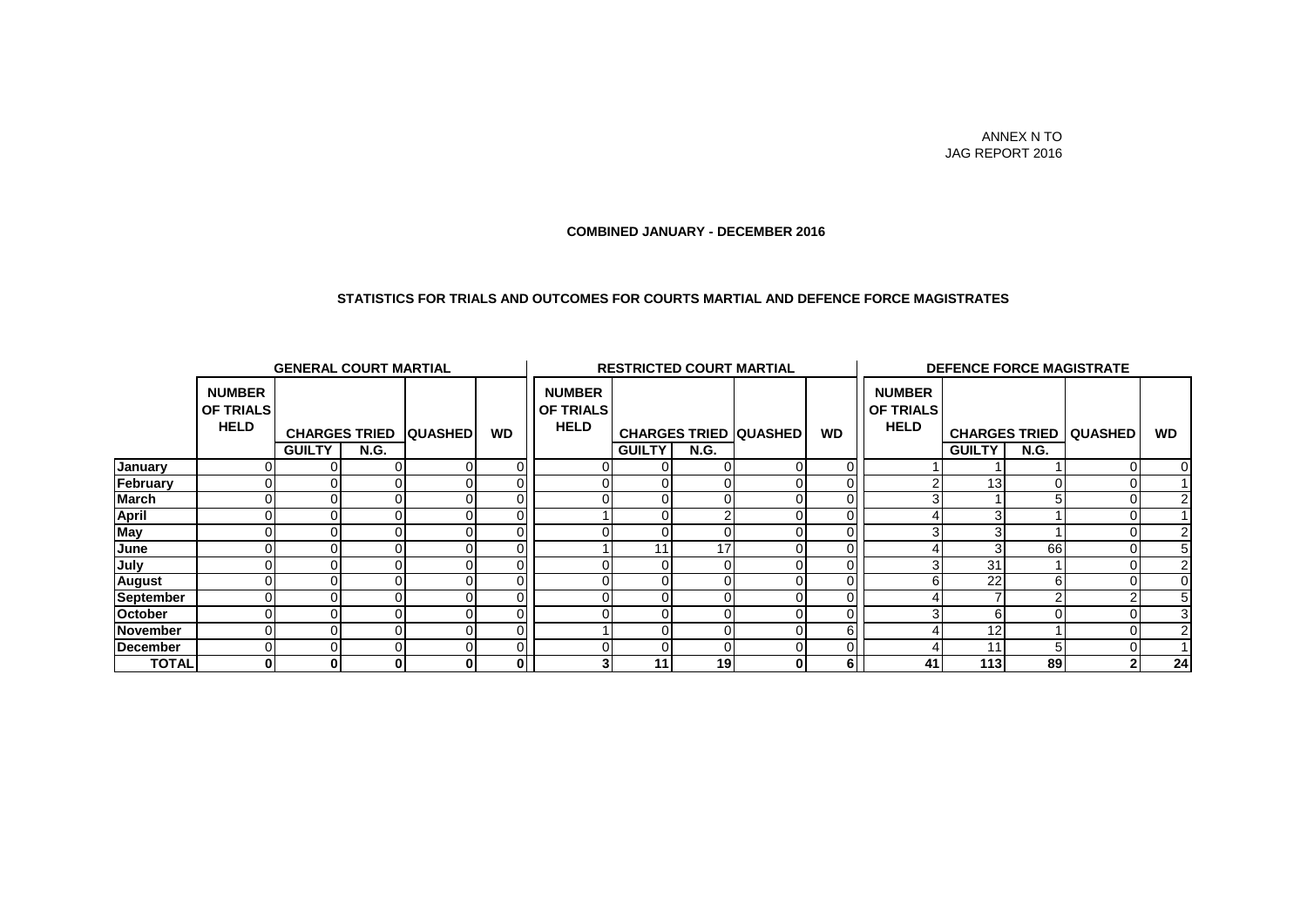#### ANNEX N TO JAG REPORT 2016

#### **COMBINED JANUARY - DECEMBER 2016**

#### **STATISTICS FOR TRIALS AND OUTCOMES FOR COURTS MARTIAL AND DEFENCE FORCE MAGISTRATES**

|              | <b>GENERAL COURT MARTIAL</b>                     |                              |             |   |                         | <b>RESTRICTED COURT MARTIAL</b>                  |               |                 |                              |           | <b>DEFENCE FORCE MAGISTRATE</b>                  |                 |             |                                |                |
|--------------|--------------------------------------------------|------------------------------|-------------|---|-------------------------|--------------------------------------------------|---------------|-----------------|------------------------------|-----------|--------------------------------------------------|-----------------|-------------|--------------------------------|----------------|
|              | <b>NUMBER</b><br><b>OF TRIALS</b><br><b>HELD</b> | <b>CHARGES TRIED QUASHED</b> |             |   | <b>WD</b>               | <b>NUMBER</b><br><b>OF TRIALS</b><br><b>HELD</b> |               |                 | <b>CHARGES TRIED QUASHED</b> | <b>WD</b> | <b>NUMBER</b><br><b>OF TRIALS</b><br><b>HELD</b> |                 |             | <b>CHARGES TRIED   QUASHED</b> | <b>WD</b>      |
|              |                                                  | <b>GUILTY</b>                | <b>N.G.</b> |   |                         |                                                  | <b>GUILTY</b> | <b>N.G.</b>     |                              |           |                                                  | <b>GUILTY</b>   | <b>N.G.</b> |                                |                |
| January      |                                                  |                              |             | 0 |                         |                                                  |               | 01              |                              |           |                                                  |                 |             |                                | $\overline{0}$ |
| February     |                                                  |                              |             |   |                         |                                                  | 01            | 0I              |                              |           |                                                  | 13 <sub>l</sub> |             |                                |                |
| March        |                                                  |                              |             |   |                         |                                                  | ΟI            | Οl              |                              |           |                                                  |                 |             |                                | $\overline{2}$ |
| <b>April</b> |                                                  |                              |             |   |                         |                                                  | 01            |                 |                              |           |                                                  |                 |             |                                |                |
| May          |                                                  |                              |             |   |                         |                                                  | ΩI            |                 |                              |           |                                                  |                 |             |                                | 2              |
| June         |                                                  |                              |             |   |                         |                                                  | 11.           | 17              |                              |           |                                                  |                 | 66          |                                | 5 <sub>l</sub> |
| July         |                                                  |                              |             |   |                         |                                                  | OI            | 01              |                              |           |                                                  | 31              |             |                                | $\overline{2}$ |
| August       |                                                  |                              |             |   |                         |                                                  | ΟI            |                 |                              |           |                                                  | 22              |             |                                | 0I             |
| September    |                                                  |                              |             |   |                         |                                                  |               |                 |                              |           |                                                  |                 |             |                                | 5 <sup>1</sup> |
| October      |                                                  |                              |             |   |                         |                                                  |               |                 |                              |           |                                                  |                 |             |                                |                |
| November     |                                                  |                              |             |   |                         |                                                  | Οl            |                 |                              |           |                                                  | 12              |             |                                | $\overline{2}$ |
| December     |                                                  |                              |             |   |                         |                                                  | ΩI            | ٥I              |                              |           |                                                  | 11              |             |                                |                |
| <b>TOTAL</b> | 0                                                |                              |             | 0 | $\overline{\mathbf{0}}$ |                                                  | 11            | 19 <sup>l</sup> | 0                            | 61        | 41                                               | 113             | 89          | $\mathbf{2}$                   | 24             |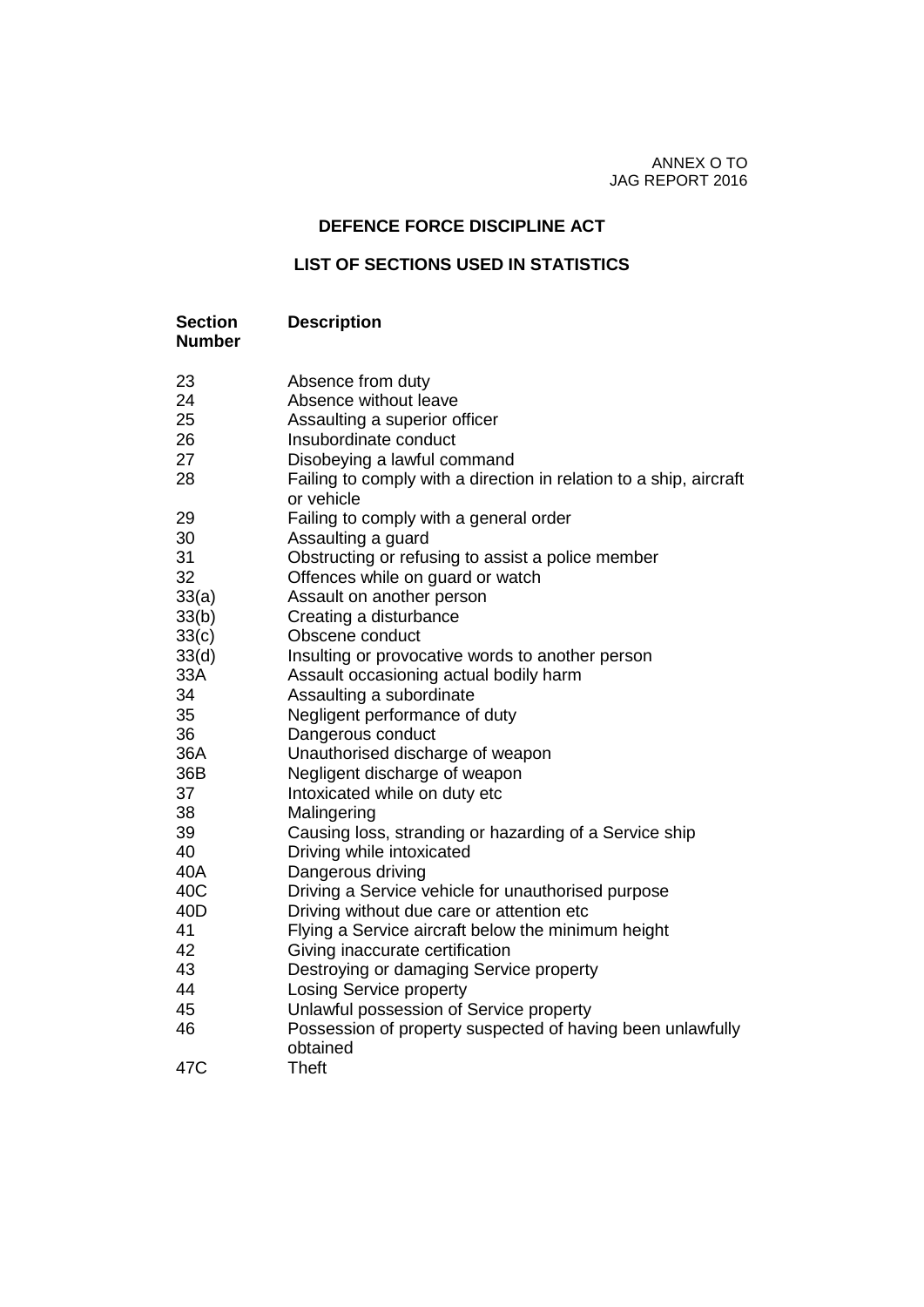ANNEX O TO JAG REPORT 2016

## **DEFENCE FORCE DISCIPLINE ACT**

## **LIST OF SECTIONS USED IN STATISTICS**

| <b>Section</b><br><b>Number</b> | <b>Description</b>                                                               |
|---------------------------------|----------------------------------------------------------------------------------|
| 23                              | Absence from duty                                                                |
| 24                              | Absence without leave                                                            |
| 25                              | Assaulting a superior officer                                                    |
| 26                              | Insubordinate conduct                                                            |
| 27                              | Disobeying a lawful command                                                      |
| 28                              | Failing to comply with a direction in relation to a ship, aircraft<br>or vehicle |
| 29                              | Failing to comply with a general order                                           |
| 30                              | Assaulting a guard                                                               |
| 31                              | Obstructing or refusing to assist a police member                                |
| 32                              | Offences while on guard or watch                                                 |
| 33(a)                           | Assault on another person                                                        |
| 33(b)                           | Creating a disturbance                                                           |
| 33(c)                           | Obscene conduct                                                                  |
| 33(d)                           | Insulting or provocative words to another person                                 |
| 33A                             | Assault occasioning actual bodily harm                                           |
| 34                              | Assaulting a subordinate                                                         |
| 35                              | Negligent performance of duty                                                    |
| 36                              | Dangerous conduct                                                                |
| 36A                             | Unauthorised discharge of weapon                                                 |
| 36B                             | Negligent discharge of weapon                                                    |
| 37                              | Intoxicated while on duty etc                                                    |
| 38                              | Malingering                                                                      |
| 39                              | Causing loss, stranding or hazarding of a Service ship                           |
| 40                              | Driving while intoxicated                                                        |
| 40A                             | Dangerous driving                                                                |
| 40C                             | Driving a Service vehicle for unauthorised purpose                               |
| 40 <sub>D</sub>                 | Driving without due care or attention etc                                        |
| 41                              | Flying a Service aircraft below the minimum height                               |
| 42                              | Giving inaccurate certification                                                  |
| 43                              | Destroying or damaging Service property                                          |
| 44                              | <b>Losing Service property</b>                                                   |
| 45                              | Unlawful possession of Service property                                          |
| 46                              | Possession of property suspected of having been unlawfully<br>obtained           |
| 47C                             | <b>Theft</b>                                                                     |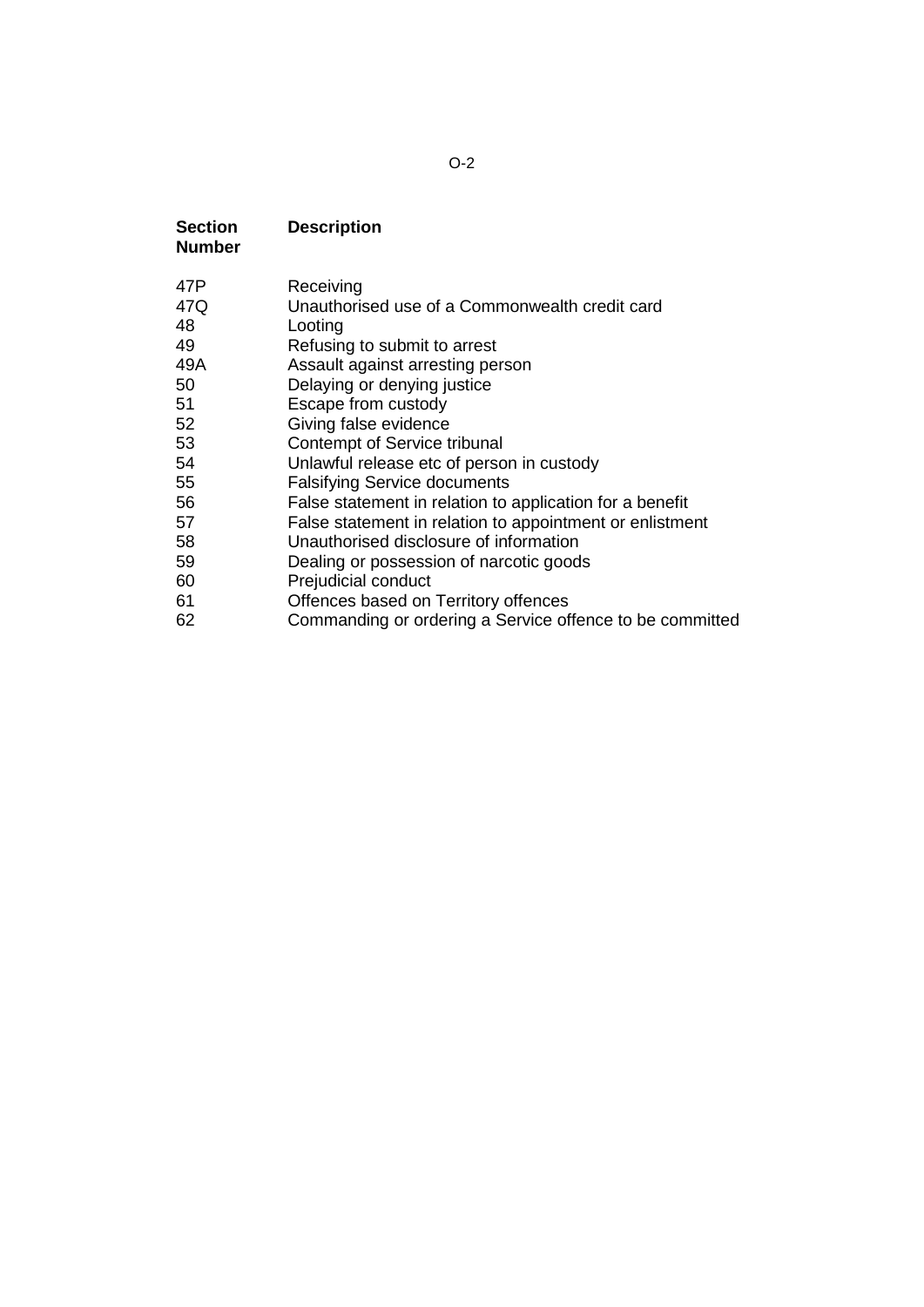## O-2

| <b>Section</b><br><b>Number</b> | <b>Description</b>                                       |
|---------------------------------|----------------------------------------------------------|
| 47P                             | Receiving                                                |
| 47Q                             | Unauthorised use of a Commonwealth credit card           |
| 48                              | Looting                                                  |
| 49                              | Refusing to submit to arrest                             |
| 49A                             | Assault against arresting person                         |
| 50                              | Delaying or denying justice                              |
| 51                              | Escape from custody                                      |
| 52                              | Giving false evidence                                    |
| 53                              | Contempt of Service tribunal                             |
| 54                              | Unlawful release etc of person in custody                |
| 55                              | <b>Falsifying Service documents</b>                      |
| 56                              | False statement in relation to application for a benefit |
| 57                              | False statement in relation to appointment or enlistment |
| 58                              | Unauthorised disclosure of information                   |
| 59                              | Dealing or possession of narcotic goods                  |
| 60                              | Prejudicial conduct                                      |
| 61                              | Offences based on Territory offences                     |
| 62                              | Commanding or ordering a Service offence to be committed |
|                                 |                                                          |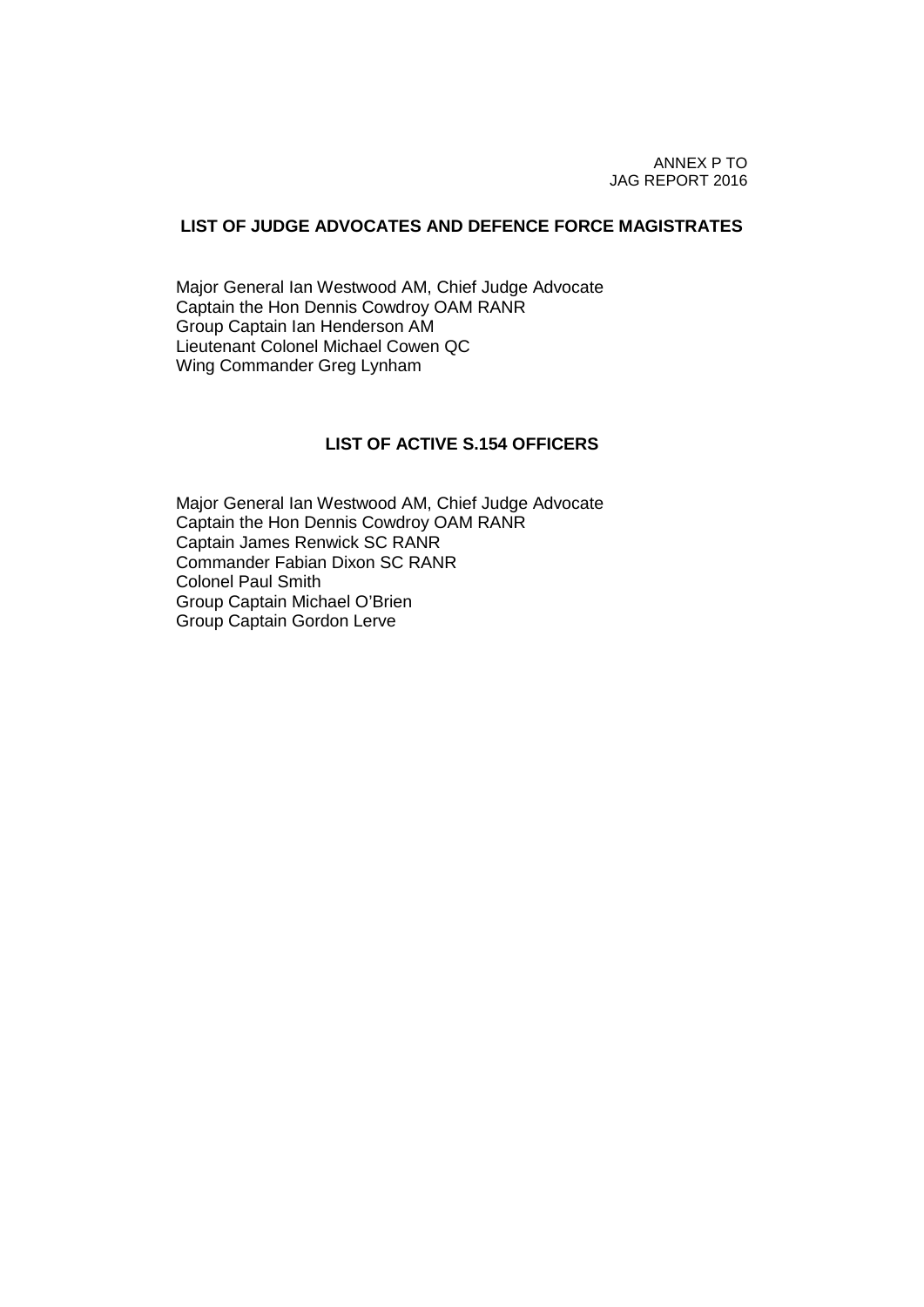ANNEX P TO JAG REPORT 2016

#### **LIST OF JUDGE ADVOCATES AND DEFENCE FORCE MAGISTRATES**

Major General Ian Westwood AM, Chief Judge Advocate Captain the Hon Dennis Cowdroy OAM RANR Group Captain Ian Henderson AM Lieutenant Colonel Michael Cowen QC Wing Commander Greg Lynham

## **LIST OF ACTIVE S.154 OFFICERS**

Major General Ian Westwood AM, Chief Judge Advocate Captain the Hon Dennis Cowdroy OAM RANR Captain James Renwick SC RANR Commander Fabian Dixon SC RANR Colonel Paul Smith Group Captain Michael O'Brien Group Captain Gordon Lerve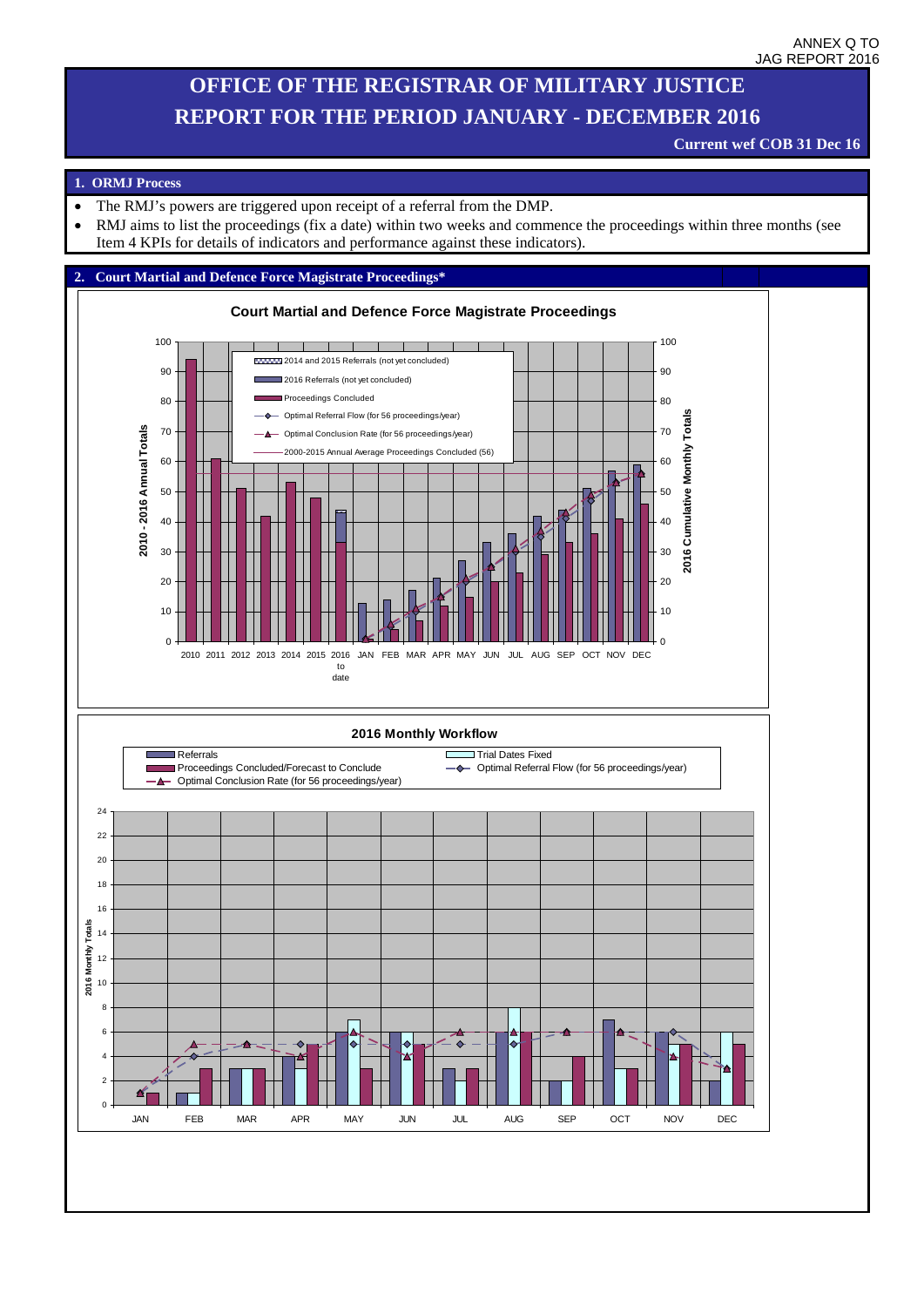## **OFFICE OF THE REGISTRAR OF MILITARY JUSTICE REPORT FOR THE PERIOD JANUARY - DECEMBER 2016**

#### **Current wef COB 31 Dec 16**

#### **1. ORMJ Process**

- The RMJ's powers are triggered upon receipt of a referral from the DMP.
- RMJ aims to list the proceedings (fix a date) within two weeks and commence the proceedings within three months (see Item 4 KPIs for details of indicators and performance against these indicators).